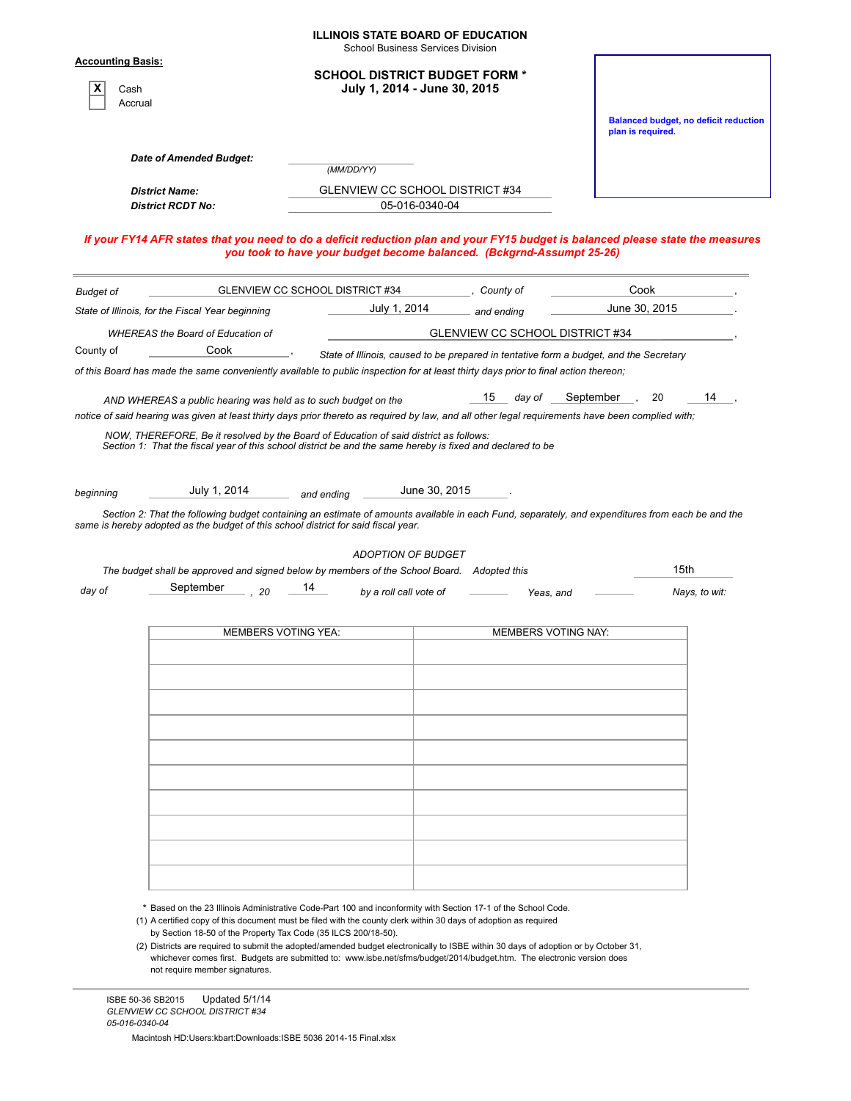|                                             |                                                                                                                                                                                    |     |                                 | <b>ILLINOIS STATE BOARD OF EDUCATION</b><br><b>School Business Services Division</b> |                |                                                                                        |                            |                                                                                                                                                  |
|---------------------------------------------|------------------------------------------------------------------------------------------------------------------------------------------------------------------------------------|-----|---------------------------------|--------------------------------------------------------------------------------------|----------------|----------------------------------------------------------------------------------------|----------------------------|--------------------------------------------------------------------------------------------------------------------------------------------------|
| <b>Accounting Basis:</b><br>Cash<br>Accrual |                                                                                                                                                                                    |     |                                 | <b>SCHOOL DISTRICT BUDGET FORM *</b><br>July 1, 2014 - June 30, 2015                 |                |                                                                                        |                            |                                                                                                                                                  |
|                                             |                                                                                                                                                                                    |     |                                 |                                                                                      |                |                                                                                        |                            | <b>Balanced budget, no deficit reduction</b><br>plan is required.                                                                                |
|                                             | Date of Amended Budget:                                                                                                                                                            |     |                                 | (MM/DD/YY)                                                                           |                |                                                                                        |                            |                                                                                                                                                  |
|                                             | <b>District Name:</b>                                                                                                                                                              |     |                                 | GLENVIEW CC SCHOOL DISTRICT #34                                                      |                |                                                                                        |                            |                                                                                                                                                  |
|                                             | <b>District RCDT No:</b>                                                                                                                                                           |     |                                 |                                                                                      | 05-016-0340-04 |                                                                                        |                            |                                                                                                                                                  |
|                                             |                                                                                                                                                                                    |     |                                 |                                                                                      |                | you took to have your budget become balanced. (Bckgrnd-Assumpt 25-26)                  |                            | If your FY14 AFR states that you need to do a deficit reduction plan and your FY15 budget is balanced please state the measures                  |
| <b>Budget of</b>                            |                                                                                                                                                                                    |     | GLENVIEW CC SCHOOL DISTRICT #34 |                                                                                      |                | County of                                                                              |                            | Cook                                                                                                                                             |
|                                             | State of Illinois, for the Fiscal Year beginning                                                                                                                                   |     |                                 | July 1, 2014                                                                         |                | and ending                                                                             |                            | June 30, 2015                                                                                                                                    |
|                                             | <b>WHEREAS the Board of Education of</b>                                                                                                                                           |     |                                 |                                                                                      |                | GLENVIEW CC SCHOOL DISTRICT #34                                                        |                            |                                                                                                                                                  |
| County of                                   | Cook                                                                                                                                                                               |     |                                 |                                                                                      |                | State of Illinois, caused to be prepared in tentative form a budget, and the Secretary |                            |                                                                                                                                                  |
|                                             | of this Board has made the same conveniently available to public inspection for at least thirty days prior to final action thereon;                                                |     |                                 |                                                                                      |                |                                                                                        |                            |                                                                                                                                                  |
|                                             | AND WHEREAS a public hearing was held as to such budget on the                                                                                                                     |     |                                 |                                                                                      |                | 15<br>day of                                                                           | September                  | 14<br>20                                                                                                                                         |
|                                             | notice of said hearing was given at least thirty days prior thereto as required by law, and all other legal requirements have been complied with;                                  |     |                                 |                                                                                      |                |                                                                                        |                            |                                                                                                                                                  |
|                                             | same is hereby adopted as the budget of this school district for said fiscal year.                                                                                                 |     |                                 | <b>ADOPTION OF BUDGET</b>                                                            |                |                                                                                        |                            | Section 2: That the following budget containing an estimate of amounts available in each Fund, separately, and expenditures from each be and the |
|                                             | The budget shall be approved and signed below by members of the School Board. Adopted this                                                                                         |     |                                 |                                                                                      |                |                                                                                        |                            | 15th                                                                                                                                             |
| day of                                      | September                                                                                                                                                                          | -20 | 14                              | by a roll call vote of                                                               |                |                                                                                        | Yeas, and                  | Nays, to wit:                                                                                                                                    |
|                                             |                                                                                                                                                                                    |     |                                 |                                                                                      |                |                                                                                        |                            |                                                                                                                                                  |
|                                             |                                                                                                                                                                                    |     | <b>MEMBERS VOTING YEA:</b>      |                                                                                      |                |                                                                                        | <b>MEMBERS VOTING NAY:</b> |                                                                                                                                                  |
|                                             |                                                                                                                                                                                    |     |                                 |                                                                                      |                |                                                                                        |                            |                                                                                                                                                  |
|                                             |                                                                                                                                                                                    |     |                                 |                                                                                      |                |                                                                                        |                            |                                                                                                                                                  |
|                                             |                                                                                                                                                                                    |     |                                 |                                                                                      |                |                                                                                        |                            |                                                                                                                                                  |
|                                             |                                                                                                                                                                                    |     |                                 |                                                                                      |                |                                                                                        |                            |                                                                                                                                                  |
|                                             |                                                                                                                                                                                    |     |                                 |                                                                                      |                |                                                                                        |                            |                                                                                                                                                  |
|                                             |                                                                                                                                                                                    |     |                                 |                                                                                      |                |                                                                                        |                            |                                                                                                                                                  |
|                                             |                                                                                                                                                                                    |     |                                 |                                                                                      |                |                                                                                        |                            |                                                                                                                                                  |
|                                             |                                                                                                                                                                                    |     |                                 |                                                                                      |                |                                                                                        |                            |                                                                                                                                                  |
|                                             |                                                                                                                                                                                    |     |                                 |                                                                                      |                |                                                                                        |                            |                                                                                                                                                  |
|                                             |                                                                                                                                                                                    |     |                                 |                                                                                      |                |                                                                                        |                            |                                                                                                                                                  |
|                                             |                                                                                                                                                                                    |     |                                 |                                                                                      |                |                                                                                        |                            |                                                                                                                                                  |
|                                             |                                                                                                                                                                                    |     |                                 |                                                                                      |                |                                                                                        |                            |                                                                                                                                                  |
|                                             |                                                                                                                                                                                    |     |                                 |                                                                                      |                |                                                                                        |                            |                                                                                                                                                  |
|                                             |                                                                                                                                                                                    |     |                                 |                                                                                      |                |                                                                                        |                            |                                                                                                                                                  |
|                                             | * Based on the 23 Illinois Administrative Code-Part 100 and inconformity with Section 17-1 of the School Code.                                                                     |     |                                 |                                                                                      |                |                                                                                        |                            |                                                                                                                                                  |
|                                             | (1) A certified copy of this document must be filed with the county clerk within 30 days of adoption as required<br>by Section 18-50 of the Property Tax Code (35 ILCS 200/18-50). |     |                                 |                                                                                      |                |                                                                                        |                            |                                                                                                                                                  |

(2) Districts are required to submit the adopted/amended budget electronically to ISBE within 30 days of adoption or by October 31, whichever comes first. Budgets are submitted to: www.isbe.net/sfms/budget/2014/budget.htm. The electronic version does not require member signatures.

Macintosh HD:Users:kbart:Downloads:ISBE 5036 2014-15 Final.xlsx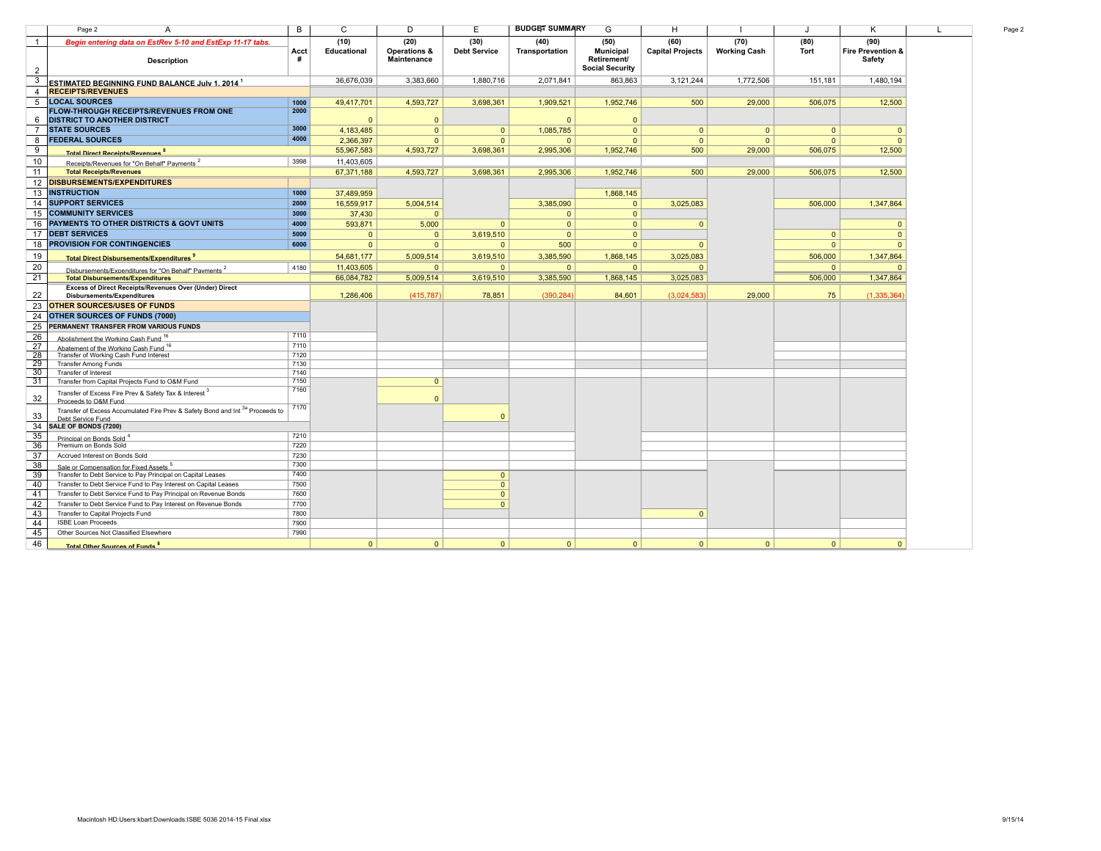| Begin entering data on EstRev 5-10 and EstExp 11-17 tabs.                                                     |           | (10)         | (20)                               | (30)                | (40)           | (50)                                                      | (60)                    | (70)                | (80)         | (90)                        |
|---------------------------------------------------------------------------------------------------------------|-----------|--------------|------------------------------------|---------------------|----------------|-----------------------------------------------------------|-------------------------|---------------------|--------------|-----------------------------|
| <b>Description</b>                                                                                            | Acct<br># | Educational  | Operations &<br><b>Maintenance</b> | <b>Debt Service</b> | Transportation | <b>Municipal</b><br>Retirement/<br><b>Social Security</b> | <b>Capital Projects</b> | <b>Working Cash</b> | Tort         | Fire Prevention &<br>Safety |
| <b>ESTIMATED BEGINNING FUND BALANCE July 1. 2014 1</b>                                                        |           | 36.676.039   | 3.383.660                          | 1.880.716           | 2.071.841      | 863.863                                                   | 3.121.244               | 1.772.506           | 151.181      | 1,480,194                   |
| <b>RECEIPTS/REVENUES</b>                                                                                      |           |              |                                    |                     |                |                                                           |                         |                     |              |                             |
| <b>LOCAL SOURCES</b>                                                                                          | 1000      | 49,417,701   | 4,593,727                          | 3,698,361           | 1,909,521      | 1,952,746                                                 | 500                     | 29,000              | 506,075      | 12,500                      |
| <b>FLOW-THROUGH RECEIPTS/REVENUES FROM ONE</b>                                                                | 2000      |              |                                    |                     |                |                                                           |                         |                     |              |                             |
| DISTRICT TO ANOTHER DISTRICT                                                                                  |           | $\Omega$     | $\Omega$                           |                     | $\Omega$       | $\mathbf{0}$                                              |                         |                     |              |                             |
| <b>STATE SOURCES</b>                                                                                          | 3000      | 4,183,485    | $\Omega$                           | $\Omega$            | 1,085,785      | $\mathbf{0}$                                              | $\mathbf{0}$            | $\mathbf{0}$        | $\mathbf{0}$ | $\Omega$                    |
| <b>FEDERAL SOURCES</b>                                                                                        | 4000      | 2,366,397    | $\Omega$                           | $\Omega$            | $\Omega$       | $\Omega$                                                  | $\Omega$                | $\Omega$            | $\Omega$     | $\Omega$                    |
| <b>Total Direct Receints/Revenues</b>                                                                         |           | 55,967,583   | 4,593,727                          | 3,698,361           | 2,995,306      | 1,952,746                                                 | 500                     | 29,000              | 506,075      | 12,500                      |
| Receipts/Revenues for "On Behalf" Payments <sup>2</sup>                                                       | 3998      | 11,403,605   |                                    |                     |                |                                                           |                         |                     |              |                             |
| <b>Total Receipts/Revenues</b>                                                                                |           | 67,371,188   | 4,593,727                          | 3,698,361           | 2,995,306      | 1,952,746                                                 | 500                     | 29,000              | 506,075      | 12,500                      |
| <b>DISBURSEMENTS/EXPENDITURES</b>                                                                             |           |              |                                    |                     |                |                                                           |                         |                     |              |                             |
| <b>INSTRUCTION</b>                                                                                            | 1000      |              |                                    |                     |                |                                                           |                         |                     |              |                             |
|                                                                                                               |           | 37.489.959   |                                    |                     |                | 1,868,145                                                 |                         |                     |              |                             |
| <b>SUPPORT SERVICES</b>                                                                                       | 2000      | 16.559.917   | 5,004,514                          |                     | 3,385,090      | $\mathbf{0}$                                              | 3,025,083               |                     | 506,000      | 1,347,864                   |
| <b>COMMUNITY SERVICES</b>                                                                                     | 3000      | 37,430       | $\Omega$                           |                     | $\mathbf{0}$   | $\mathbf{0}$                                              |                         |                     |              |                             |
| PAYMENTS TO OTHER DISTRICTS & GOVT UNITS                                                                      | 4000      | 593.871      | 5.000                              | $\mathbf{0}$        | $\mathbf{0}$   | $\mathbf{0}$                                              | $\mathbf{0}$            |                     |              | $\Omega$                    |
| <b>DEBT SERVICES</b>                                                                                          | 5000      | $\mathbf{0}$ | $\Omega$                           | 3,619,510           | $\Omega$       | $\Omega$                                                  |                         |                     | $\mathbf{0}$ | $\Omega$                    |
| PROVISION FOR CONTINGENCIES                                                                                   | 6000      | $\mathbf{0}$ | $\Omega$                           | $\Omega$            | 500            | $\mathbf{0}$                                              | $\Omega$                |                     | $\mathbf{0}$ | $\Omega$                    |
| <b>Total Direct Disbursements/Expenditures "</b>                                                              |           | 54,681,177   | 5,009,514                          | 3,619,510           | 3,385,590      | 1,868,145                                                 | 3,025,083               |                     | 506,000      | 1,347,864                   |
| Disbursements/Expenditures for "On Behalf" Payments <sup>2</sup>                                              | 4180      | 11,403,605   | $\Omega$                           | $\mathbf{0}$        | $\mathbf{0}$   | $\overline{0}$                                            | $\Omega$                |                     | $\mathbf{0}$ | $\Omega$                    |
| <b>Total Disbursements/Expenditures</b>                                                                       |           | 66,084,782   | 5,009,514                          | 3,619,510           | 3,385,590      | 1,868,145                                                 | 3,025,083               |                     | 506,000      | 1,347,864                   |
| Excess of Direct Receipts/Revenues Over (Under) Direct<br>Disbursements/Expenditures                          |           | 1,286,406    | (415, 787)                         | 78,851              | (390, 284)     | 84,601                                                    | (3,024,583)             | 29,000              | 75           | (1, 335, 364)               |
| <b>OTHER SOURCES/USES OF FUNDS</b>                                                                            |           |              |                                    |                     |                |                                                           |                         |                     |              |                             |
| OTHER SOURCES OF FUNDS (7000)                                                                                 |           |              |                                    |                     |                |                                                           |                         |                     |              |                             |
| PERMANENT TRANSFER FROM VARIOUS FUNDS                                                                         |           |              |                                    |                     |                |                                                           |                         |                     |              |                             |
| Abolishment the Working Cash Fund <sup>16</sup>                                                               | 7110      |              |                                    |                     |                |                                                           |                         |                     |              |                             |
| Abatement of the Working Cash Fund <sup>16</sup>                                                              | 7110      |              |                                    |                     |                |                                                           |                         |                     |              |                             |
| Transfer of Working Cash Fund Interest                                                                        | 7120      |              |                                    |                     |                |                                                           |                         |                     |              |                             |
| <b>Transfer Among Funds</b>                                                                                   | 7130      |              |                                    |                     |                |                                                           |                         |                     |              |                             |
| <b>Transfer of Interest</b>                                                                                   | 7140      |              |                                    |                     |                |                                                           |                         |                     |              |                             |
| Transfer from Capital Projects Fund to O&M Fund                                                               | 7150      |              | $\mathbf{0}$                       |                     |                |                                                           |                         |                     |              |                             |
| Transfer of Excess Fire Prev & Safety Tax & Interest 3<br>Proceeds to O&M Fund                                | 7160      |              | $\Omega$                           |                     |                |                                                           |                         |                     |              |                             |
| Transfer of Excess Accumulated Fire Prev & Safety Bond and Int <sup>3a</sup> Proceeds to<br>Debt Service Fund | 7170      |              |                                    | $\Omega$            |                |                                                           |                         |                     |              |                             |
| SALE OF BONDS (7200)                                                                                          |           |              |                                    |                     |                |                                                           |                         |                     |              |                             |
| Principal on Bonds Sold <sup>4</sup>                                                                          | 7210      |              |                                    |                     |                |                                                           |                         |                     |              |                             |
| Premium on Bonds Sold                                                                                         | 7220      |              |                                    |                     |                |                                                           |                         |                     |              |                             |
| Accrued Interest on Bonds Sold                                                                                | 7230      |              |                                    |                     |                |                                                           |                         |                     |              |                             |
| Sale or Compensation for Fixed Assets <sup>5</sup>                                                            | 7300      |              |                                    |                     |                |                                                           |                         |                     |              |                             |
| Transfer to Debt Service to Pay Principal on Capital Leases                                                   | 7400      |              |                                    | $\mathbf{0}$        |                |                                                           |                         |                     |              |                             |
| Transfer to Debt Service Fund to Pay Interest on Capital Leases                                               | 7500      |              |                                    | $\mathbf{0}$        |                |                                                           |                         |                     |              |                             |
| Transfer to Debt Service Fund to Pay Principal on Revenue Bonds                                               | 7600      |              |                                    | $\mathbf{0}$        |                |                                                           |                         |                     |              |                             |
| Transfer to Debt Service Fund to Pay Interest on Revenue Bonds                                                | 7700      |              |                                    | $\Omega$            |                |                                                           |                         |                     |              |                             |
| Transfer to Capital Projects Fund                                                                             | 7800      |              |                                    |                     |                |                                                           | $\mathbf{0}$            |                     |              |                             |
| <b>ISBE Loan Proceeds</b>                                                                                     | 7900      |              |                                    |                     |                |                                                           |                         |                     |              |                             |
| Other Sources Not Classified Elsewhere                                                                        | 7990      |              |                                    |                     |                |                                                           |                         |                     |              |                             |
| <b>Total Other Sources of Funds</b> 8                                                                         |           | $\mathbf{0}$ | $\Omega$                           | $\mathbf{0}$        | $\mathbf{0}$   | $\overline{0}$                                            | $\Omega$                | $\mathbf{0}$        | $\mathbf{0}$ | $\Omega$                    |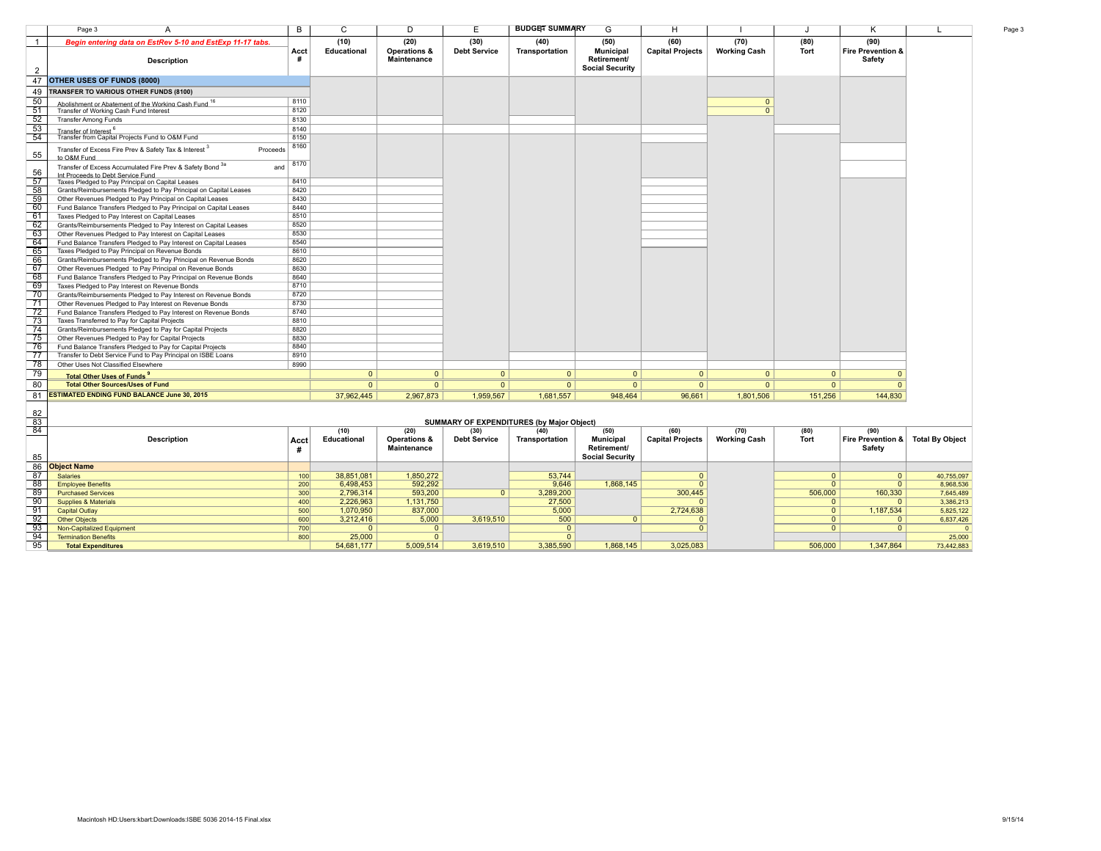| Begin entering data on EstRev 5-10 and EstExp 11-17 tabs.                                             |           | (10)               | (20)                        | (30)                | (40)           | (50)                                                      | (60)                    | (70)                | (80)     | (90)                                          |  |
|-------------------------------------------------------------------------------------------------------|-----------|--------------------|-----------------------------|---------------------|----------------|-----------------------------------------------------------|-------------------------|---------------------|----------|-----------------------------------------------|--|
| <b>Description</b>                                                                                    | Acct<br># | <b>Educational</b> | Operations &<br>Maintenance | <b>Debt Service</b> | Transportation | <b>Municipal</b><br>Retirement/<br><b>Social Security</b> | <b>Capital Projects</b> | <b>Working Cash</b> | Tort     | <b>Fire Prevention &amp;</b><br><b>Safety</b> |  |
| <b>OTHER USES OF FUNDS (8000)</b>                                                                     |           |                    |                             |                     |                |                                                           |                         |                     |          |                                               |  |
| TRANSFER TO VARIOUS OTHER FUNDS (8100)                                                                |           |                    |                             |                     |                |                                                           |                         |                     |          |                                               |  |
| Abolishment or Abatement of the Working Cash Fund 16                                                  | 8110      |                    |                             |                     |                |                                                           |                         | $\Omega$            |          |                                               |  |
| Transfer of Working Cash Fund Interest                                                                | 8120      |                    |                             |                     |                |                                                           |                         | $\overline{0}$      |          |                                               |  |
| <b>Transfer Among Funds</b>                                                                           | 8130      |                    |                             |                     |                |                                                           |                         |                     |          |                                               |  |
| Transfer of Interest <sup>6</sup>                                                                     | 8140      |                    |                             |                     |                |                                                           |                         |                     |          |                                               |  |
| Transfer from Capital Projects Fund to O&M Fund                                                       | 8150      |                    |                             |                     |                |                                                           |                         |                     |          |                                               |  |
| Transfer of Excess Fire Prev & Safety Tax & Interest 3<br>Proceeds<br>to O&M Fund                     | 8160      |                    |                             |                     |                |                                                           |                         |                     |          |                                               |  |
| Transfer of Excess Accumulated Fire Prev & Safety Bond 3a<br>and<br>Int Proceeds to Debt Service Fund | 8170      |                    |                             |                     |                |                                                           |                         |                     |          |                                               |  |
| Taxes Pledged to Pay Principal on Capital Leases                                                      | 8410      |                    |                             |                     |                |                                                           |                         |                     |          |                                               |  |
| Grants/Reimbursements Pledged to Pay Principal on Capital Leases                                      | 8420      |                    |                             |                     |                |                                                           |                         |                     |          |                                               |  |
| Other Revenues Pledged to Pay Principal on Capital Leases                                             | 8430      |                    |                             |                     |                |                                                           |                         |                     |          |                                               |  |
| Fund Balance Transfers Pledged to Pay Principal on Capital Leases                                     | 8440      |                    |                             |                     |                |                                                           |                         |                     |          |                                               |  |
| Taxes Pledged to Pay Interest on Capital Leases                                                       | 8510      |                    |                             |                     |                |                                                           |                         |                     |          |                                               |  |
| Grants/Reimbursements Pledged to Pay Interest on Capital Leases                                       | 8520      |                    |                             |                     |                |                                                           |                         |                     |          |                                               |  |
| Other Revenues Pledged to Pay Interest on Capital Leases                                              | 8530      |                    |                             |                     |                |                                                           |                         |                     |          |                                               |  |
| Fund Balance Transfers Pledged to Pay Interest on Capital Leases                                      | 8540      |                    |                             |                     |                |                                                           |                         |                     |          |                                               |  |
| Taxes Pledged to Pay Principal on Revenue Bonds                                                       | 8610      |                    |                             |                     |                |                                                           |                         |                     |          |                                               |  |
| Grants/Reimbursements Pledged to Pay Principal on Revenue Bonds                                       | 8620      |                    |                             |                     |                |                                                           |                         |                     |          |                                               |  |
| Other Revenues Pledged to Pay Principal on Revenue Bonds                                              | 8630      |                    |                             |                     |                |                                                           |                         |                     |          |                                               |  |
| Fund Balance Transfers Pledged to Pay Principal on Revenue Bonds                                      | 8640      |                    |                             |                     |                |                                                           |                         |                     |          |                                               |  |
| Taxes Pledged to Pay Interest on Revenue Bonds                                                        | 8710      |                    |                             |                     |                |                                                           |                         |                     |          |                                               |  |
| Grants/Reimbursements Pledged to Pay Interest on Revenue Bonds                                        | 8720      |                    |                             |                     |                |                                                           |                         |                     |          |                                               |  |
| Other Revenues Pledged to Pay Interest on Revenue Bonds                                               | 8730      |                    |                             |                     |                |                                                           |                         |                     |          |                                               |  |
| Fund Balance Transfers Pledged to Pay Interest on Revenue Bonds                                       | 8740      |                    |                             |                     |                |                                                           |                         |                     |          |                                               |  |
| Taxes Transferred to Pay for Capital Projects                                                         | 8810      |                    |                             |                     |                |                                                           |                         |                     |          |                                               |  |
| Grants/Reimbursements Pledged to Pay for Capital Projects                                             | 8820      |                    |                             |                     |                |                                                           |                         |                     |          |                                               |  |
| Other Revenues Pledged to Pay for Capital Projects                                                    | 8830      |                    |                             |                     |                |                                                           |                         |                     |          |                                               |  |
| Fund Balance Transfers Pledged to Pay for Capital Projects                                            | 8840      |                    |                             |                     |                |                                                           |                         |                     |          |                                               |  |
| Transfer to Debt Service Fund to Pay Principal on ISBE Loans                                          | 8910      |                    |                             |                     |                |                                                           |                         |                     |          |                                               |  |
| Other Uses Not Classified Elsewhere                                                                   | 8990      |                    |                             |                     |                |                                                           |                         |                     |          |                                               |  |
| Total Other Hees of Funds <sup>9</sup>                                                                |           | $\Omega$           | $\Omega$                    | $\mathbf{0}$        | $\overline{0}$ | $\Omega$                                                  | $\mathbf{0}$            | $\Omega$            | $\Omega$ |                                               |  |
| <b>Total Other Sources/Uses of Fund</b>                                                               |           | $\Omega$           | $\mathbf{0}$                | $\Omega$            | $\overline{0}$ | $\Omega$                                                  | $\Omega$                | $\Omega$            | $\Omega$ |                                               |  |
| <b>ESTIMATED ENDING FUND BALANCE June 30, 2015</b>                                                    |           | 37,962,445         | 2.967.873                   | 1.959.567           | 1,681,557      | 948.464                                                   | 96,661                  | 1.801.506           | 151.256  | 144.830                                       |  |

|                                 |      |             |                         |                     | SUMINIART OF EXPENDITURES (by Major Object) |                        |                         |                     |             |                   |                        |
|---------------------------------|------|-------------|-------------------------|---------------------|---------------------------------------------|------------------------|-------------------------|---------------------|-------------|-------------------|------------------------|
|                                 |      | (10)        | (20)                    | (30)                | (40)                                        | (50)                   | (60)                    | (70)                | (80)        | (90)              |                        |
| Description                     | Acct | Educational | <b>Operations &amp;</b> | <b>Debt Service</b> | Transportation                              | <b>Municipal</b>       | <b>Capital Projects</b> | <b>Working Cash</b> | <b>Tort</b> | Fire Prevention & | <b>Total By Object</b> |
|                                 |      |             | Maintenance             |                     |                                             | Retirement/            |                         |                     |             | Safety            |                        |
|                                 |      |             |                         |                     |                                             | <b>Social Security</b> |                         |                     |             |                   |                        |
| <b>Object Name</b>              |      |             |                         |                     |                                             |                        |                         |                     |             |                   |                        |
| <b>Salaries</b>                 | 100  | 38,851,081  | 1,850,272               |                     | 53.744                                      |                        |                         |                     |             |                   | 40,755,097             |
| <b>Employee Benefits</b>        | 200  | 6,498,453   | 592,292                 |                     | 9.646                                       | 1,868,145              |                         |                     |             |                   | 8,968,536              |
| <b>Purchased Services</b>       | 300  | 2,796,314   | 593,200                 |                     | 3,289,200                                   |                        | 300,445                 |                     | 506,000     | 160,330           | 7,645,489              |
| <b>Supplies &amp; Materials</b> | 400  | 2,226,963   | 1,131,750               |                     | 27,500                                      |                        |                         |                     |             |                   | 3,386,213              |
| <b>Capital Outlay</b>           | 500  | 1,070,950   | 837,000                 |                     | 5,000                                       |                        | 2,724,638               |                     |             | 1,187,534         | 5,825,122              |
| <b>Other Objects</b>            | 600  | 3,212,416   | 5,000                   | 3,619,510           | 500                                         |                        |                         |                     |             |                   | 6.837.426              |
| Non-Capitalized Equipment       | 700  |             |                         |                     |                                             |                        |                         |                     |             |                   |                        |
| <b>Termination Benefits</b>     | 800  | 25,000      |                         |                     |                                             |                        |                         |                     |             |                   | 25,000                 |
| <b>Total Expenditures</b>       |      | 54,681,177  | 5.009.514               | 3.619.510           | 3.385.590                                   | 1.868.145              | 3.025.083               |                     | 506,000     | 1.347.864         | 73,442,883             |

#### **SUMMARY OF EXPENDITURES (by Major Object)**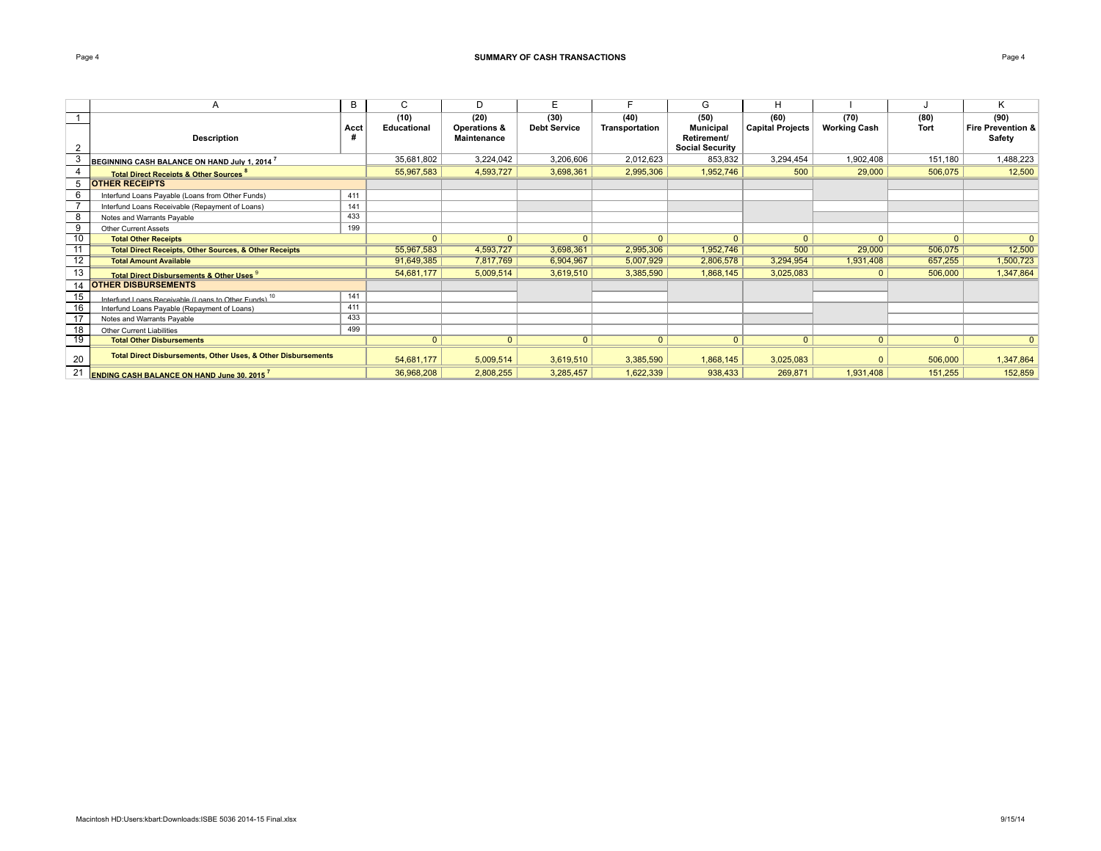| <b>Description</b>                                                       | Acct | (10)<br>Educational | (20)<br>Operations &<br>Maintenance | (30)<br><b>Debt Service</b> | (40)<br>Transportation | (50)<br><b>Municipal</b><br>Retirement/<br><b>Social Security</b> | (60)<br><b>Capital Projects</b> | (70)<br><b>Working Cash</b> | (80)<br>Tort | (90)<br>Fire Prevention &<br>Safety |
|--------------------------------------------------------------------------|------|---------------------|-------------------------------------|-----------------------------|------------------------|-------------------------------------------------------------------|---------------------------------|-----------------------------|--------------|-------------------------------------|
| BEGINNING CASH BALANCE ON HAND July 1. 2014 <sup>7</sup>                 |      | 35,681,802          | 3,224,042                           | 3,206,606                   | 2,012,623              | 853,832                                                           | 3,294,454                       | 1,902,408                   | 151,180      | 1,488,223                           |
| <b>Total Direct Receipts &amp; Other Sources<sup>8</sup></b>             |      | 55,967,583          | 4,593,727                           | 3,698,361                   | 2.995.306              | 1.952.746                                                         | 500                             | 29,000                      | 506,075      | 12,500                              |
| <b>OTHER RECEIPTS</b>                                                    |      |                     |                                     |                             |                        |                                                                   |                                 |                             |              |                                     |
| Interfund Loans Payable (Loans from Other Funds)                         | 411  |                     |                                     |                             |                        |                                                                   |                                 |                             |              |                                     |
| Interfund Loans Receivable (Repayment of Loans)                          | 141  |                     |                                     |                             |                        |                                                                   |                                 |                             |              |                                     |
| Notes and Warrants Payable                                               | 433  |                     |                                     |                             |                        |                                                                   |                                 |                             |              |                                     |
| <b>Other Current Assets</b>                                              | 199  |                     |                                     |                             |                        |                                                                   |                                 |                             |              |                                     |
| <b>Total Other Receipts</b>                                              |      | $\mathbf{0}$        | $\Omega$                            | $\Omega$                    | $\Omega$               | $\Omega$                                                          | $\Omega$                        | $\Omega$                    | $\Omega$     | $\Omega$                            |
| <b>Total Direct Receipts, Other Sources, &amp; Other Receipts</b>        |      | 55,967,583          | 4,593,727                           | 3,698,361                   | 2,995,306              | 1,952,746                                                         | 500                             | 29,000                      | 506,075      | 12,500                              |
| <b>Total Amount Available</b>                                            |      | 91,649,385          | 7,817,769                           | 6,904,967                   | 5,007,929              | 2,806,578                                                         | 3,294,954                       | 1,931,408                   | 657,255      | 1,500,723                           |
| Total Direct Disbursements & Other Uses 9                                |      | 54,681,177          | 5,009,514                           | 3,619,510                   | 3,385,590              | 1,868,145                                                         | 3,025,083                       | $\mathbf{0}$                | 506,000      | 1,347,864                           |
| <b>OTHER DISBURSEMENTS</b>                                               |      |                     |                                     |                             |                        |                                                                   |                                 |                             |              |                                     |
| Interfund Loans Receivable (Loans to Other Funds) <sup>10</sup>          | 141  |                     |                                     |                             |                        |                                                                   |                                 |                             |              |                                     |
| Interfund Loans Payable (Repayment of Loans)                             | 411  |                     |                                     |                             |                        |                                                                   |                                 |                             |              |                                     |
| Notes and Warrants Payable                                               | 433  |                     |                                     |                             |                        |                                                                   |                                 |                             |              |                                     |
| <b>Other Current Liabilities</b>                                         | 499  |                     |                                     |                             |                        |                                                                   |                                 |                             |              |                                     |
| <b>Total Other Disbursements</b>                                         |      | $\overline{0}$      | $\Omega$                            | $\mathbf{0}$                | $\mathbf{0}$           | $\mathbf{0}$                                                      | $\mathbf{0}$                    | $\mathbf{0}$                | $\mathbf{0}$ | $\Omega$                            |
| <b>Total Direct Disbursements, Other Uses, &amp; Other Disbursements</b> |      | 54,681,177          | 5,009,514                           | 3,619,510                   | 3,385,590              | 1,868,145                                                         | 3,025,083                       | $\Omega$                    | 506,000      | 1,347,864                           |
| <b>ENDING CASH BALANCE ON HAND June 30, 2015</b>                         |      | 36,968,208          | 2,808,255                           | 3,285,457                   | 1,622,339              | 938,433                                                           | 269,871                         | 1,931,408                   | 151,255      | 152,859                             |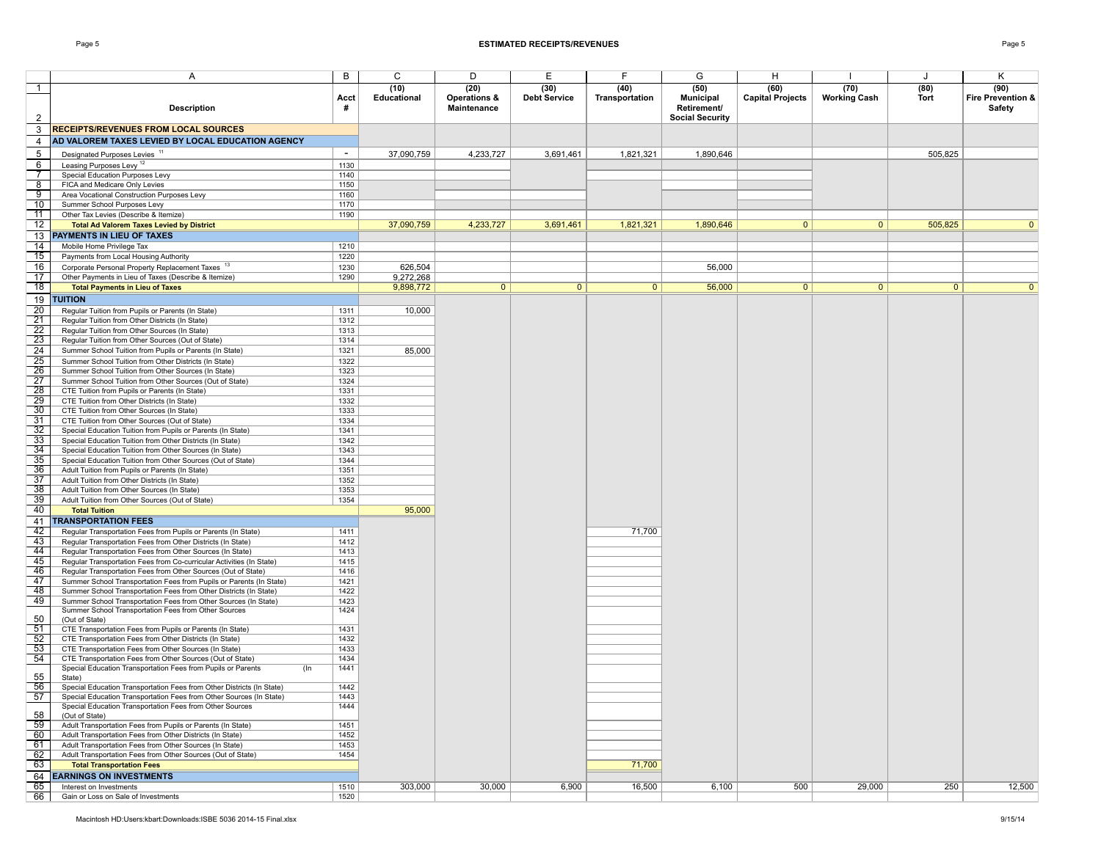| <b>Description</b>                                                                                                                   | Acct<br>#      | (10)<br>Educational | (20)<br>Operations &<br>Maintenance | (30)<br><b>Debt Service</b> | (40)<br>Transportation | (50)<br>Municipal<br>Retirement/<br><b>Social Security</b> | (60)<br><b>Capital Projects</b> | (70)<br><b>Working Cash</b> | (80)<br>Tort   | (90)<br><b>Fire Prevention &amp;</b><br><b>Safety</b> |
|--------------------------------------------------------------------------------------------------------------------------------------|----------------|---------------------|-------------------------------------|-----------------------------|------------------------|------------------------------------------------------------|---------------------------------|-----------------------------|----------------|-------------------------------------------------------|
| <b>RECEIPTS/REVENUES FROM LOCAL SOURCES</b><br>AD VALOREM TAXES LEVIED BY LOCAL EDUCATION AGENCY                                     |                |                     |                                     |                             |                        |                                                            |                                 |                             |                |                                                       |
|                                                                                                                                      | $\overline{a}$ |                     |                                     |                             |                        |                                                            |                                 |                             |                |                                                       |
| Designated Purposes Levies <sup>11</sup><br>Leasing Purposes Levy <sup>12</sup>                                                      | 1130           | 37,090,759          | 4,233,727                           | 3,691,461                   | 1,821,321              | 1,890,646                                                  |                                 |                             | 505,825        |                                                       |
| Special Education Purposes Levy                                                                                                      | 1140           |                     |                                     |                             |                        |                                                            |                                 |                             |                |                                                       |
| FICA and Medicare Only Levies                                                                                                        | 1150           |                     |                                     |                             |                        |                                                            |                                 |                             |                |                                                       |
| Area Vocational Construction Purposes Levy                                                                                           | 1160           |                     |                                     |                             |                        |                                                            |                                 |                             |                |                                                       |
| Summer School Purposes Levy                                                                                                          | 1170           |                     |                                     |                             |                        |                                                            |                                 |                             |                |                                                       |
| Other Tax Levies (Describe & Itemize)<br><b>Total Ad Valorem Taxes Levied by District</b>                                            | 1190           | 37,090,759          | 4,233,727                           | 3,691,461                   | 1,821,321              | 1,890,646                                                  | $\mathbf{0}$                    | 0                           | 505,825        | $\overline{0}$                                        |
| PAYMENTS IN LIEU OF TAXES                                                                                                            |                |                     |                                     |                             |                        |                                                            |                                 |                             |                |                                                       |
| Mobile Home Privilege Tax                                                                                                            | 1210           |                     |                                     |                             |                        |                                                            |                                 |                             |                |                                                       |
| Payments from Local Housing Authority                                                                                                | 1220           |                     |                                     |                             |                        |                                                            |                                 |                             |                |                                                       |
| Corporate Personal Property Replacement Taxes 13                                                                                     | 1230           | 626,504             |                                     |                             |                        | 56,000                                                     |                                 |                             |                |                                                       |
| Other Payments in Lieu of Taxes (Describe & Itemize)                                                                                 | 1290           | 9,272,268           |                                     |                             |                        |                                                            |                                 |                             |                |                                                       |
| <b>Total Payments in Lieu of Taxes</b>                                                                                               |                | 9,898,772           | $\overline{0}$                      | $\mathbf{0}$                | $\mathbf{0}$           | 56,000                                                     | $\mathbf{0}$                    | 0                           | $\overline{0}$ | $\mathbf{0}$                                          |
| TUITION                                                                                                                              |                |                     |                                     |                             |                        |                                                            |                                 |                             |                |                                                       |
| Regular Tuition from Pupils or Parents (In State)<br>Regular Tuition from Other Districts (In State)                                 | 1311<br>1312   | 10,000              |                                     |                             |                        |                                                            |                                 |                             |                |                                                       |
| Regular Tuition from Other Sources (In State)                                                                                        | 1313           |                     |                                     |                             |                        |                                                            |                                 |                             |                |                                                       |
| Regular Tuition from Other Sources (Out of State)                                                                                    | 1314           |                     |                                     |                             |                        |                                                            |                                 |                             |                |                                                       |
| Summer School Tuition from Pupils or Parents (In State)                                                                              | 1321           | 85,000              |                                     |                             |                        |                                                            |                                 |                             |                |                                                       |
| Summer School Tuition from Other Districts (In State)                                                                                | 1322           |                     |                                     |                             |                        |                                                            |                                 |                             |                |                                                       |
| Summer School Tuition from Other Sources (In State)                                                                                  | 1323           |                     |                                     |                             |                        |                                                            |                                 |                             |                |                                                       |
| Summer School Tuition from Other Sources (Out of State)<br>CTE Tuition from Pupils or Parents (In State)                             | 1324<br>1331   |                     |                                     |                             |                        |                                                            |                                 |                             |                |                                                       |
| CTE Tuition from Other Districts (In State)                                                                                          | 1332           |                     |                                     |                             |                        |                                                            |                                 |                             |                |                                                       |
| CTE Tuition from Other Sources (In State)                                                                                            | 1333           |                     |                                     |                             |                        |                                                            |                                 |                             |                |                                                       |
| CTE Tuition from Other Sources (Out of State)                                                                                        | 1334           |                     |                                     |                             |                        |                                                            |                                 |                             |                |                                                       |
| Special Education Tuition from Pupils or Parents (In State)                                                                          | 1341           |                     |                                     |                             |                        |                                                            |                                 |                             |                |                                                       |
| Special Education Tuition from Other Districts (In State)                                                                            | 1342<br>1343   |                     |                                     |                             |                        |                                                            |                                 |                             |                |                                                       |
| Special Education Tuition from Other Sources (In State)<br>Special Education Tuition from Other Sources (Out of State)               | 1344           |                     |                                     |                             |                        |                                                            |                                 |                             |                |                                                       |
| Adult Tuition from Pupils or Parents (In State)                                                                                      | 1351           |                     |                                     |                             |                        |                                                            |                                 |                             |                |                                                       |
| Adult Tuition from Other Districts (In State)                                                                                        | 1352           |                     |                                     |                             |                        |                                                            |                                 |                             |                |                                                       |
| Adult Tuition from Other Sources (In State)                                                                                          | 1353           |                     |                                     |                             |                        |                                                            |                                 |                             |                |                                                       |
| Adult Tuition from Other Sources (Out of State)<br><b>Total Tuition</b>                                                              | 1354           | 95,000              |                                     |                             |                        |                                                            |                                 |                             |                |                                                       |
| <b>TRANSPORTATION FEES</b>                                                                                                           |                |                     |                                     |                             |                        |                                                            |                                 |                             |                |                                                       |
| Regular Transportation Fees from Pupils or Parents (In State)                                                                        | 1411           |                     |                                     |                             | 71,700                 |                                                            |                                 |                             |                |                                                       |
| Regular Transportation Fees from Other Districts (In State)                                                                          | 1412           |                     |                                     |                             |                        |                                                            |                                 |                             |                |                                                       |
| Regular Transportation Fees from Other Sources (In State)                                                                            | 1413           |                     |                                     |                             |                        |                                                            |                                 |                             |                |                                                       |
| Regular Transportation Fees from Co-curricular Activities (In State)                                                                 | 1415           |                     |                                     |                             |                        |                                                            |                                 |                             |                |                                                       |
| Regular Transportation Fees from Other Sources (Out of State)<br>Summer School Transportation Fees from Pupils or Parents (In State) | 1416<br>1421   |                     |                                     |                             |                        |                                                            |                                 |                             |                |                                                       |
| Summer School Transportation Fees from Other Districts (In State)                                                                    | 1422           |                     |                                     |                             |                        |                                                            |                                 |                             |                |                                                       |
| Summer School Transportation Fees from Other Sources (In State)                                                                      | 1423           |                     |                                     |                             |                        |                                                            |                                 |                             |                |                                                       |
| Summer School Transportation Fees from Other Sources<br>(Out of State)                                                               | 1424           |                     |                                     |                             |                        |                                                            |                                 |                             |                |                                                       |
| CTE Transportation Fees from Pupils or Parents (In State)                                                                            | 1431<br>1432   |                     |                                     |                             |                        |                                                            |                                 |                             |                |                                                       |
| CTE Transportation Fees from Other Districts (In State)<br>CTE Transportation Fees from Other Sources (In State)                     | 1433           |                     |                                     |                             |                        |                                                            |                                 |                             |                |                                                       |
| CTE Transportation Fees from Other Sources (Out of State)                                                                            | 1434           |                     |                                     |                             |                        |                                                            |                                 |                             |                |                                                       |
| (In<br>Special Education Transportation Fees from Pupils or Parents<br>State)                                                        | 1441           |                     |                                     |                             |                        |                                                            |                                 |                             |                |                                                       |
| Special Education Transportation Fees from Other Districts (In State)                                                                | 1442           |                     |                                     |                             |                        |                                                            |                                 |                             |                |                                                       |
| Special Education Transportation Fees from Other Sources (In State)<br>Special Education Transportation Fees from Other Sources      | 1443<br>1444   |                     |                                     |                             |                        |                                                            |                                 |                             |                |                                                       |
| (Out of State)                                                                                                                       |                |                     |                                     |                             |                        |                                                            |                                 |                             |                |                                                       |
| Adult Transportation Fees from Pupils or Parents (In State)                                                                          | 1451           |                     |                                     |                             |                        |                                                            |                                 |                             |                |                                                       |
| Adult Transportation Fees from Other Districts (In State)                                                                            | 1452           |                     |                                     |                             |                        |                                                            |                                 |                             |                |                                                       |
| Adult Transportation Fees from Other Sources (In State)<br>Adult Transportation Fees from Other Sources (Out of State)               | 1453<br>1454   |                     |                                     |                             |                        |                                                            |                                 |                             |                |                                                       |
| <b>Total Transportation Fees</b>                                                                                                     |                |                     |                                     |                             | 71,700                 |                                                            |                                 |                             |                |                                                       |
| <b>EARNINGS ON INVESTMENTS</b>                                                                                                       |                |                     |                                     |                             |                        |                                                            |                                 |                             |                |                                                       |
| Interest on Investments                                                                                                              | 1510           | 303,000             | 30,000                              | 6,900                       | 16,500                 | 6,100                                                      | 500                             | 29,000                      | 250            | 12,500                                                |
| Gain or Loss on Sale of Investments                                                                                                  | 1520           |                     |                                     |                             |                        |                                                            |                                 |                             |                |                                                       |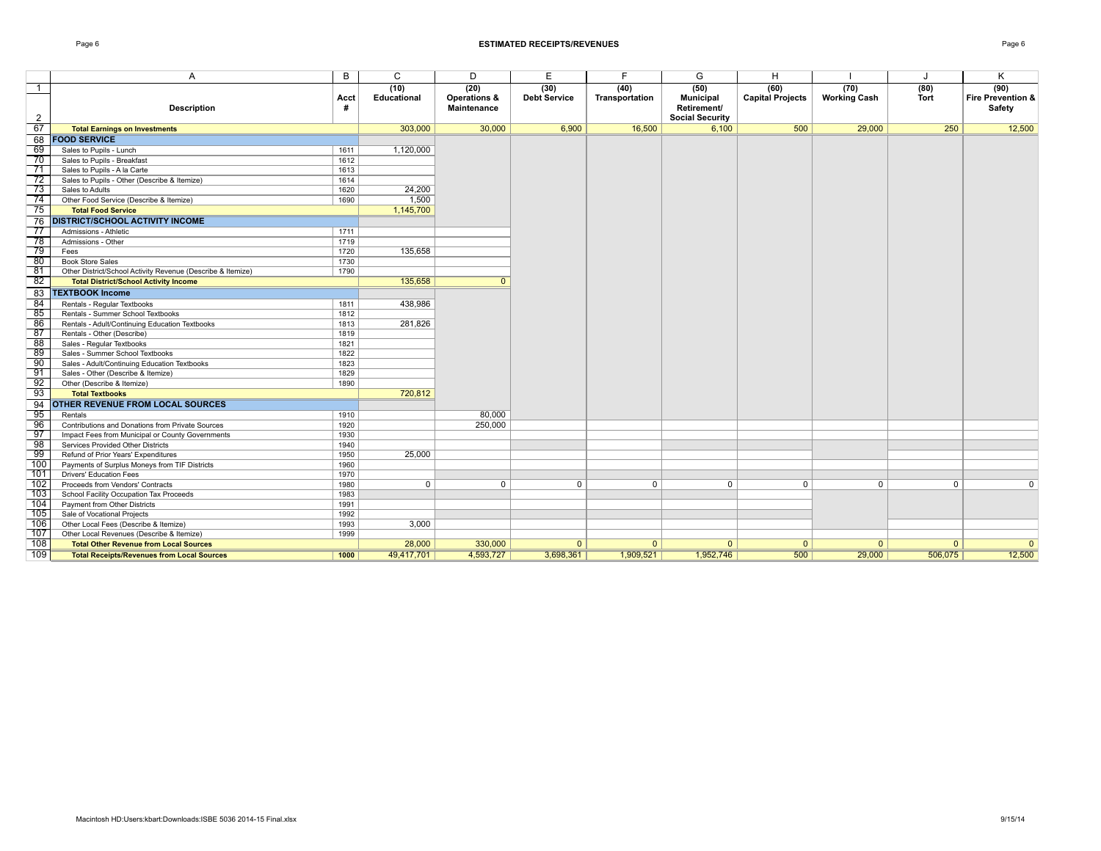| <b>Description</b>                                          | Acct<br># | (10)<br>Educational | (20)<br>Operations &<br>Maintenance | (30)<br><b>Debt Service</b> | (40)<br>Transportation | (50)<br><b>Municipal</b><br>Retirement/<br><b>Social Security</b> | (60)<br><b>Capital Projects</b> | (70)<br><b>Working Cash</b> | (80)<br><b>Tort</b> | (90)<br>Fire Prevention &<br>Safety |
|-------------------------------------------------------------|-----------|---------------------|-------------------------------------|-----------------------------|------------------------|-------------------------------------------------------------------|---------------------------------|-----------------------------|---------------------|-------------------------------------|
| <b>Total Earnings on Investments</b>                        |           | 303,000             | 30,000                              | 6,900                       | 16,500                 | 6,100                                                             | 500                             | 29,000                      | 250                 | 12,500                              |
| <b>FOOD SERVICE</b>                                         |           |                     |                                     |                             |                        |                                                                   |                                 |                             |                     |                                     |
| Sales to Pupils - Lunch                                     | 1611      | 1,120,000           |                                     |                             |                        |                                                                   |                                 |                             |                     |                                     |
| Sales to Pupils - Breakfast                                 | 1612      |                     |                                     |                             |                        |                                                                   |                                 |                             |                     |                                     |
| Sales to Pupils - A la Carte                                | 1613      |                     |                                     |                             |                        |                                                                   |                                 |                             |                     |                                     |
| Sales to Pupils - Other (Describe & Itemize)                | 1614      |                     |                                     |                             |                        |                                                                   |                                 |                             |                     |                                     |
| Sales to Adults                                             | 1620      | 24,200              |                                     |                             |                        |                                                                   |                                 |                             |                     |                                     |
| Other Food Service (Describe & Itemize)                     | 1690      | 1,500               |                                     |                             |                        |                                                                   |                                 |                             |                     |                                     |
| <b>Total Food Service</b>                                   |           | 1,145,700           |                                     |                             |                        |                                                                   |                                 |                             |                     |                                     |
| <b>DISTRICT/SCHOOL ACTIVITY INCOME</b>                      |           |                     |                                     |                             |                        |                                                                   |                                 |                             |                     |                                     |
| Admissions - Athletic                                       | 1711      |                     |                                     |                             |                        |                                                                   |                                 |                             |                     |                                     |
| Admissions - Other                                          | 1719      |                     |                                     |                             |                        |                                                                   |                                 |                             |                     |                                     |
| Fees                                                        | 1720      | 135,658             |                                     |                             |                        |                                                                   |                                 |                             |                     |                                     |
| <b>Book Store Sales</b>                                     | 1730      |                     |                                     |                             |                        |                                                                   |                                 |                             |                     |                                     |
| Other District/School Activity Revenue (Describe & Itemize) | 1790      |                     |                                     |                             |                        |                                                                   |                                 |                             |                     |                                     |
| <b>Total District/School Activity Income</b>                |           | 135,658             | $\overline{0}$                      |                             |                        |                                                                   |                                 |                             |                     |                                     |
| <b>TEXTBOOK Income</b>                                      |           |                     |                                     |                             |                        |                                                                   |                                 |                             |                     |                                     |
| Rentals - Regular Textbooks                                 | 1811      | 438.986             |                                     |                             |                        |                                                                   |                                 |                             |                     |                                     |
| Rentals - Summer School Textbooks                           | 1812      |                     |                                     |                             |                        |                                                                   |                                 |                             |                     |                                     |
| Rentals - Adult/Continuing Education Textbooks              | 1813      | 281,826             |                                     |                             |                        |                                                                   |                                 |                             |                     |                                     |
| Rentals - Other (Describe)                                  | 1819      |                     |                                     |                             |                        |                                                                   |                                 |                             |                     |                                     |
| Sales - Regular Textbooks                                   | 1821      |                     |                                     |                             |                        |                                                                   |                                 |                             |                     |                                     |
| Sales - Summer School Textbooks                             | 1822      |                     |                                     |                             |                        |                                                                   |                                 |                             |                     |                                     |
| Sales - Adult/Continuing Education Textbooks                | 1823      |                     |                                     |                             |                        |                                                                   |                                 |                             |                     |                                     |
| Sales - Other (Describe & Itemize)                          | 1829      |                     |                                     |                             |                        |                                                                   |                                 |                             |                     |                                     |
| Other (Describe & Itemize)                                  | 1890      |                     |                                     |                             |                        |                                                                   |                                 |                             |                     |                                     |
| <b>Total Textbooks</b>                                      |           | 720,812             |                                     |                             |                        |                                                                   |                                 |                             |                     |                                     |
| <b>OTHER REVENUE FROM LOCAL SOURCES</b>                     |           |                     |                                     |                             |                        |                                                                   |                                 |                             |                     |                                     |
| Rentals                                                     | 1910      |                     | 80,000                              |                             |                        |                                                                   |                                 |                             |                     |                                     |
| Contributions and Donations from Private Sources            | 1920      |                     | 250,000                             |                             |                        |                                                                   |                                 |                             |                     |                                     |
| Impact Fees from Municipal or County Governments            | 1930      |                     |                                     |                             |                        |                                                                   |                                 |                             |                     |                                     |
| Services Provided Other Districts                           | 1940      |                     |                                     |                             |                        |                                                                   |                                 |                             |                     |                                     |
| Refund of Prior Years' Expenditures                         | 1950      | 25,000              |                                     |                             |                        |                                                                   |                                 |                             |                     |                                     |
| Payments of Surplus Moneys from TIF Districts               | 1960      |                     |                                     |                             |                        |                                                                   |                                 |                             |                     |                                     |
| Drivers' Education Fees                                     | 1970      |                     |                                     |                             |                        |                                                                   |                                 |                             |                     |                                     |
| Proceeds from Vendors' Contracts                            | 1980      | $\overline{0}$      | $\overline{0}$                      | $\Omega$                    | $\mathbf 0$            | $\mathbf 0$                                                       | $\overline{0}$                  | $\Omega$                    | $\Omega$            | $\overline{0}$                      |
| School Facility Occupation Tax Proceeds                     | 1983      |                     |                                     |                             |                        |                                                                   |                                 |                             |                     |                                     |
| Payment from Other Districts                                | 1991      |                     |                                     |                             |                        |                                                                   |                                 |                             |                     |                                     |
| Sale of Vocational Projects                                 | 1992      |                     |                                     |                             |                        |                                                                   |                                 |                             |                     |                                     |
| Other Local Fees (Describe & Itemize)                       | 1993      | 3,000               |                                     |                             |                        |                                                                   |                                 |                             |                     |                                     |
| Other Local Revenues (Describe & Itemize)                   | 1999      |                     |                                     |                             |                        |                                                                   |                                 |                             |                     |                                     |
| <b>Total Other Revenue from Local Sources</b>               |           | 28,000              | 330,000                             | $\Omega$                    | $\mathbf{0}$           | $\mathbf{0}$                                                      | $\mathbf{0}$                    | - 0                         | $\mathbf{0}$        | $\mathbf{0}$<br>12.500              |
| <b>Total Receipts/Revenues from Local Sources</b>           | 1000      | 49.417.701          | 4,593,727                           | 3.698.361                   | 1,909,521              | 1,952,746                                                         | 500                             | 29,000                      | 506.075             |                                     |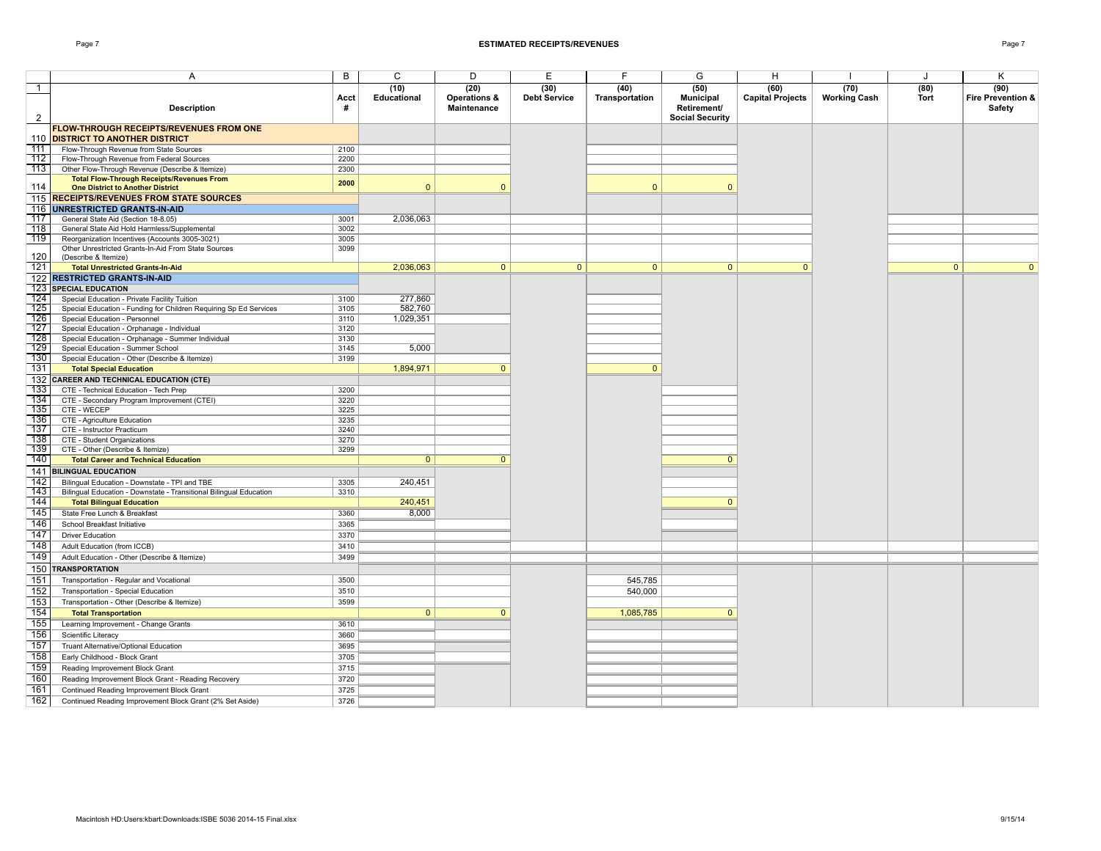|                                                                                             | Acct         | (10)<br><b>Educational</b> | (20)<br>Operations & | (30)<br><b>Debt Service</b> | (40)<br>Transportation | (50)<br><b>Municipal</b>              | (60)<br><b>Capital Projects</b> | (70)<br><b>Working Cash</b> | (80)<br><b>Tort</b> | (90)<br>Fire Prevention & |
|---------------------------------------------------------------------------------------------|--------------|----------------------------|----------------------|-----------------------------|------------------------|---------------------------------------|---------------------------------|-----------------------------|---------------------|---------------------------|
| <b>Description</b>                                                                          | #            |                            | <b>Maintenance</b>   |                             |                        | Retirement/<br><b>Social Security</b> |                                 |                             |                     | Safety                    |
| <b>FLOW-THROUGH RECEIPTS/REVENUES FROM ONE</b>                                              |              |                            |                      |                             |                        |                                       |                                 |                             |                     |                           |
| <b>DISTRICT TO ANOTHER DISTRICT</b>                                                         |              |                            |                      |                             |                        |                                       |                                 |                             |                     |                           |
| Flow-Through Revenue from State Sources                                                     | 2100         |                            |                      |                             |                        |                                       |                                 |                             |                     |                           |
| Flow-Through Revenue from Federal Sources                                                   | 2200         |                            |                      |                             |                        |                                       |                                 |                             |                     |                           |
| Other Flow-Through Revenue (Describe & Itemize)                                             | 2300         |                            |                      |                             |                        |                                       |                                 |                             |                     |                           |
| <b>Total Flow-Through Receipts/Revenues From</b><br><b>One District to Another District</b> | 2000         | $\mathbf{0}$               | $\Omega$             |                             | $\Omega$               | $\Omega$                              |                                 |                             |                     |                           |
| <b>RECEIPTS/REVENUES FROM STATE SOURCES</b>                                                 |              |                            |                      |                             |                        |                                       |                                 |                             |                     |                           |
| <b>UNRESTRICTED GRANTS-IN-AID</b>                                                           |              |                            |                      |                             |                        |                                       |                                 |                             |                     |                           |
| General State Aid (Section 18-8.05)                                                         | 3001         | 2,036,063                  |                      |                             |                        |                                       |                                 |                             |                     |                           |
| General State Aid Hold Harmless/Supplemental                                                | 3002         |                            |                      |                             |                        |                                       |                                 |                             |                     |                           |
| Reorganization Incentives (Accounts 3005-3021)                                              | 3005         |                            |                      |                             |                        |                                       |                                 |                             |                     |                           |
| Other Unrestricted Grants-In-Aid From State Sources                                         | 3099         |                            |                      |                             |                        |                                       |                                 |                             |                     |                           |
| (Describe & Itemize)                                                                        |              |                            |                      |                             |                        |                                       |                                 |                             |                     |                           |
| <b>Total Unrestricted Grants-In-Aid</b>                                                     |              | 2,036,063                  | $\overline{0}$       | $\mathbf{0}$                | $\overline{0}$         | $\overline{0}$                        | $\mathbf{0}$                    |                             | $\mathbf{0}$        | $\overline{0}$            |
| <b>RESTRICTED GRANTS-IN-AID</b>                                                             |              |                            |                      |                             |                        |                                       |                                 |                             |                     |                           |
| <b>SPECIAL EDUCATION</b>                                                                    |              |                            |                      |                             |                        |                                       |                                 |                             |                     |                           |
| Special Education - Private Facility Tuition                                                | 3100         | 277,860                    |                      |                             |                        |                                       |                                 |                             |                     |                           |
| Special Education - Funding for Children Requiring Sp Ed Services                           | 3105         | 582,760                    |                      |                             |                        |                                       |                                 |                             |                     |                           |
| Special Education - Personnel                                                               | 3110         | 1,029,351                  |                      |                             |                        |                                       |                                 |                             |                     |                           |
| Special Education - Orphanage - Individual                                                  | 3120         |                            |                      |                             |                        |                                       |                                 |                             |                     |                           |
| Special Education - Orphanage - Summer Individual                                           | 3130         |                            |                      |                             |                        |                                       |                                 |                             |                     |                           |
| Special Education - Summer School                                                           | 3145<br>3199 | 5,000                      |                      |                             |                        |                                       |                                 |                             |                     |                           |
| Special Education - Other (Describe & Itemize)                                              |              | 1,894,971                  | $\Omega$             |                             | $\mathbf{0}$           |                                       |                                 |                             |                     |                           |
| <b>Total Special Education</b>                                                              |              |                            |                      |                             |                        |                                       |                                 |                             |                     |                           |
| <b>CAREER AND TECHNICAL EDUCATION (CTE)</b>                                                 |              |                            |                      |                             |                        |                                       |                                 |                             |                     |                           |
| CTE - Technical Education - Tech Prep                                                       | 3200<br>3220 |                            |                      |                             |                        |                                       |                                 |                             |                     |                           |
| CTE - Secondary Program Improvement (CTEI)<br>CTE - WECEP                                   | 3225         |                            |                      |                             |                        |                                       |                                 |                             |                     |                           |
| CTE - Agriculture Education                                                                 | 3235         |                            |                      |                             |                        |                                       |                                 |                             |                     |                           |
| CTE - Instructor Practicum                                                                  | 3240         |                            |                      |                             |                        |                                       |                                 |                             |                     |                           |
| CTE - Student Organizations                                                                 | 3270         |                            |                      |                             |                        |                                       |                                 |                             |                     |                           |
| CTE - Other (Describe & Itemize)                                                            | 3299         |                            |                      |                             |                        |                                       |                                 |                             |                     |                           |
| <b>Total Career and Technical Education</b>                                                 |              | $\mathbf{0}$               | $\mathbf{0}$         |                             |                        | $\mathbf{0}$                          |                                 |                             |                     |                           |
| <b>BILINGUAL EDUCATION</b>                                                                  |              |                            |                      |                             |                        |                                       |                                 |                             |                     |                           |
| Bilingual Education - Downstate - TPI and TBE                                               | 3305         | 240,451                    |                      |                             |                        |                                       |                                 |                             |                     |                           |
| Bilingual Education - Downstate - Transitional Bilingual Education                          | 3310         |                            |                      |                             |                        |                                       |                                 |                             |                     |                           |
| <b>Total Bilingual Education</b>                                                            |              | 240,451                    |                      |                             |                        | $\Omega$                              |                                 |                             |                     |                           |
| State Free Lunch & Breakfast                                                                | 3360         | 8,000                      |                      |                             |                        |                                       |                                 |                             |                     |                           |
| School Breakfast Initiative                                                                 | 3365         |                            |                      |                             |                        |                                       |                                 |                             |                     |                           |
| <b>Driver Education</b>                                                                     | 3370         |                            |                      |                             |                        |                                       |                                 |                             |                     |                           |
|                                                                                             |              |                            |                      |                             |                        |                                       |                                 |                             |                     |                           |
| Adult Education (from ICCB)                                                                 | 3410         |                            |                      |                             |                        |                                       |                                 |                             |                     |                           |
| Adult Education - Other (Describe & Itemize)                                                | 3499         |                            |                      |                             |                        |                                       |                                 |                             |                     |                           |
| <b>TRANSPORTATION</b>                                                                       |              |                            |                      |                             |                        |                                       |                                 |                             |                     |                           |
| Transportation - Regular and Vocational                                                     | 3500         |                            |                      |                             | 545,785                |                                       |                                 |                             |                     |                           |
| Transportation - Special Education                                                          | 3510         |                            |                      |                             | 540,000                |                                       |                                 |                             |                     |                           |
| Transportation - Other (Describe & Itemize)                                                 | 3599         |                            |                      |                             |                        |                                       |                                 |                             |                     |                           |
| <b>Total Transportation</b>                                                                 |              | $\mathbf{0}$               | $\mathbf{0}$         |                             | 1,085,785              | $\mathbf{0}$                          |                                 |                             |                     |                           |
| Learning Improvement - Change Grants                                                        | 3610         |                            |                      |                             |                        |                                       |                                 |                             |                     |                           |
| Scientific Literacy                                                                         | 3660         |                            |                      |                             |                        |                                       |                                 |                             |                     |                           |
| Truant Alternative/Optional Education                                                       | 3695         |                            |                      |                             |                        |                                       |                                 |                             |                     |                           |
| Early Childhood - Block Grant                                                               | 3705         |                            |                      |                             |                        |                                       |                                 |                             |                     |                           |
| Reading Improvement Block Grant                                                             | 3715         |                            |                      |                             |                        |                                       |                                 |                             |                     |                           |
| Reading Improvement Block Grant - Reading Recovery                                          | 3720         |                            |                      |                             |                        |                                       |                                 |                             |                     |                           |
| Continued Reading Improvement Block Grant                                                   | 3725         |                            |                      |                             |                        |                                       |                                 |                             |                     |                           |
| Continued Reading Improvement Block Grant (2% Set Aside)                                    | 3726         |                            |                      |                             |                        |                                       |                                 |                             |                     |                           |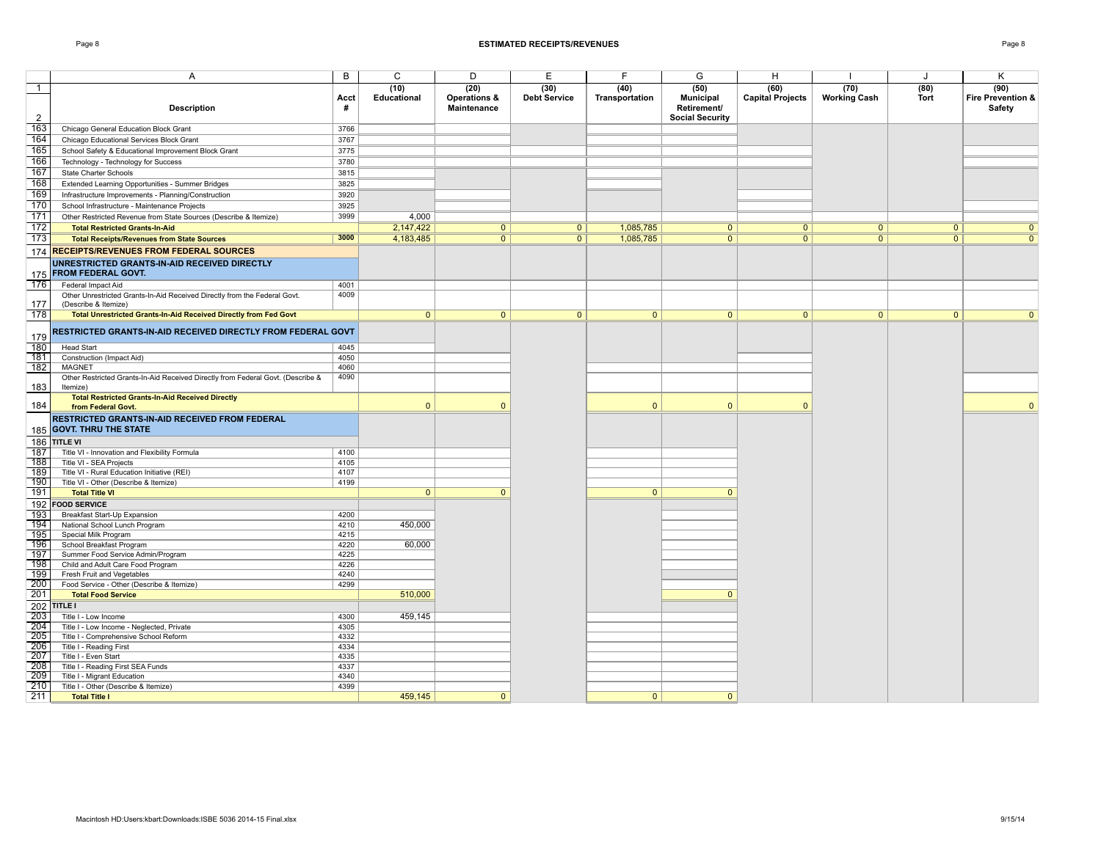| <b>Description</b>                                                                                | Acct<br>#    | (10)<br>Educational | (20)<br>Operations &<br>Maintenance | (30)<br><b>Debt Service</b> | (40)<br>Transportation | (50)<br><b>Municipal</b><br>Retirement/<br><b>Social Security</b> | (60)<br><b>Capital Projects</b> | (70)<br><b>Working Cash</b> | (80)<br><b>Tort</b> | (90)<br>Fire Prevention &<br>Safety |
|---------------------------------------------------------------------------------------------------|--------------|---------------------|-------------------------------------|-----------------------------|------------------------|-------------------------------------------------------------------|---------------------------------|-----------------------------|---------------------|-------------------------------------|
| Chicago General Education Block Grant                                                             | 3766         |                     |                                     |                             |                        |                                                                   |                                 |                             |                     |                                     |
| Chicago Educational Services Block Grant                                                          | 3767         |                     |                                     |                             |                        |                                                                   |                                 |                             |                     |                                     |
| School Safety & Educational Improvement Block Grant                                               | 3775         |                     |                                     |                             |                        |                                                                   |                                 |                             |                     |                                     |
| Technology - Technology for Success                                                               | 3780         |                     |                                     |                             |                        |                                                                   |                                 |                             |                     |                                     |
| <b>State Charter Schools</b>                                                                      | 3815         |                     |                                     |                             |                        |                                                                   |                                 |                             |                     |                                     |
| Extended Learning Opportunities - Summer Bridges                                                  | 3825         |                     |                                     |                             |                        |                                                                   |                                 |                             |                     |                                     |
| Infrastructure Improvements - Planning/Construction                                               | 3920         |                     |                                     |                             |                        |                                                                   |                                 |                             |                     |                                     |
| School Infrastructure - Maintenance Projects                                                      | 3925         |                     |                                     |                             |                        |                                                                   |                                 |                             |                     |                                     |
| Other Restricted Revenue from State Sources (Describe & Itemize)                                  | 3999         | 4,000               |                                     |                             |                        |                                                                   |                                 |                             |                     |                                     |
| <b>Total Restricted Grants-In-Aid</b>                                                             |              | 2,147,422           | $\overline{0}$                      | $\overline{0}$              | 1,085,785              | 0                                                                 | $\overline{0}$                  | $\overline{0}$              | $\overline{0}$      | $\overline{0}$                      |
| <b>Total Receipts/Revenues from State Sources</b>                                                 | 3000         | 4,183,485           | $\overline{0}$                      | 0 <sup>1</sup>              | 1,085,785              | $\overline{0}$                                                    | $\overline{0}$                  | $\overline{0}$              | $\overline{0}$      | $\overline{0}$                      |
| <b>RECEIPTS/REVENUES FROM FEDERAL SOURCES</b>                                                     |              |                     |                                     |                             |                        |                                                                   |                                 |                             |                     |                                     |
| UNRESTRICTED GRANTS-IN-AID RECEIVED DIRECTLY<br><b>FROM FEDERAL GOVT.</b>                         |              |                     |                                     |                             |                        |                                                                   |                                 |                             |                     |                                     |
| Federal Impact Aid                                                                                | 4001         |                     |                                     |                             |                        |                                                                   |                                 |                             |                     |                                     |
| Other Unrestricted Grants-In-Aid Received Directly from the Federal Govt.<br>(Describe & Itemize) | 4009         |                     |                                     |                             |                        |                                                                   |                                 |                             |                     |                                     |
| Total Unrestricted Grants-In-Aid Received Directly from Fed Govt                                  |              | $\overline{0}$      | $\mathbf{0}$                        | $\mathbf{0}$                | $\mathbf{0}$           | $\overline{0}$                                                    | $\mathbf{0}$                    | $\mathbf{0}$                | $\mathbf{0}$        | $\mathbf{0}$                        |
| RESTRICTED GRANTS IN AID RECEIVED DIRECTLY FROM FEDERAL GOVT                                      |              |                     |                                     |                             |                        |                                                                   |                                 |                             |                     |                                     |
| <b>Head Start</b>                                                                                 | 4045         |                     |                                     |                             |                        |                                                                   |                                 |                             |                     |                                     |
| Construction (Impact Aid)                                                                         | 4050         |                     |                                     |                             |                        |                                                                   |                                 |                             |                     |                                     |
| <b>MAGNET</b>                                                                                     | 4060         |                     |                                     |                             |                        |                                                                   |                                 |                             |                     |                                     |
| Other Restricted Grants-In-Aid Received Directly from Federal Govt. (Describe &<br>Itemize)       | 4090         |                     |                                     |                             |                        |                                                                   |                                 |                             |                     |                                     |
| <b>Total Restricted Grants-In-Aid Received Directly</b><br>from Federal Govt.                     |              | $\mathbf{0}$        | $\Omega$                            |                             | $\Omega$               | $\Omega$                                                          | $\Omega$                        |                             |                     | $\mathbf{0}$                        |
| RESTRICTED GRANTS-IN-AID RECEIVED FROM FEDERAL<br><b>GOVT. THRU THE STATE</b>                     |              |                     |                                     |                             |                        |                                                                   |                                 |                             |                     |                                     |
| TITLE VI                                                                                          |              |                     |                                     |                             |                        |                                                                   |                                 |                             |                     |                                     |
| Title VI - Innovation and Flexibility Formula                                                     | 4100         |                     |                                     |                             |                        |                                                                   |                                 |                             |                     |                                     |
| Title VI - SEA Projects                                                                           | 4105         |                     |                                     |                             |                        |                                                                   |                                 |                             |                     |                                     |
| Title VI - Rural Education Initiative (REI)                                                       | 4107         |                     |                                     |                             |                        |                                                                   |                                 |                             |                     |                                     |
| Title VI - Other (Describe & Itemize)                                                             | 4199         |                     |                                     |                             |                        |                                                                   |                                 |                             |                     |                                     |
| <b>Total Title VI</b>                                                                             |              | $\overline{0}$      | $\overline{0}$                      |                             | $\overline{0}$         | $\mathbf{0}$                                                      |                                 |                             |                     |                                     |
| <b>FOOD SERVICE</b>                                                                               |              |                     |                                     |                             |                        |                                                                   |                                 |                             |                     |                                     |
| Breakfast Start-Up Expansion                                                                      | 4200         |                     |                                     |                             |                        |                                                                   |                                 |                             |                     |                                     |
| National School Lunch Program                                                                     | 4210         | 450,000             |                                     |                             |                        |                                                                   |                                 |                             |                     |                                     |
| Special Milk Program                                                                              | 4215         |                     |                                     |                             |                        |                                                                   |                                 |                             |                     |                                     |
| School Breakfast Program                                                                          | 4220         | 60,000              |                                     |                             |                        |                                                                   |                                 |                             |                     |                                     |
| Summer Food Service Admin/Program                                                                 | 4225         |                     |                                     |                             |                        |                                                                   |                                 |                             |                     |                                     |
| Child and Adult Care Food Program                                                                 | 4226         |                     |                                     |                             |                        |                                                                   |                                 |                             |                     |                                     |
| Fresh Fruit and Vegetables                                                                        | 4240<br>4299 |                     |                                     |                             |                        |                                                                   |                                 |                             |                     |                                     |
| Food Service - Other (Describe & Itemize)<br><b>Total Food Service</b>                            |              | 510,000             |                                     |                             |                        | $\Omega$                                                          |                                 |                             |                     |                                     |
|                                                                                                   |              |                     |                                     |                             |                        |                                                                   |                                 |                             |                     |                                     |
| TITLE I                                                                                           | 4300         | 459,145             |                                     |                             |                        |                                                                   |                                 |                             |                     |                                     |
| Title I - Low Income<br>Title I - Low Income - Neglected, Private                                 | 4305         |                     |                                     |                             |                        |                                                                   |                                 |                             |                     |                                     |
| Title I - Comprehensive School Reform                                                             | 4332         |                     |                                     |                             |                        |                                                                   |                                 |                             |                     |                                     |
| Title I - Reading First                                                                           | 4334         |                     |                                     |                             |                        |                                                                   |                                 |                             |                     |                                     |
| Title I - Even Start                                                                              | 4335         |                     |                                     |                             |                        |                                                                   |                                 |                             |                     |                                     |
| Title I - Reading First SEA Funds                                                                 | 4337         |                     |                                     |                             |                        |                                                                   |                                 |                             |                     |                                     |
| Title I - Migrant Education                                                                       | 4340         |                     |                                     |                             |                        |                                                                   |                                 |                             |                     |                                     |
| Title I - Other (Describe & Itemize)                                                              | 4399         |                     |                                     |                             |                        |                                                                   |                                 |                             |                     |                                     |
| <b>Total Title I</b>                                                                              |              | 459,145             | $\mathbf{0}$                        |                             | $\mathbf{0}$           | $\overline{0}$                                                    |                                 |                             |                     |                                     |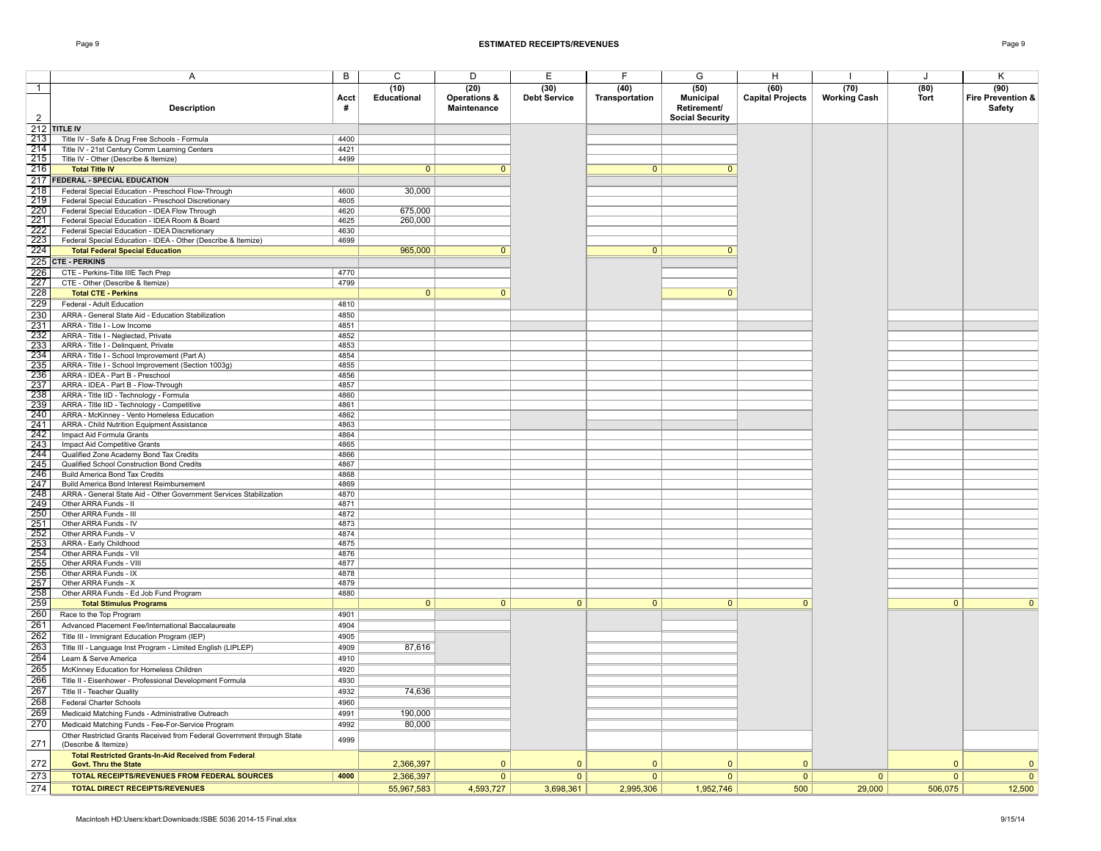| <b>Description</b>                                                                                  | Acct<br>#    | (10)<br>Educational | (20)<br><b>Operations &amp;</b><br>Maintenance | (30)<br><b>Debt Service</b> | (40)<br>Transportation | (50)<br><b>Municipal</b><br>Retirement/<br><b>Social Security</b> | (60)<br><b>Capital Projects</b> | (70)<br><b>Working Cash</b> | (80)<br>Tort   | (90)<br>Fire Prevention &<br><b>Safety</b> |
|-----------------------------------------------------------------------------------------------------|--------------|---------------------|------------------------------------------------|-----------------------------|------------------------|-------------------------------------------------------------------|---------------------------------|-----------------------------|----------------|--------------------------------------------|
| <b>TITLE IV</b>                                                                                     |              |                     |                                                |                             |                        |                                                                   |                                 |                             |                |                                            |
| Title IV - Safe & Drug Free Schools - Formula                                                       | 4400         |                     |                                                |                             |                        |                                                                   |                                 |                             |                |                                            |
| Title IV - 21st Century Comm Learning Centers                                                       | 4421         |                     |                                                |                             |                        |                                                                   |                                 |                             |                |                                            |
| Title IV - Other (Describe & Itemize)                                                               | 4499         |                     |                                                |                             |                        | $\Omega$                                                          |                                 |                             |                |                                            |
| <b>Total Title IV</b><br><b>FEDERAL - SPECIAL EDUCATION</b>                                         |              | $\mathbf{0}$        | $\mathbf{0}$                                   |                             | $\mathbf{0}$           |                                                                   |                                 |                             |                |                                            |
| Federal Special Education - Preschool Flow-Through                                                  | 4600         | 30,000              |                                                |                             |                        |                                                                   |                                 |                             |                |                                            |
| Federal Special Education - Preschool Discretionary                                                 | 4605         |                     |                                                |                             |                        |                                                                   |                                 |                             |                |                                            |
| Federal Special Education - IDEA Flow Through                                                       | 4620         | 675,000             |                                                |                             |                        |                                                                   |                                 |                             |                |                                            |
| Federal Special Education - IDEA Room & Board                                                       | 4625         | 260,000             |                                                |                             |                        |                                                                   |                                 |                             |                |                                            |
| Federal Special Education - IDEA Discretionary                                                      | 4630         |                     |                                                |                             |                        |                                                                   |                                 |                             |                |                                            |
| Federal Special Education - IDEA - Other (Describe & Itemize)                                       | 4699         |                     |                                                |                             |                        |                                                                   |                                 |                             |                |                                            |
| <b>Total Federal Special Education</b>                                                              |              | 965,000             | $\overline{0}$                                 |                             | $\mathbf{0}$           | $\mathbf{0}$                                                      |                                 |                             |                |                                            |
| <b>CTE - PERKINS</b>                                                                                |              |                     |                                                |                             |                        |                                                                   |                                 |                             |                |                                            |
| CTE - Perkins-Title IIIE Tech Prep                                                                  | 4770         |                     |                                                |                             |                        |                                                                   |                                 |                             |                |                                            |
| CTE - Other (Describe & Itemize)                                                                    | 4799         |                     |                                                |                             |                        |                                                                   |                                 |                             |                |                                            |
| <b>Total CTE - Perkins</b>                                                                          |              | $\mathbf{0}$        | $\overline{0}$                                 |                             |                        | $\overline{0}$                                                    |                                 |                             |                |                                            |
| Federal - Adult Education                                                                           | 4810         |                     |                                                |                             |                        |                                                                   |                                 |                             |                |                                            |
| ARRA - General State Aid - Education Stabilization                                                  | 4850         |                     |                                                |                             |                        |                                                                   |                                 |                             |                |                                            |
| ARRA - Title I - Low Income                                                                         | 4851         |                     |                                                |                             |                        |                                                                   |                                 |                             |                |                                            |
| ARRA - Title I - Neglected, Private                                                                 | 4852         |                     |                                                |                             |                        |                                                                   |                                 |                             |                |                                            |
| ARRA - Title I - Delinquent, Private                                                                | 4853<br>4854 |                     |                                                |                             |                        |                                                                   |                                 |                             |                |                                            |
| ARRA - Title I - School Improvement (Part A)<br>ARRA - Title I - School Improvement (Section 1003g) | 4855         |                     |                                                |                             |                        |                                                                   |                                 |                             |                |                                            |
| ARRA - IDEA - Part B - Preschool                                                                    | 4856         |                     |                                                |                             |                        |                                                                   |                                 |                             |                |                                            |
| ARRA - IDEA - Part B - Flow-Through                                                                 | 4857         |                     |                                                |                             |                        |                                                                   |                                 |                             |                |                                            |
| ARRA - Title IID - Technology - Formula                                                             | 4860         |                     |                                                |                             |                        |                                                                   |                                 |                             |                |                                            |
| ARRA - Title IID - Technology - Competitive                                                         | 4861         |                     |                                                |                             |                        |                                                                   |                                 |                             |                |                                            |
| ARRA - McKinney - Vento Homeless Education                                                          | 4862         |                     |                                                |                             |                        |                                                                   |                                 |                             |                |                                            |
| ARRA - Child Nutrition Equipment Assistance                                                         | 4863         |                     |                                                |                             |                        |                                                                   |                                 |                             |                |                                            |
| Impact Aid Formula Grants                                                                           | 4864         |                     |                                                |                             |                        |                                                                   |                                 |                             |                |                                            |
| Impact Aid Competitive Grants                                                                       | 4865         |                     |                                                |                             |                        |                                                                   |                                 |                             |                |                                            |
| Qualified Zone Academy Bond Tax Credits                                                             | 4866<br>4867 |                     |                                                |                             |                        |                                                                   |                                 |                             |                |                                            |
| Qualified School Construction Bond Credits<br>Build America Bond Tax Credits                        | 4868         |                     |                                                |                             |                        |                                                                   |                                 |                             |                |                                            |
| Build America Bond Interest Reimbursement                                                           | 4869         |                     |                                                |                             |                        |                                                                   |                                 |                             |                |                                            |
| ARRA - General State Aid - Other Government Services Stabilization                                  | 4870         |                     |                                                |                             |                        |                                                                   |                                 |                             |                |                                            |
| Other ARRA Funds - II                                                                               | 4871         |                     |                                                |                             |                        |                                                                   |                                 |                             |                |                                            |
| Other ARRA Funds - III                                                                              | 4872         |                     |                                                |                             |                        |                                                                   |                                 |                             |                |                                            |
| Other ARRA Funds - IV                                                                               | 4873         |                     |                                                |                             |                        |                                                                   |                                 |                             |                |                                            |
| Other ARRA Funds - V                                                                                | 4874         |                     |                                                |                             |                        |                                                                   |                                 |                             |                |                                            |
| ARRA - Early Childhood                                                                              | 4875         |                     |                                                |                             |                        |                                                                   |                                 |                             |                |                                            |
| Other ARRA Funds - VII                                                                              | 4876<br>4877 |                     |                                                |                             |                        |                                                                   |                                 |                             |                |                                            |
| Other ARRA Funds - VIII<br>Other ARRA Funds - IX                                                    | 4878         |                     |                                                |                             |                        |                                                                   |                                 |                             |                |                                            |
| Other ARRA Funds - X                                                                                | 4879         |                     |                                                |                             |                        |                                                                   |                                 |                             |                |                                            |
| Other ARRA Funds - Ed Job Fund Program                                                              | 4880         |                     |                                                |                             |                        |                                                                   |                                 |                             |                |                                            |
| <b>Total Stimulus Programs</b>                                                                      |              | $\overline{0}$      | $\overline{0}$                                 | $\overline{0}$              | $\overline{0}$         | $\overline{0}$                                                    | $\overline{0}$                  |                             | $\overline{0}$ | $\overline{0}$                             |
| Race to the Top Program                                                                             | 4901         |                     |                                                |                             |                        |                                                                   |                                 |                             |                |                                            |
| Advanced Placement Fee/International Baccalaureate                                                  | 4904         |                     |                                                |                             |                        |                                                                   |                                 |                             |                |                                            |
| Title III - Immigrant Education Program (IEP)                                                       | 4905         |                     |                                                |                             |                        |                                                                   |                                 |                             |                |                                            |
| Title III - Language Inst Program - Limited English (LIPLEP)                                        | 4909         | 87,616              |                                                |                             |                        |                                                                   |                                 |                             |                |                                            |
| Learn & Serve America                                                                               | 4910         |                     |                                                |                             |                        |                                                                   |                                 |                             |                |                                            |
| McKinney Education for Homeless Children                                                            | 4920         |                     |                                                |                             |                        |                                                                   |                                 |                             |                |                                            |
| Title II - Eisenhower - Professional Development Formula                                            | 4930         |                     |                                                |                             |                        |                                                                   |                                 |                             |                |                                            |
| Title II - Teacher Quality                                                                          | 4932         | 74,636              |                                                |                             |                        |                                                                   |                                 |                             |                |                                            |
| Federal Charter Schools                                                                             | 4960         |                     |                                                |                             |                        |                                                                   |                                 |                             |                |                                            |
| Medicaid Matching Funds - Administrative Outreach                                                   | 4991         | 190,000             |                                                |                             |                        |                                                                   |                                 |                             |                |                                            |
| Medicaid Matching Funds - Fee-For-Service Program                                                   | 4992         | 80,000              |                                                |                             |                        |                                                                   |                                 |                             |                |                                            |
| Other Restricted Grants Received from Federal Government through State                              |              |                     |                                                |                             |                        |                                                                   |                                 |                             |                |                                            |
| (Describe & Itemize)                                                                                | 4999         |                     |                                                |                             |                        |                                                                   |                                 |                             |                |                                            |
| <b>Total Restricted Grants-In-Aid Received from Federal</b>                                         |              |                     |                                                |                             |                        |                                                                   |                                 |                             |                |                                            |
| <b>Govt. Thru the State</b>                                                                         |              | 2,366,397           | $\mathbf 0$                                    | $\mathbf{0}$                | $\mathbf{0}$           | $\mathbf{0}$                                                      | $\mathbf{0}$                    |                             | $\overline{0}$ | $\mathbf 0$                                |
| <b>TOTAL RECEIPTS/REVENUES FROM FEDERAL SOURCES</b>                                                 | 4000         | 2,366,397           | $\overline{0}$                                 | $\mathbf{0}$                | $\overline{0}$         | $\mathbf{0}$                                                      | 0                               | $\overline{0}$              | $\mathbf{0}$   | $\mathbf{0}$                               |
| <b>TOTAL DIRECT RECEIPTS/REVENUES</b>                                                               |              | 55,967,583          | 4,593,727                                      | 3,698,361                   | 2.995.306              | 1,952,746                                                         | 500                             | 29,000                      | 506,075        | 12,500                                     |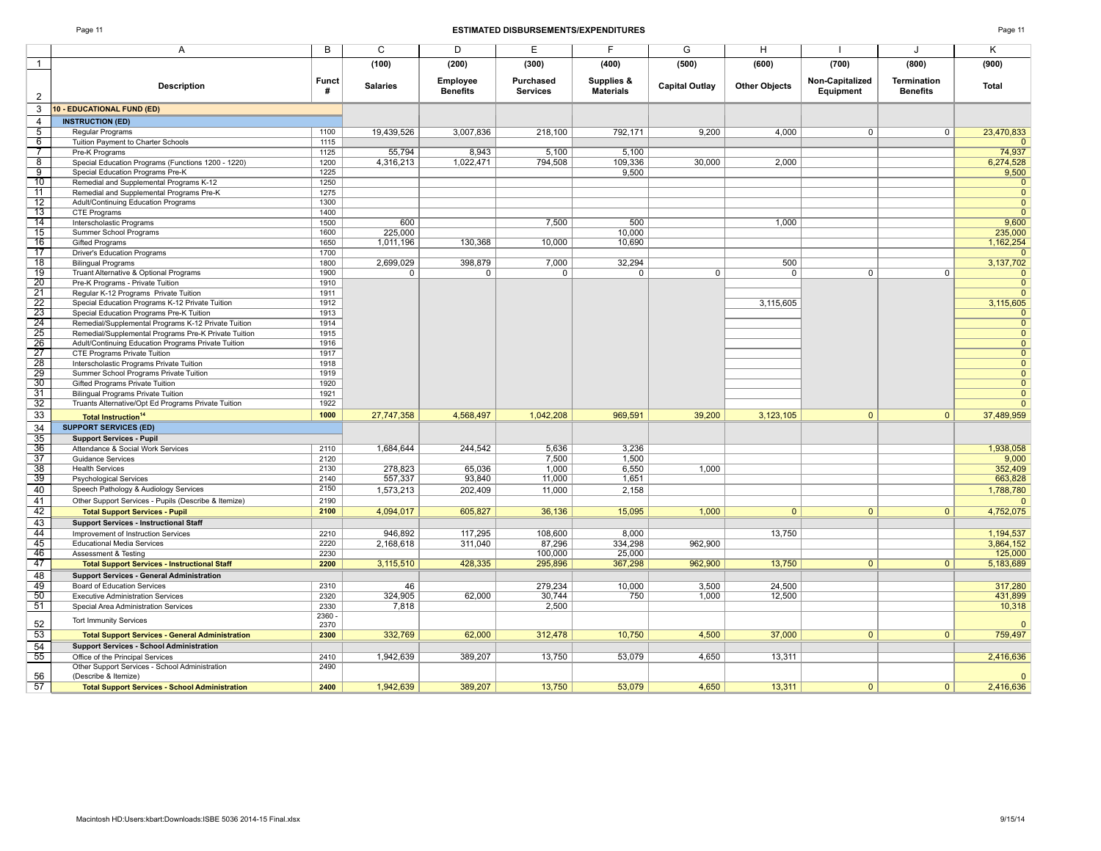|                                                                          |                | (100)           | (200)                       | (300)                        | (400)                          | (500)                 | (600)                | (700)                        | (800)                                 | (900)                  |
|--------------------------------------------------------------------------|----------------|-----------------|-----------------------------|------------------------------|--------------------------------|-----------------------|----------------------|------------------------------|---------------------------------------|------------------------|
| <b>Description</b>                                                       | Funct<br>#     | <b>Salaries</b> | Employee<br><b>Benefits</b> | Purchased<br><b>Services</b> | Supplies &<br><b>Materials</b> | <b>Capital Outlay</b> | <b>Other Objects</b> | Non-Capitalized<br>Equipment | <b>Termination</b><br><b>Benefits</b> | <b>Total</b>           |
| 10 - EDUCATIONAL FUND (ED)                                               |                |                 |                             |                              |                                |                       |                      |                              |                                       |                        |
| <b>INSTRUCTION (ED)</b>                                                  |                |                 |                             |                              |                                |                       |                      |                              |                                       |                        |
| Regular Programs                                                         | 1100           | 19,439,526      | 3,007,836                   | 218,100                      | 792,171                        | 9,200                 | 4.000                | $\overline{0}$               | $\overline{0}$                        | 23,470,833             |
| Tuition Payment to Charter Schools                                       | 1115           |                 |                             |                              |                                |                       |                      |                              |                                       | $\mathbf{0}$           |
| Pre-K Programs                                                           | 1125           | 55,794          | 8,943                       | 5,100                        | 5,100                          |                       |                      |                              |                                       | 74,937                 |
| Special Education Programs (Functions 1200 - 1220)                       | 1200           | 4,316,213       | 1,022,471                   | 794,508                      | 109,336                        | 30,000                | 2,000                |                              |                                       | 6,274,528              |
| Special Education Programs Pre-K                                         | 1225           |                 |                             |                              | 9,500                          |                       |                      |                              |                                       | 9,500                  |
| Remedial and Supplemental Programs K-12                                  | 1250           |                 |                             |                              |                                |                       |                      |                              |                                       | $\overline{0}$         |
| Remedial and Supplemental Programs Pre-K                                 | 1275           |                 |                             |                              |                                |                       |                      |                              |                                       | $\mathbf{0}$           |
| Adult/Continuing Education Programs                                      | 1300           |                 |                             |                              |                                |                       |                      |                              |                                       | $\mathbf{0}$           |
| <b>CTE Programs</b>                                                      | 1400           |                 |                             |                              |                                |                       |                      |                              |                                       | $\overline{0}$         |
| Interscholastic Programs                                                 | 1500           | 600             |                             | 7,500                        | 500                            |                       | 1.000                |                              |                                       | 9,600                  |
| Summer School Programs                                                   | 1600           | 225,000         |                             |                              | 10,000                         |                       |                      |                              |                                       | 235,000                |
| <b>Gifted Programs</b>                                                   | 1650           | 1,011,196       | 130,368                     | 10,000                       | 10,690                         |                       |                      |                              |                                       | 1,162,254              |
| <b>Driver's Education Programs</b>                                       | 1700           |                 |                             |                              |                                |                       |                      |                              |                                       | $\mathbf{0}$           |
| <b>Bilingual Programs</b>                                                | 1800           | 2,699,029       | 398,879                     | 7,000                        | 32.294                         |                       | 500                  |                              |                                       | 3,137,702              |
| Truant Alternative & Optional Programs                                   | 1900           | $\overline{0}$  | $\overline{0}$              | $\overline{0}$               | $\overline{0}$                 | $\overline{0}$        | $\overline{0}$       | $\overline{0}$               | $\overline{0}$                        | $\overline{0}$         |
| Pre-K Programs - Private Tuition                                         | 1910           |                 |                             |                              |                                |                       |                      |                              |                                       | $\mathbf{0}$           |
| Regular K-12 Programs Private Tuition                                    | 1911           |                 |                             |                              |                                |                       |                      |                              |                                       | $\mathbf{0}$           |
| Special Education Programs K-12 Private Tuition                          | 1912           |                 |                             |                              |                                |                       | 3,115,605            |                              |                                       | 3,115,605              |
| Special Education Programs Pre-K Tuition                                 | 1913           |                 |                             |                              |                                |                       |                      |                              |                                       | $\mathbf{0}$           |
| Remedial/Supplemental Programs K-12 Private Tuition                      | 1914           |                 |                             |                              |                                |                       |                      |                              |                                       | $\overline{0}$         |
| Remedial/Supplemental Programs Pre-K Private Tuition                     | 1915           |                 |                             |                              |                                |                       |                      |                              |                                       | $\overline{0}$         |
| Adult/Continuing Education Programs Private Tuition                      | 1916           |                 |                             |                              |                                |                       |                      |                              |                                       | $\overline{0}$         |
| CTE Programs Private Tuition                                             | 1917           |                 |                             |                              |                                |                       |                      |                              |                                       | $\overline{0}$         |
| Interscholastic Programs Private Tuition                                 | 1918           |                 |                             |                              |                                |                       |                      |                              |                                       | $\overline{0}$         |
| Summer School Programs Private Tuition                                   | 1919           |                 |                             |                              |                                |                       |                      |                              |                                       | $\overline{0}$         |
| Gifted Programs Private Tuition                                          | 1920           |                 |                             |                              |                                |                       |                      |                              |                                       | $\overline{0}$         |
| <b>Bilingual Programs Private Tuition</b>                                | 1921           |                 |                             |                              |                                |                       |                      |                              |                                       | $\overline{0}$         |
| Truants Alternative/Opt Ed Programs Private Tuition                      | 1922           |                 |                             |                              |                                |                       |                      |                              |                                       | $\mathbf{0}$           |
| <b>Total Instruction<sup>14</sup></b>                                    | 1000           | 27,747,358      | 4,568,497                   | 1,042,208                    | 969,591                        | 39,200                | 3,123,105            | $\mathbf{0}$                 | $\mathbf{0}$                          | 37,489,959             |
| <b>SUPPORT SERVICES (ED)</b>                                             |                |                 |                             |                              |                                |                       |                      |                              |                                       |                        |
| <b>Support Services - Pupil</b>                                          |                |                 |                             |                              |                                |                       |                      |                              |                                       |                        |
| Attendance & Social Work Services                                        | 2110           | 1,684,644       | 244,542                     | 5,636                        | 3,236                          |                       |                      |                              |                                       | 1,938,058              |
| <b>Guidance Services</b>                                                 | 2120           |                 |                             | 7,500                        | 1,500                          |                       |                      |                              |                                       | 9,000                  |
| <b>Health Services</b>                                                   | 2130           | 278,823         | 65,036                      | 1,000                        | 6,550                          | 1,000                 |                      |                              |                                       | 352,409                |
| <b>Psychological Services</b>                                            | 2140           | 557,337         | 93,840                      | 11,000                       | 1,651                          |                       |                      |                              |                                       | 663,828                |
| Speech Pathology & Audiology Services                                    | 2150           | 1,573,213       | 202,409                     | 11,000                       | 2,158                          |                       |                      |                              |                                       | 1,788,780              |
| Other Support Services - Pupils (Describe & Itemize)                     | 2190           |                 |                             |                              |                                |                       |                      |                              |                                       | $\mathbf{0}$           |
| <b>Total Support Services - Pupil</b>                                    | 2100           | 4,094,017       | 605,827                     | 36,136                       | 15,095                         | 1,000                 | $\Omega$             | $\overline{0}$               | $\mathbf{0}$                          | 4,752,075              |
| <b>Support Services - Instructional Staff</b>                            |                |                 |                             |                              |                                |                       |                      |                              |                                       |                        |
|                                                                          | 2210           | 946.892         | 117,295                     | 108,600                      | 8,000                          |                       | 13,750               |                              |                                       |                        |
| Improvement of Instruction Services<br><b>Educational Media Services</b> | 2220           | 2,168,618       | 311,040                     | 87,296                       | 334,298                        | 962,900               |                      |                              |                                       | 1,194,537<br>3,864,152 |
|                                                                          | 2230           |                 |                             | 100,000                      | 25,000                         |                       |                      |                              |                                       | 125,000                |
| Assessment & Testing                                                     | 2200           | 3,115,510       | 428,335                     | 295,896                      | 367,298                        | 962,900               | 13,750               | $\overline{0}$               | $\overline{0}$                        | 5,183,689              |
| <b>Total Support Services - Instructional Staff</b>                      |                |                 |                             |                              |                                |                       |                      |                              |                                       |                        |
| <b>Support Services - General Administration</b>                         |                |                 |                             |                              |                                |                       |                      |                              |                                       |                        |
| <b>Board of Education Services</b>                                       | 2310           | 46              |                             | 279,234                      | 10,000                         | 3,500                 | 24,500               |                              |                                       | 317,280                |
| <b>Executive Administration Services</b>                                 | 2320           | 324,905         | 62,000                      | 30,744                       | 750                            | 1,000                 | 12,500               |                              |                                       | 431,899                |
| Special Area Administration Services                                     | 2330           | 7,818           |                             | 2,500                        |                                |                       |                      |                              |                                       | 10,318                 |
| <b>Tort Immunity Services</b>                                            | 2360 -<br>2370 |                 |                             |                              |                                |                       |                      |                              |                                       | $\Omega$               |
| <b>Total Support Services - General Administration</b>                   | 2300           | 332,769         | 62,000                      | 312,478                      | 10,750                         | 4,500                 | 37,000               | $\mathbf{0}$                 | $\mathbf{0}$                          | 759,497                |
| <b>Support Services - School Administration</b>                          |                |                 |                             |                              |                                |                       |                      |                              |                                       |                        |
| Office of the Principal Services                                         | 2410           | 1,942,639       | 389,207                     | 13,750                       | 53,079                         | 4,650                 | 13,311               |                              |                                       | 2,416,636              |
| Other Support Services - School Administration<br>(Describe & Itemize)   | 2490           |                 |                             |                              |                                |                       |                      |                              |                                       | $\overline{0}$         |
| <b>Total Support Services - School Administration</b>                    | 2400           | 1.942.639       | 389.207                     | 13,750                       | 53.079                         | 4.650                 | 13.311               | $\overline{0}$               | $\overline{0}$                        | 2,416,636              |
|                                                                          |                |                 |                             |                              |                                |                       |                      |                              |                                       |                        |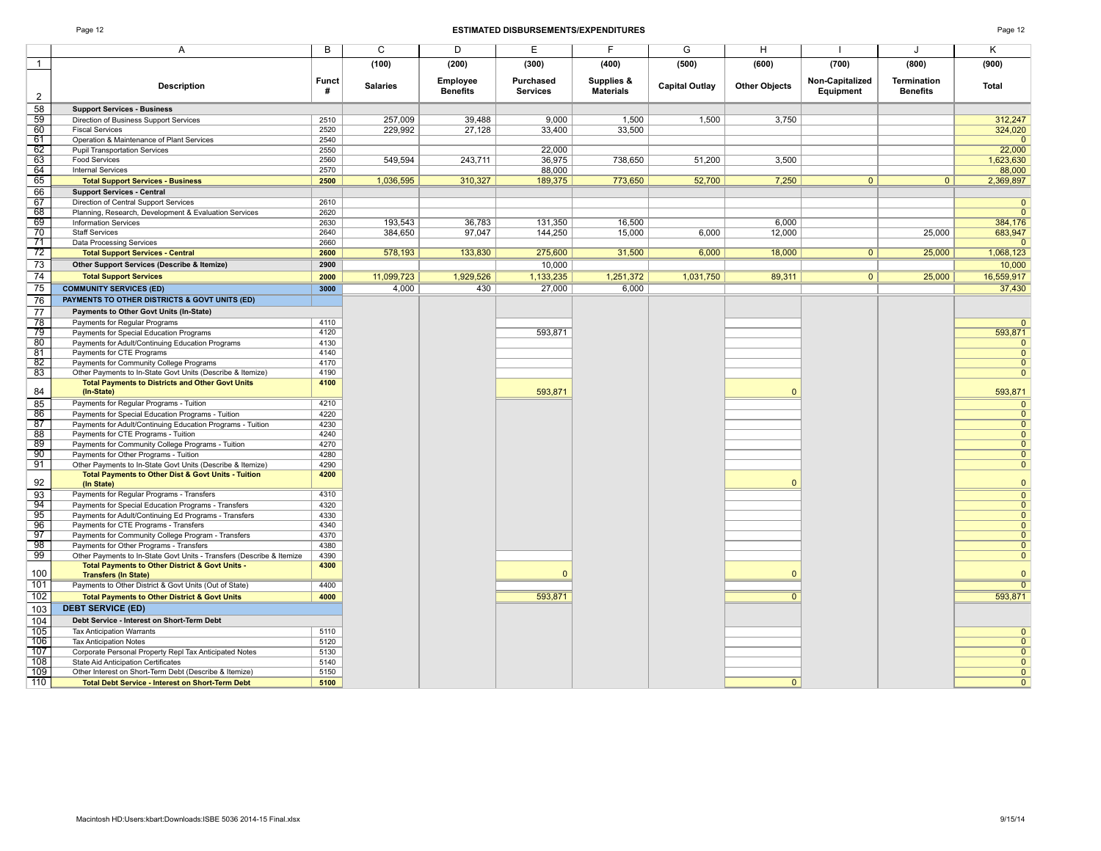|                                                                                                     |              | (100)           | (200)                       | (300)                        | (400)                          | (500)                 | (600)                | (700)                        | (800)                                 | (900)                          |
|-----------------------------------------------------------------------------------------------------|--------------|-----------------|-----------------------------|------------------------------|--------------------------------|-----------------------|----------------------|------------------------------|---------------------------------------|--------------------------------|
| <b>Description</b>                                                                                  | Funct<br>#   | <b>Salaries</b> | Employee<br><b>Benefits</b> | Purchased<br><b>Services</b> | Supplies &<br><b>Materials</b> | <b>Capital Outlay</b> | <b>Other Objects</b> | Non-Capitalized<br>Equipment | <b>Termination</b><br><b>Benefits</b> | Total                          |
| <b>Support Services - Business</b>                                                                  |              |                 |                             |                              |                                |                       |                      |                              |                                       |                                |
| Direction of Business Support Services                                                              | 2510         | 257,009         | 39,488                      | 9,000                        | 1,500                          | 1,500                 | 3,750                |                              |                                       | 312,247                        |
| <b>Fiscal Services</b>                                                                              | 2520         | 229,992         | 27,128                      | 33.400                       | 33,500                         |                       |                      |                              |                                       | 324,020                        |
| Operation & Maintenance of Plant Services                                                           | 2540         |                 |                             |                              |                                |                       |                      |                              |                                       |                                |
| <b>Pupil Transportation Services</b>                                                                | 2550         |                 |                             | 22,000                       |                                |                       |                      |                              |                                       | 22,000                         |
| <b>Food Services</b>                                                                                | 2560         | 549,594         | 243,711                     | 36,975                       | 738,650                        | 51,200                | 3,500                |                              |                                       | 1,623,630                      |
| <b>Internal Services</b>                                                                            | 2570         |                 |                             | 88,000                       |                                |                       |                      |                              |                                       | 88,000                         |
| <b>Total Support Services - Business</b>                                                            | 2500         | 1,036,595       | 310,327                     | 189,375                      | 773,650                        | 52,700                | 7,250                | 0                            | $\overline{0}$                        | 2,369,897                      |
| <b>Support Services - Central</b>                                                                   |              |                 |                             |                              |                                |                       |                      |                              |                                       |                                |
| Direction of Central Support Services                                                               | 2610         |                 |                             |                              |                                |                       |                      |                              |                                       | $\overline{0}$                 |
| Planning, Research, Development & Evaluation Services                                               | 2620         |                 |                             |                              |                                |                       |                      |                              |                                       | $\overline{0}$                 |
| <b>Information Services</b>                                                                         | 2630         | 193,543         | 36,783                      | 131,350                      | 16,500                         |                       | 6,000                |                              |                                       | 384,176                        |
| <b>Staff Services</b>                                                                               | 2640         | 384,650         | 97,047                      | 144,250                      | 15,000                         | 6,000                 | 12,000               |                              | 25,000                                | 683,947                        |
| Data Processing Services                                                                            | 2660         |                 |                             |                              |                                |                       |                      |                              |                                       | $\mathbf{0}$                   |
| <b>Total Support Services - Central</b>                                                             | 2600         | 578,193         | 133,830                     | 275,600                      | 31,500                         | 6,000                 | 18,000               | 0 <sup>1</sup>               | 25,000                                | 1,068,123                      |
| Other Support Services (Describe & Itemize)                                                         | 2900         |                 |                             | 10,000                       |                                |                       |                      |                              |                                       | 10,000                         |
| <b>Total Support Services</b>                                                                       | 2000         | 11,099,723      | 1,929,526                   | 1,133,235                    | 1,251,372                      | 1,031,750             | 89,311               | 0                            | 25,000                                | 16,559,917                     |
| <b>COMMUNITY SERVICES (ED)</b>                                                                      | 3000         | 4,000           | 430                         | 27,000                       | 6,000                          |                       |                      |                              |                                       | 37,430                         |
| PAYMENTS TO OTHER DISTRICTS & GOVT UNITS (ED)                                                       |              |                 |                             |                              |                                |                       |                      |                              |                                       |                                |
| Payments to Other Govt Units (In-State)                                                             |              |                 |                             |                              |                                |                       |                      |                              |                                       |                                |
| Payments for Regular Programs                                                                       | 4110         |                 |                             |                              |                                |                       |                      |                              |                                       | $\overline{0}$                 |
| Payments for Special Education Programs                                                             | 4120         |                 |                             | 593,871                      |                                |                       |                      |                              |                                       | 593,871                        |
| Payments for Adult/Continuing Education Programs                                                    | 4130         |                 |                             |                              |                                |                       |                      |                              |                                       | $\mathbf{0}$                   |
| Payments for CTE Programs                                                                           | 4140         |                 |                             |                              |                                |                       |                      |                              |                                       | $\overline{0}$                 |
| Payments for Community College Programs                                                             | 4170         |                 |                             |                              |                                |                       |                      |                              |                                       | $\overline{0}$                 |
| Other Payments to In-State Govt Units (Describe & Itemize)                                          | 4190         |                 |                             |                              |                                |                       |                      |                              |                                       | $\mathbf{0}$                   |
| <b>Total Payments to Districts and Other Govt Units</b>                                             | 4100         |                 |                             |                              |                                |                       |                      |                              |                                       |                                |
| (In-State)                                                                                          |              |                 |                             | 593,871                      |                                |                       | $\Omega$             |                              |                                       | 593,871                        |
| Payments for Regular Programs - Tuition                                                             | 4210         |                 |                             |                              |                                |                       |                      |                              |                                       | $\mathbf{0}$                   |
| Payments for Special Education Programs - Tuition                                                   | 4220         |                 |                             |                              |                                |                       |                      |                              |                                       | $\overline{0}$                 |
| Payments for Adult/Continuing Education Programs - Tuition                                          | 4230         |                 |                             |                              |                                |                       |                      |                              |                                       | $\overline{0}$                 |
| Payments for CTE Programs - Tuition                                                                 | 4240         |                 |                             |                              |                                |                       |                      |                              |                                       | $\overline{0}$                 |
| Payments for Community College Programs - Tuition                                                   | 4270         |                 |                             |                              |                                |                       |                      |                              |                                       | $\overline{0}$                 |
| Payments for Other Programs - Tuition<br>Other Payments to In-State Govt Units (Describe & Itemize) | 4280<br>4290 |                 |                             |                              |                                |                       |                      |                              |                                       | $\overline{0}$<br>$\mathbf{0}$ |
| Total Payments to Other Dist & Govt Units - Tuition                                                 | 4200         |                 |                             |                              |                                |                       |                      |                              |                                       |                                |
| (In State)                                                                                          |              |                 |                             |                              |                                |                       | $\Omega$             |                              |                                       | $\mathbf{0}$                   |
| Payments for Regular Programs - Transfers                                                           | 4310         |                 |                             |                              |                                |                       |                      |                              |                                       | $\overline{0}$                 |
| Payments for Special Education Programs - Transfers                                                 | 4320         |                 |                             |                              |                                |                       |                      |                              |                                       | $\overline{0}$                 |
| Payments for Adult/Continuing Ed Programs - Transfers                                               | 4330         |                 |                             |                              |                                |                       |                      |                              |                                       | $\overline{0}$                 |
| Payments for CTE Programs - Transfers                                                               | 4340         |                 |                             |                              |                                |                       |                      |                              |                                       | $\overline{0}$                 |
| Payments for Community College Program - Transfers                                                  | 4370         |                 |                             |                              |                                |                       |                      |                              |                                       | $\mathbf{0}$                   |
| Payments for Other Programs - Transfers                                                             | 4380         |                 |                             |                              |                                |                       |                      |                              |                                       | $\overline{0}$                 |
| Other Payments to In-State Govt Units - Transfers (Describe & Itemize                               | 4390         |                 |                             |                              |                                |                       |                      |                              |                                       | $\overline{0}$                 |
| Total Payments to Other District & Govt Units -<br><b>Transfers (In State)</b>                      | 4300         |                 |                             | $\Omega$                     |                                |                       | $\Omega$             |                              |                                       | $\mathbf{0}$                   |
| Payments to Other District & Govt Units (Out of State)                                              | 4400         |                 |                             |                              |                                |                       |                      |                              |                                       | $\overline{0}$                 |
| <b>Total Payments to Other District &amp; Govt Units</b>                                            | 4000         |                 |                             | 593,871                      |                                |                       | $\overline{0}$       |                              |                                       | 593,871                        |
| <b>DEBT SERVICE (ED)</b>                                                                            |              |                 |                             |                              |                                |                       |                      |                              |                                       |                                |
| Debt Service - Interest on Short-Term Debt                                                          |              |                 |                             |                              |                                |                       |                      |                              |                                       |                                |
| <b>Tax Anticipation Warrants</b>                                                                    | 5110         |                 |                             |                              |                                |                       |                      |                              |                                       | $\mathbf{0}$                   |
| <b>Tax Anticipation Notes</b>                                                                       | 5120         |                 |                             |                              |                                |                       |                      |                              |                                       | $\overline{0}$                 |
| Corporate Personal Property Repl Tax Anticipated Notes                                              | 5130         |                 |                             |                              |                                |                       |                      |                              |                                       | $\overline{0}$                 |
| <b>State Aid Anticipation Certificates</b>                                                          | 5140         |                 |                             |                              |                                |                       |                      |                              |                                       | $\overline{0}$                 |
| Other Interest on Short-Term Debt (Describe & Itemize)                                              | 5150         |                 |                             |                              |                                |                       |                      |                              |                                       | $\overline{0}$                 |
| <b>Total Debt Service - Interest on Short-Term Debt</b>                                             | 5100         |                 |                             |                              |                                |                       | $\Omega$             |                              |                                       | $\overline{0}$                 |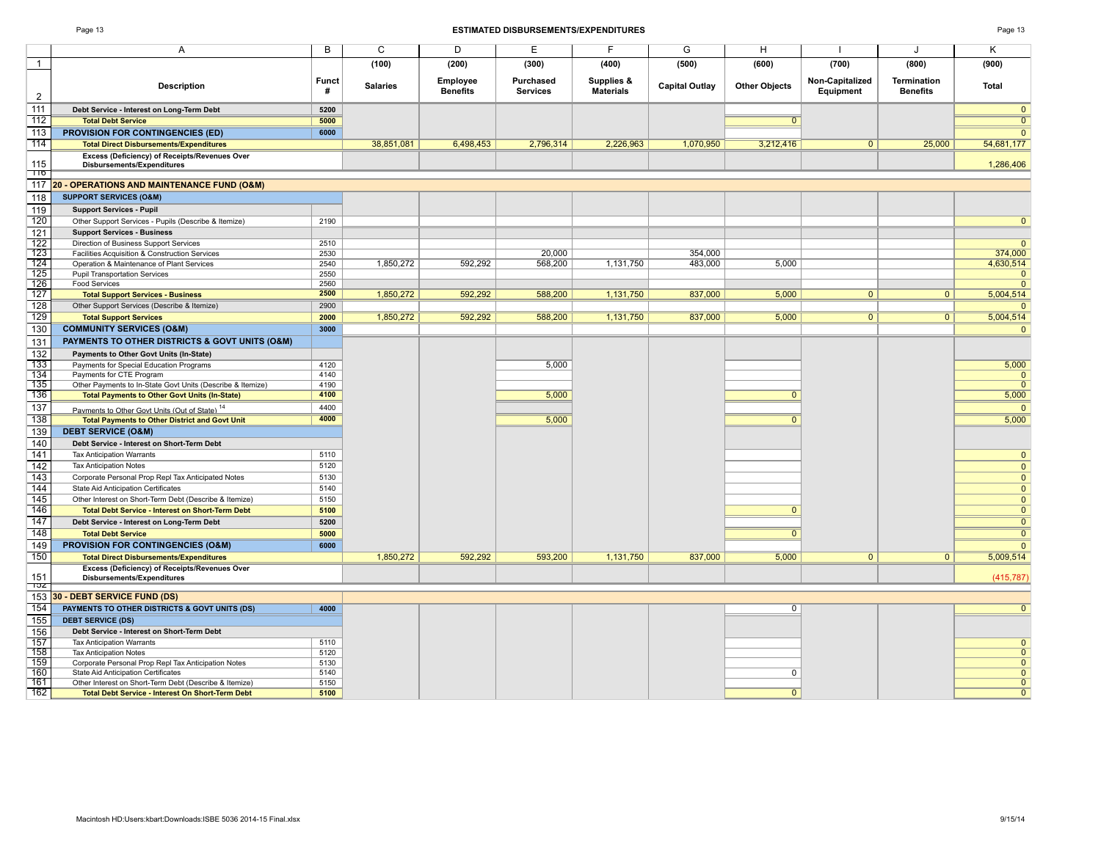|                                                                                    |                   | (100)           | (200)                       | (300)                 | (400)                          | (500)                 | (600)                | (700)                        | (800)                          | (900)          |
|------------------------------------------------------------------------------------|-------------------|-----------------|-----------------------------|-----------------------|--------------------------------|-----------------------|----------------------|------------------------------|--------------------------------|----------------|
| <b>Description</b>                                                                 | <b>Funct</b><br># | <b>Salaries</b> | Employee<br><b>Benefits</b> | Purchased<br>Services | Supplies &<br><b>Materials</b> | <b>Capital Outlay</b> | <b>Other Objects</b> | Non-Capitalized<br>Equipment | Termination<br><b>Benefits</b> | Total          |
| Debt Service - Interest on Long-Term Debt                                          | 5200              |                 |                             |                       |                                |                       |                      |                              |                                | $\mathbf{0}$   |
| <b>Total Debt Service</b>                                                          | 5000              |                 |                             |                       |                                |                       | $\overline{0}$       |                              |                                | $\overline{0}$ |
| <b>PROVISION FOR CONTINGENCIES (ED)</b>                                            | 6000              |                 |                             |                       |                                |                       |                      |                              |                                | $\mathbf{0}$   |
| <b>Total Direct Disbursements/Expenditures</b>                                     |                   | 38,851,081      | 6,498,453                   | 2,796,314             | 2,226,963                      | 1,070,950             | 3,212,416            | $\mathbf{0}$                 | 25,000                         | 54,681,177     |
| Excess (Deficiency) of Receipts/Revenues Over                                      |                   |                 |                             |                       |                                |                       |                      |                              |                                |                |
| <b>Disbursements/Expenditures</b>                                                  |                   |                 |                             |                       |                                |                       |                      |                              |                                | 1,286,406      |
| 20 - OPERATIONS AND MAINTENANCE FUND (O&M)                                         |                   |                 |                             |                       |                                |                       |                      |                              |                                |                |
| <b>SUPPORT SERVICES (O&amp;M)</b>                                                  |                   |                 |                             |                       |                                |                       |                      |                              |                                |                |
| <b>Support Services - Pupil</b>                                                    |                   |                 |                             |                       |                                |                       |                      |                              |                                |                |
| Other Support Services - Pupils (Describe & Itemize)                               | 2190              |                 |                             |                       |                                |                       |                      |                              |                                | $\overline{0}$ |
| <b>Support Services - Business</b>                                                 |                   |                 |                             |                       |                                |                       |                      |                              |                                |                |
| Direction of Business Support Services                                             | 2510              |                 |                             |                       |                                |                       |                      |                              |                                | $\overline{0}$ |
| Facilities Acquisition & Construction Services                                     | 2530              |                 |                             | 20,000                |                                | 354,000               |                      |                              |                                | 374,000        |
| Operation & Maintenance of Plant Services                                          | 2540              | 1,850,272       | 592,292                     | 568,200               | 1,131,750                      | 483,000               | 5,000                |                              |                                | 4,630,514      |
| <b>Pupil Transportation Services</b>                                               | 2550              |                 |                             |                       |                                |                       |                      |                              |                                | $\mathbf{0}$   |
| <b>Food Services</b>                                                               | 2560              |                 |                             |                       |                                |                       |                      |                              |                                | $\overline{0}$ |
| <b>Total Support Services - Business</b>                                           | 2500              | 1,850,272       | 592,292                     | 588,200               | 1,131,750                      | 837,000               | 5,000                | $\mathbf{0}$                 | $\mathbf{0}$                   | 5,004,514      |
| Other Support Services (Describe & Itemize)                                        | 2900              |                 |                             |                       |                                |                       |                      |                              |                                | $\overline{0}$ |
| <b>Total Support Services</b>                                                      | 2000              | 1,850,272       | 592,292                     | 588,200               | 1,131,750                      | 837,000               | 5,000                | $\overline{0}$               | $\overline{0}$                 | 5,004,514      |
| <b>COMMUNITY SERVICES (O&amp;M)</b>                                                | 3000              |                 |                             |                       |                                |                       |                      |                              |                                | $\Omega$       |
| PAYMENTS TO OTHER DISTRICTS & GOVT UNITS (O&M)                                     |                   |                 |                             |                       |                                |                       |                      |                              |                                |                |
| Payments to Other Govt Units (In-State)                                            |                   |                 |                             |                       |                                |                       |                      |                              |                                |                |
| Payments for Special Education Programs                                            | 4120              |                 |                             | 5,000                 |                                |                       |                      |                              |                                | 5,000          |
| Payments for CTE Program                                                           | 4140              |                 |                             |                       |                                |                       |                      |                              |                                | $\Omega$       |
| Other Payments to In-State Govt Units (Describe & Itemize)                         | 4190<br>4100      |                 |                             |                       |                                |                       |                      |                              |                                | $\Omega$       |
| <b>Total Payments to Other Govt Units (In-State)</b>                               |                   |                 |                             | 5,000                 |                                |                       | $\mathbf{0}$         |                              |                                | 5,000          |
| Payments to Other Govt Units (Out of State) <sup>14</sup>                          | 4400              |                 |                             |                       |                                |                       |                      |                              |                                | $\Omega$       |
| <b>Total Payments to Other District and Govt Unit</b>                              | 4000              |                 |                             | 5,000                 |                                |                       | $\overline{0}$       |                              |                                | 5,000          |
| <b>DEBT SERVICE (O&amp;M)</b>                                                      |                   |                 |                             |                       |                                |                       |                      |                              |                                |                |
| Debt Service - Interest on Short-Term Debt                                         |                   |                 |                             |                       |                                |                       |                      |                              |                                |                |
| <b>Tax Anticipation Warrants</b>                                                   | 5110              |                 |                             |                       |                                |                       |                      |                              |                                | $\mathbf{0}$   |
| <b>Tax Anticipation Notes</b>                                                      | 5120              |                 |                             |                       |                                |                       |                      |                              |                                | $\mathbf{0}$   |
| Corporate Personal Prop Repl Tax Anticipated Notes                                 | 5130              |                 |                             |                       |                                |                       |                      |                              |                                | $\mathbf{0}$   |
| <b>State Aid Anticipation Certificates</b>                                         | 5140              |                 |                             |                       |                                |                       |                      |                              |                                | $\mathbf{0}$   |
| Other Interest on Short-Term Debt (Describe & Itemize)                             | 5150              |                 |                             |                       |                                |                       |                      |                              |                                | $\mathbf{0}$   |
| <b>Total Debt Service - Interest on Short-Term Debt</b>                            | 5100              |                 |                             |                       |                                |                       | $\mathbf{0}$         |                              |                                | $\mathbf{0}$   |
| Debt Service - Interest on Long-Term Debt                                          | 5200              |                 |                             |                       |                                |                       |                      |                              |                                | $\mathbf{0}$   |
| <b>Total Debt Service</b>                                                          | 5000              |                 |                             |                       |                                |                       | $\mathbf{0}$         |                              |                                | $\overline{0}$ |
| <b>PROVISION FOR CONTINGENCIES (O&amp;M)</b>                                       | 6000              |                 |                             |                       |                                |                       |                      |                              |                                | $\Omega$       |
| <b>Total Direct Disbursements/Expenditures</b>                                     |                   | 1,850,272       | 592,292                     | 593,200               | 1,131,750                      | 837,000               | 5,000                | $\overline{0}$               | $\overline{0}$                 | 5,009,514      |
| Excess (Deficiency) of Receipts/Revenues Over<br><b>Disbursements/Expenditures</b> |                   |                 |                             |                       |                                |                       |                      |                              |                                | (415, 787)     |
| 30 - DEBT SERVICE FUND (DS)                                                        |                   |                 |                             |                       |                                |                       |                      |                              |                                |                |
| PAYMENTS TO OTHER DISTRICTS & GOVT UNITS (DS)                                      | 4000              |                 |                             |                       |                                |                       | $\overline{0}$       |                              |                                | $\overline{0}$ |
| <b>DEBT SERVICE (DS)</b>                                                           |                   |                 |                             |                       |                                |                       |                      |                              |                                |                |
| Debt Service - Interest on Short-Term Debt                                         |                   |                 |                             |                       |                                |                       |                      |                              |                                |                |
| <b>Tax Anticipation Warrants</b>                                                   | 5110              |                 |                             |                       |                                |                       |                      |                              |                                | $\mathbf{0}$   |
| <b>Tax Anticipation Notes</b>                                                      | 5120              |                 |                             |                       |                                |                       |                      |                              |                                | $\overline{0}$ |
| Corporate Personal Prop Repl Tax Anticipation Notes                                | 5130              |                 |                             |                       |                                |                       |                      |                              |                                | $\overline{0}$ |
| State Aid Anticipation Certificates                                                | 5140              |                 |                             |                       |                                |                       | 0                    |                              |                                | $\mathbf{0}$   |
| Other Interest on Short-Term Debt (Describe & Itemize)                             | 5150              |                 |                             |                       |                                |                       |                      |                              |                                | $\mathbf{0}$   |
| <b>Total Debt Service - Interest On Short-Term Debt</b>                            | 5100              |                 |                             |                       |                                |                       | $\Omega$             |                              |                                | $\Omega$       |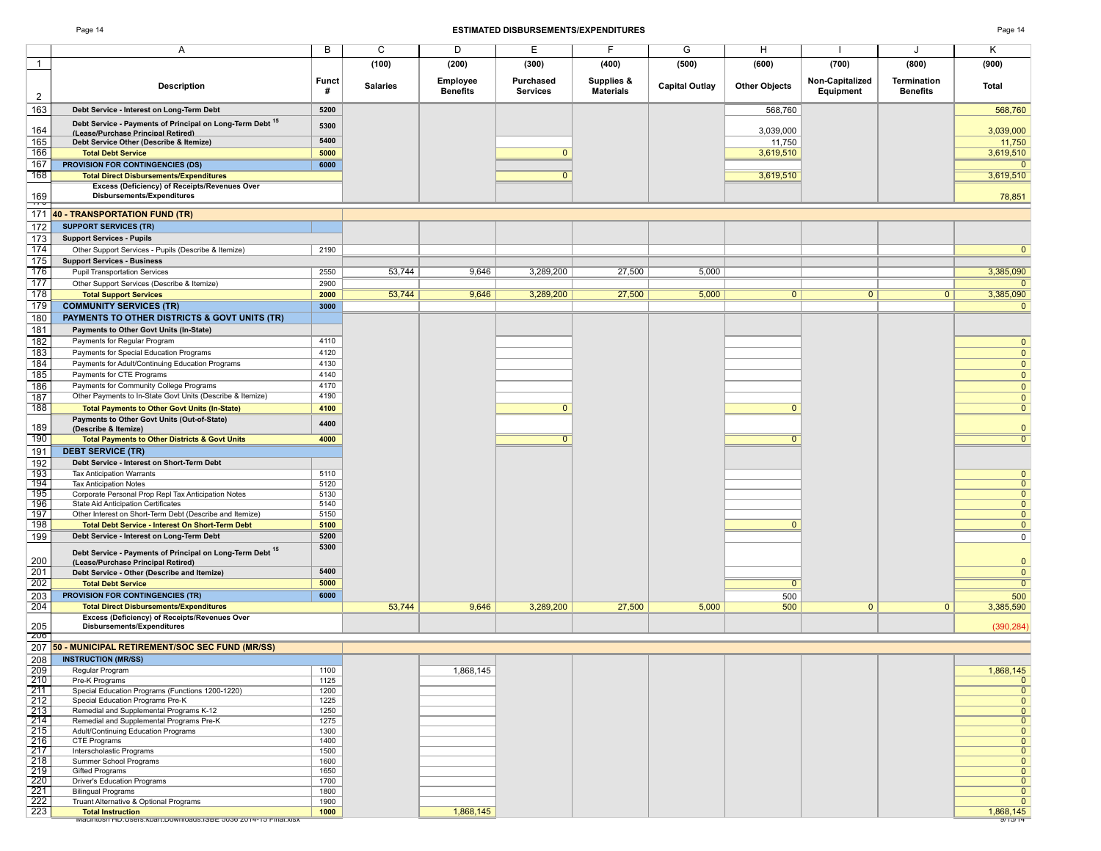|                                                                                                 |                   | (100)           | (200)                       | (300)                        | (400)                          | (500)          | (600)                | (700)                        | (800)                          | (900)          |
|-------------------------------------------------------------------------------------------------|-------------------|-----------------|-----------------------------|------------------------------|--------------------------------|----------------|----------------------|------------------------------|--------------------------------|----------------|
| <b>Description</b>                                                                              | <b>Funct</b><br># | <b>Salaries</b> | Employee<br><b>Benefits</b> | Purchased<br><b>Services</b> | Supplies &<br><b>Materials</b> | Capital Outlay | <b>Other Objects</b> | Non-Capitalized<br>Equipment | Termination<br><b>Benefits</b> | Total          |
| Debt Service - Interest on Long-Term Debt                                                       | 5200              |                 |                             |                              |                                |                | 568,760              |                              |                                | 568,760        |
| Debt Service - Payments of Principal on Long-Term Debt 15                                       | 5300              |                 |                             |                              |                                |                | 3,039,000            |                              |                                | 3,039,000      |
| (Lease/Purchase Princinal Retired)<br>Debt Service Other (Describe & Itemize)                   | 5400              |                 |                             |                              |                                |                | 11,750               |                              |                                | 11,750         |
| <b>Total Debt Service</b>                                                                       | 5000              |                 |                             | $\mathbf{0}$                 |                                |                | 3,619,510            |                              |                                | 3,619,510      |
| <b>PROVISION FOR CONTINGENCIES (DS)</b>                                                         | 6000              |                 |                             |                              |                                |                |                      |                              |                                | $\Omega$       |
| <b>Total Direct Disbursements/Expenditures</b>                                                  |                   |                 |                             | $\mathbf{0}$                 |                                |                | 3,619,510            |                              |                                | 3,619,510      |
| Excess (Deficiency) of Receipts/Revenues Over<br>Disbursements/Expenditures                     |                   |                 |                             |                              |                                |                |                      |                              |                                | 78,851         |
| <b>40 - TRANSPORTATION FUND (TR)</b>                                                            |                   |                 |                             |                              |                                |                |                      |                              |                                |                |
| <b>SUPPORT SERVICES (TR)</b>                                                                    |                   |                 |                             |                              |                                |                |                      |                              |                                |                |
| <b>Support Services - Pupils</b>                                                                |                   |                 |                             |                              |                                |                |                      |                              |                                |                |
| Other Support Services - Pupils (Describe & Itemize)                                            | 2190              |                 |                             |                              |                                |                |                      |                              |                                | $\overline{0}$ |
| <b>Support Services - Business</b>                                                              |                   |                 |                             |                              |                                |                |                      |                              |                                |                |
| <b>Pupil Transportation Services</b>                                                            | 2550              | 53,744          | 9,646                       | 3,289,200                    | 27,500                         | 5,000          |                      |                              |                                | 3,385,090      |
| Other Support Services (Describe & Itemize)                                                     | 2900              |                 |                             |                              |                                |                |                      |                              |                                |                |
| <b>Total Support Services</b>                                                                   | 2000              | 53,744          | 9,646                       | 3,289,200                    | 27,500                         | 5,000          | $\overline{0}$       | $\overline{0}$               | $\overline{0}$                 | 3,385,090      |
| <b>COMMUNITY SERVICES (TR)</b>                                                                  | 3000              |                 |                             |                              |                                |                |                      |                              |                                | $\overline{0}$ |
| <b>PAYMENTS TO OTHER DISTRICTS &amp; GOVT UNITS (TR)</b>                                        |                   |                 |                             |                              |                                |                |                      |                              |                                |                |
| Payments to Other Govt Units (In-State)                                                         |                   |                 |                             |                              |                                |                |                      |                              |                                |                |
| Payments for Regular Program                                                                    | 4110              |                 |                             |                              |                                |                |                      |                              |                                | $\mathbf{0}$   |
| Payments for Special Education Programs                                                         | 4120              |                 |                             |                              |                                |                |                      |                              |                                | $\Omega$       |
| Payments for Adult/Continuing Education Programs                                                | 4130              |                 |                             |                              |                                |                |                      |                              |                                | $\mathbf{0}$   |
| Payments for CTE Programs                                                                       | 4140              |                 |                             |                              |                                |                |                      |                              |                                | $\mathbf{0}$   |
| Payments for Community College Programs                                                         | 4170              |                 |                             |                              |                                |                |                      |                              |                                | $\mathbf{0}$   |
| Other Payments to In-State Govt Units (Describe & Itemize)                                      | 4190              |                 |                             |                              |                                |                |                      |                              |                                | $\mathbf{0}$   |
| <b>Total Payments to Other Govt Units (In-State)</b>                                            | 4100              |                 |                             | $\overline{0}$               |                                |                | $\mathbf{0}$         |                              |                                | $\overline{0}$ |
| Payments to Other Govt Units (Out-of-State)<br>(Describe & Itemize)                             | 4400              |                 |                             |                              |                                |                |                      |                              |                                | $\mathbf{0}$   |
| <b>Total Payments to Other Districts &amp; Govt Units</b>                                       | 4000              |                 |                             | $\overline{0}$               |                                |                | $\Omega$             |                              |                                | $\overline{0}$ |
| <b>DEBT SERVICE (TR)</b>                                                                        |                   |                 |                             |                              |                                |                |                      |                              |                                |                |
| Debt Service - Interest on Short-Term Debt                                                      |                   |                 |                             |                              |                                |                |                      |                              |                                |                |
| <b>Tax Anticipation Warrants</b>                                                                | 5110              |                 |                             |                              |                                |                |                      |                              |                                | $\mathbf{0}$   |
| <b>Tax Anticipation Notes</b>                                                                   | 5120              |                 |                             |                              |                                |                |                      |                              |                                | $\overline{0}$ |
| Corporate Personal Prop Repl Tax Anticipation Notes                                             | 5130              |                 |                             |                              |                                |                |                      |                              |                                | $\overline{0}$ |
| State Aid Anticipation Certificates                                                             | 5140              |                 |                             |                              |                                |                |                      |                              |                                | $\mathbf{0}$   |
| Other Interest on Short-Term Debt (Describe and Itemize)                                        | 5150              |                 |                             |                              |                                |                |                      |                              |                                | $\Omega$       |
| <b>Total Debt Service - Interest On Short-Term Debt</b>                                         | 5100              |                 |                             |                              |                                |                | $\Omega$             |                              |                                | $\Omega$       |
| Debt Service - Interest on Long-Term Debt                                                       | 5200              |                 |                             |                              |                                |                |                      |                              |                                | 0              |
| Debt Service - Payments of Principal on Long-Term Debt 15<br>(Lease/Purchase Principal Retired) | 5300              |                 |                             |                              |                                |                |                      |                              |                                | $\mathbf{0}$   |
| Debt Service - Other (Describe and Itemize)                                                     | 5400              |                 |                             |                              |                                |                |                      |                              |                                | $\mathbf{0}$   |
| <b>Total Debt Service</b>                                                                       | 5000              |                 |                             |                              |                                |                | $\overline{0}$       |                              |                                | $\overline{0}$ |
| PROVISION FOR CONTINGENCIES (TR)                                                                | 6000              |                 |                             |                              |                                |                | 500                  |                              |                                | 500            |
| <b>Total Direct Disbursements/Expenditures</b>                                                  |                   | 53,744          | 9,646                       | 3,289,200                    | 27,500                         | 5,000          | 500                  | $\mathbf{0}$                 | $\mathbf{0}$                   | 3,385,590      |
| Excess (Deficiency) of Receipts/Revenues Over<br><b>Disbursements/Expenditures</b>              |                   |                 |                             |                              |                                |                |                      |                              |                                | (390, 284)     |
| 50 - MUNICIPAL RETIREMENT/SOC SEC FUND (MR/SS)                                                  |                   |                 |                             |                              |                                |                |                      |                              |                                |                |
| <b>INSTRUCTION (MR/SS)</b>                                                                      |                   |                 |                             |                              |                                |                |                      |                              |                                |                |
|                                                                                                 |                   |                 |                             |                              |                                |                |                      |                              |                                |                |

| INSTRUCTION (MR/SS)                                             |      |           |  |                |
|-----------------------------------------------------------------|------|-----------|--|----------------|
| Regular Program                                                 | 1100 | 1,868,145 |  | 1,868,145      |
| Pre-K Programs                                                  | 1125 |           |  |                |
| Special Education Programs (Functions 1200-1220)                | 1200 |           |  |                |
| Special Education Programs Pre-K                                | 1225 |           |  | $\overline{0}$ |
| Remedial and Supplemental Programs K-12                         | 1250 |           |  | $\overline{0}$ |
| Remedial and Supplemental Programs Pre-K                        | 1275 |           |  | $\overline{0}$ |
| Adult/Continuing Education Programs                             | 1300 |           |  | $\overline{0}$ |
| CTE Programs                                                    | 1400 |           |  | $\overline{0}$ |
| Interscholastic Programs                                        | 1500 |           |  | $\overline{0}$ |
| Summer School Programs                                          | 1600 |           |  | $\overline{0}$ |
| <b>Gifted Programs</b>                                          | 1650 |           |  | $\overline{0}$ |
| <b>Driver's Education Programs</b>                              | 1700 |           |  | $\overline{0}$ |
| <b>Bilingual Programs</b>                                       | 1800 |           |  | $\overline{0}$ |
| Truant Alternative & Optional Programs                          | 1900 |           |  | $\overline{0}$ |
| <b>Total Instruction</b>                                        | 1000 | 1,868,145 |  | 1,868,145      |
| Macintosn HD:USers:Kbart:Downloads:ISBE 5036 Z014-15 Final.XISX |      |           |  | 9/15/14        |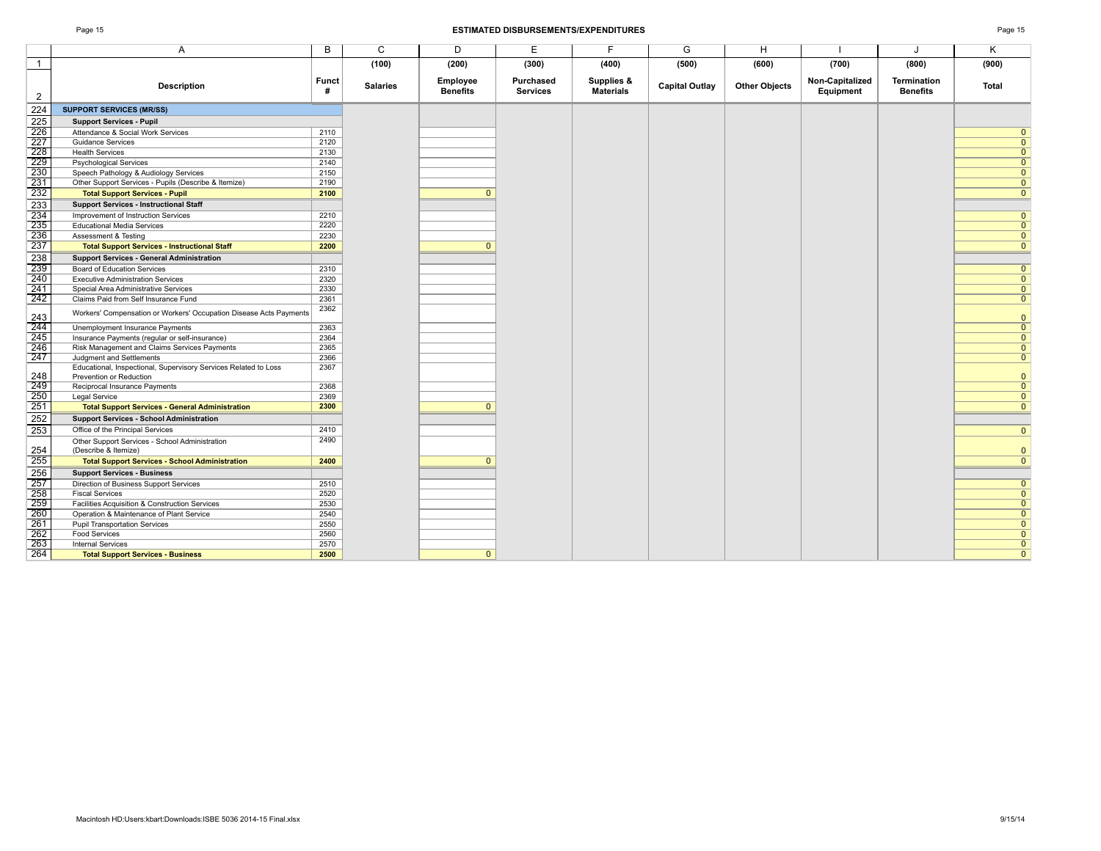|                                                                                            |            | (100)           | (200)                       | (300)                        | (400)                          | (500)                 | (600)                | (700)                        | (800)                                 | (900)          |
|--------------------------------------------------------------------------------------------|------------|-----------------|-----------------------------|------------------------------|--------------------------------|-----------------------|----------------------|------------------------------|---------------------------------------|----------------|
| <b>Description</b>                                                                         | Funct<br># | <b>Salaries</b> | Employee<br><b>Benefits</b> | Purchased<br><b>Services</b> | Supplies &<br><b>Materials</b> | <b>Capital Outlay</b> | <b>Other Objects</b> | Non-Capitalized<br>Equipment | <b>Termination</b><br><b>Benefits</b> | Total          |
| <b>SUPPORT SERVICES (MR/SS)</b>                                                            |            |                 |                             |                              |                                |                       |                      |                              |                                       |                |
| <b>Support Services - Pupil</b>                                                            |            |                 |                             |                              |                                |                       |                      |                              |                                       |                |
| Attendance & Social Work Services                                                          | 2110       |                 |                             |                              |                                |                       |                      |                              |                                       | $\mathbf{0}$   |
| <b>Guidance Services</b>                                                                   | 2120       |                 |                             |                              |                                |                       |                      |                              |                                       | $\mathbf{0}$   |
| <b>Health Services</b>                                                                     | 2130       |                 |                             |                              |                                |                       |                      |                              |                                       | $\overline{0}$ |
| <b>Psychological Services</b>                                                              | 2140       |                 |                             |                              |                                |                       |                      |                              |                                       | $\mathbf{0}$   |
| Speech Pathology & Audiology Services                                                      | 2150       |                 |                             |                              |                                |                       |                      |                              |                                       | $\mathbf{0}$   |
| Other Support Services - Pupils (Describe & Itemize)                                       | 2190       |                 |                             |                              |                                |                       |                      |                              |                                       | $\mathbf{0}$   |
| <b>Total Support Services - Pupil</b>                                                      | 2100       |                 | $\Omega$                    |                              |                                |                       |                      |                              |                                       | $\overline{0}$ |
| <b>Support Services - Instructional Staff</b>                                              |            |                 |                             |                              |                                |                       |                      |                              |                                       |                |
| Improvement of Instruction Services                                                        | 2210       |                 |                             |                              |                                |                       |                      |                              |                                       | $\mathbf{0}$   |
| <b>Educational Media Services</b>                                                          | 2220       |                 |                             |                              |                                |                       |                      |                              |                                       | $\mathbf{0}$   |
| Assessment & Testing                                                                       | 2230       |                 |                             |                              |                                |                       |                      |                              |                                       | $\overline{0}$ |
| <b>Total Support Services - Instructional Staff</b>                                        | 2200       |                 | $\mathbf{0}$                |                              |                                |                       |                      |                              |                                       | $\mathbf{0}$   |
| <b>Support Services - General Administration</b>                                           |            |                 |                             |                              |                                |                       |                      |                              |                                       |                |
| Board of Education Services                                                                | 2310       |                 |                             |                              |                                |                       |                      |                              |                                       | $\mathbf{0}$   |
| <b>Executive Administration Services</b>                                                   | 2320       |                 |                             |                              |                                |                       |                      |                              |                                       | $\mathbf{0}$   |
| Special Area Administrative Services                                                       | 2330       |                 |                             |                              |                                |                       |                      |                              |                                       | $\overline{0}$ |
| Claims Paid from Self Insurance Fund                                                       | 2361       |                 |                             |                              |                                |                       |                      |                              |                                       | $\overline{0}$ |
| Workers' Compensation or Workers' Occupation Disease Acts Payments                         | 2362       |                 |                             |                              |                                |                       |                      |                              |                                       | $\Omega$       |
| Unemployment Insurance Payments                                                            | 2363       |                 |                             |                              |                                |                       |                      |                              |                                       | $\Omega$       |
| Insurance Payments (regular or self-insurance)                                             | 2364       |                 |                             |                              |                                |                       |                      |                              |                                       | $\mathbf{0}$   |
| Risk Management and Claims Services Payments                                               | 2365       |                 |                             |                              |                                |                       |                      |                              |                                       | $\mathbf{0}$   |
| Judgment and Settlements                                                                   | 2366       |                 |                             |                              |                                |                       |                      |                              |                                       | $\overline{0}$ |
| Educational, Inspectional, Supervisory Services Related to Loss<br>Prevention or Reduction | 2367       |                 |                             |                              |                                |                       |                      |                              |                                       | $\mathbf{0}$   |
| Reciprocal Insurance Payments                                                              | 2368       |                 |                             |                              |                                |                       |                      |                              |                                       | $\overline{0}$ |
| Legal Service                                                                              | 2369       |                 |                             |                              |                                |                       |                      |                              |                                       | $\mathbf{0}$   |
| <b>Total Support Services - General Administration</b>                                     | 2300       |                 | $\Omega$                    |                              |                                |                       |                      |                              |                                       | $\mathbf{0}$   |
| <b>Support Services - School Administration</b>                                            |            |                 |                             |                              |                                |                       |                      |                              |                                       |                |
| Office of the Principal Services                                                           | 2410       |                 |                             |                              |                                |                       |                      |                              |                                       | $\mathbf{0}$   |
| Other Support Services - School Administration<br>(Describe & Itemize)                     | 2490       |                 |                             |                              |                                |                       |                      |                              |                                       | $\mathbf{0}$   |
| <b>Total Support Services - School Administration</b>                                      | 2400       |                 | $\mathbf{0}$                |                              |                                |                       |                      |                              |                                       | $\Omega$       |
| <b>Support Services - Business</b>                                                         |            |                 |                             |                              |                                |                       |                      |                              |                                       |                |
| Direction of Business Support Services                                                     | 2510       |                 |                             |                              |                                |                       |                      |                              |                                       | $\mathbf{0}$   |
| <b>Fiscal Services</b>                                                                     | 2520       |                 |                             |                              |                                |                       |                      |                              |                                       | $\mathbf{0}$   |
| Facilities Acquisition & Construction Services                                             | 2530       |                 |                             |                              |                                |                       |                      |                              |                                       | $\mathbf{0}$   |
| Operation & Maintenance of Plant Service                                                   | 2540       |                 |                             |                              |                                |                       |                      |                              |                                       | $\mathbf{0}$   |
| <b>Pupil Transportation Services</b>                                                       | 2550       |                 |                             |                              |                                |                       |                      |                              |                                       | $\mathbf{0}$   |
| <b>Food Services</b>                                                                       | 2560       |                 |                             |                              |                                |                       |                      |                              |                                       | $\Omega$       |
| <b>Internal Services</b>                                                                   | 2570       |                 |                             |                              |                                |                       |                      |                              |                                       | $\mathbf{0}$   |
| <b>Total Support Services - Business</b>                                                   | 2500       |                 | $\Omega$                    |                              |                                |                       |                      |                              |                                       | $\Omega$       |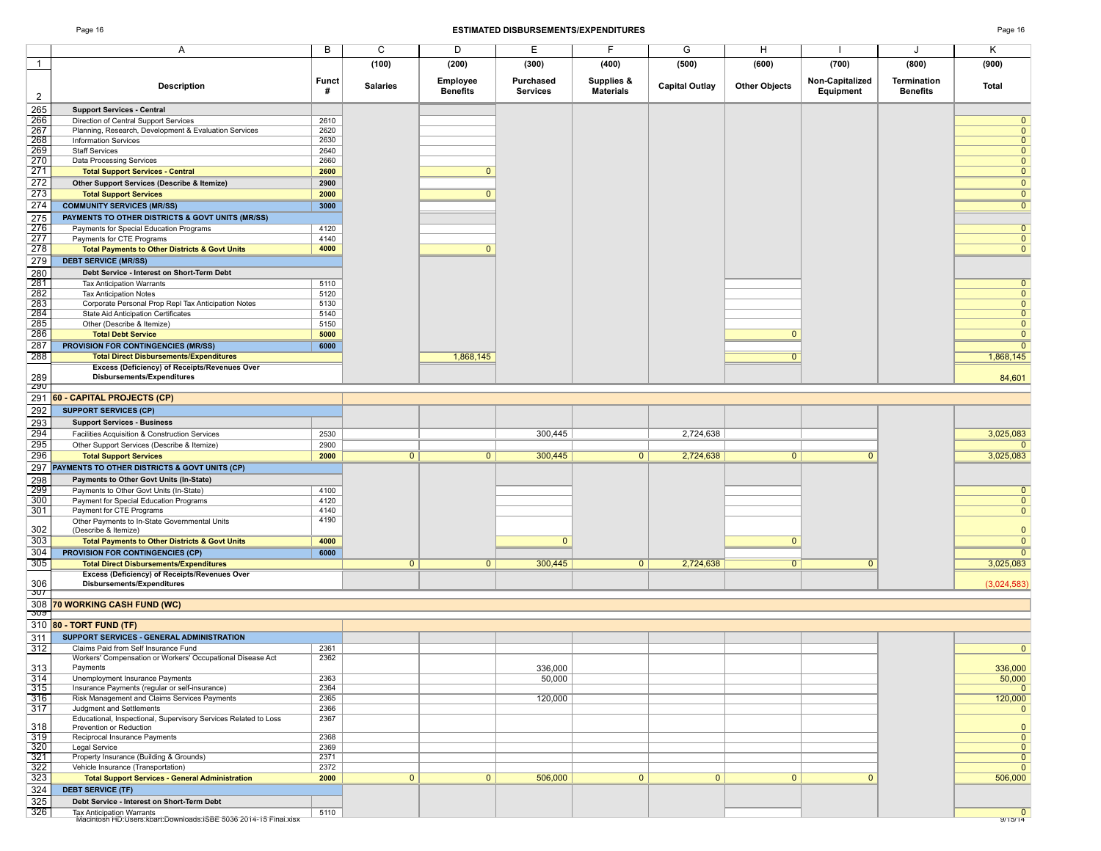|                                                                                                |                   | (100)           | (200)                       | (300)                        | (400)                          | (500)                 | (600)                | (700)                        | (800)                                 | (900)                   |
|------------------------------------------------------------------------------------------------|-------------------|-----------------|-----------------------------|------------------------------|--------------------------------|-----------------------|----------------------|------------------------------|---------------------------------------|-------------------------|
| <b>Description</b>                                                                             | <b>Funct</b><br># | <b>Salaries</b> | Employee<br><b>Benefits</b> | Purchased<br><b>Services</b> | Supplies &<br><b>Materials</b> | <b>Capital Outlay</b> | <b>Other Objects</b> | Non-Capitalized<br>Equipment | <b>Termination</b><br><b>Benefits</b> | Total                   |
| <b>Support Services - Central</b>                                                              |                   |                 |                             |                              |                                |                       |                      |                              |                                       |                         |
| Direction of Central Support Services                                                          | 2610              |                 |                             |                              |                                |                       |                      |                              |                                       | $\mathbf{0}$            |
| Planning, Research, Development & Evaluation Services                                          | 2620              |                 |                             |                              |                                |                       |                      |                              |                                       | $\overline{0}$          |
| <b>Information Services</b>                                                                    | 2630              |                 |                             |                              |                                |                       |                      |                              |                                       | $\mathbf{0}$            |
| <b>Staff Services</b>                                                                          | 2640              |                 |                             |                              |                                |                       |                      |                              |                                       | $\mathbf{0}$            |
| Data Processing Services                                                                       | 2660              |                 |                             |                              |                                |                       |                      |                              |                                       | $\mathbf{0}$            |
| <b>Total Support Services - Central</b>                                                        | 2600              |                 | $\mathbf{0}$                |                              |                                |                       |                      |                              |                                       | $\overline{0}$          |
| Other Support Services (Describe & Itemize)                                                    | 2900              |                 |                             |                              |                                |                       |                      |                              |                                       | $\mathbf{0}$            |
| <b>Total Support Services</b>                                                                  | 2000              |                 | $\overline{0}$              |                              |                                |                       |                      |                              |                                       | $\overline{0}$          |
| <b>COMMUNITY SERVICES (MR/SS)</b>                                                              | 3000              |                 |                             |                              |                                |                       |                      |                              |                                       | $\mathbf{0}$            |
| PAYMENTS TO OTHER DISTRICTS & GOVT UNITS (MR/SS)                                               |                   |                 |                             |                              |                                |                       |                      |                              |                                       |                         |
| Payments for Special Education Programs                                                        | 4120              |                 |                             |                              |                                |                       |                      |                              |                                       | $\mathbf{0}$            |
|                                                                                                | 4140              |                 |                             |                              |                                |                       |                      |                              |                                       | $\mathbf 0$             |
| Payments for CTE Programs                                                                      | 4000              |                 | $\mathbf{0}$                |                              |                                |                       |                      |                              |                                       | $\mathbf{0}$            |
| <b>Total Payments to Other Districts &amp; Govt Units</b>                                      |                   |                 |                             |                              |                                |                       |                      |                              |                                       |                         |
| <b>DEBT SERVICE (MR/SS)</b>                                                                    |                   |                 |                             |                              |                                |                       |                      |                              |                                       |                         |
| Debt Service - Interest on Short-Term Debt                                                     |                   |                 |                             |                              |                                |                       |                      |                              |                                       |                         |
| <b>Tax Anticipation Warrants</b>                                                               | 5110              |                 |                             |                              |                                |                       |                      |                              |                                       | $\mathbf{0}$            |
| <b>Tax Anticipation Notes</b>                                                                  | 5120              |                 |                             |                              |                                |                       |                      |                              |                                       | $\mathbf{0}$            |
| Corporate Personal Prop Repl Tax Anticipation Notes                                            | 5130              |                 |                             |                              |                                |                       |                      |                              |                                       | $\mathbf{0}$            |
| State Aid Anticipation Certificates                                                            | 5140              |                 |                             |                              |                                |                       |                      |                              |                                       | $\mathbf{0}$            |
| Other (Describe & Itemize)                                                                     | 5150              |                 |                             |                              |                                |                       |                      |                              |                                       | $\mathbf{0}$            |
| <b>Total Debt Service</b>                                                                      | 5000              |                 |                             |                              |                                |                       | $\mathbf{0}$         |                              |                                       | $\mathbf{0}$            |
| PROVISION FOR CONTINGENCIES (MR/SS)                                                            | 6000              |                 |                             |                              |                                |                       |                      |                              |                                       | $\overline{0}$          |
| <b>Total Direct Disbursements/Expenditures</b>                                                 |                   |                 | 1,868,145                   |                              |                                |                       | $\overline{0}$       |                              |                                       | 1,868,145               |
| Excess (Deficiency) of Receipts/Revenues Over                                                  |                   |                 |                             |                              |                                |                       |                      |                              |                                       |                         |
| Disbursements/Expenditures                                                                     |                   |                 |                             |                              |                                |                       |                      |                              |                                       | 84,601                  |
| 60 - CAPITAL PROJECTS (CP)                                                                     |                   |                 |                             |                              |                                |                       |                      |                              |                                       |                         |
| <b>SUPPORT SERVICES (CP)</b>                                                                   |                   |                 |                             |                              |                                |                       |                      |                              |                                       |                         |
| <b>Support Services - Business</b>                                                             |                   |                 |                             |                              |                                |                       |                      |                              |                                       |                         |
|                                                                                                |                   |                 |                             | 300,445                      |                                |                       |                      |                              |                                       |                         |
| Facilities Acquisition & Construction Services                                                 | 2530              |                 |                             |                              |                                | 2,724,638             |                      |                              |                                       | 3,025,083               |
| Other Support Services (Describe & Itemize)                                                    | 2900              |                 |                             |                              |                                |                       |                      |                              |                                       | $\Omega$                |
| <b>Total Support Services</b>                                                                  | 2000              | $\overline{0}$  | 0                           | 300,445                      | $\overline{0}$                 | 2,724,638             | $\overline{0}$       | $\overline{0}$               |                                       | 3,025,083               |
| PAYMENTS TO OTHER DISTRICTS & GOVT UNITS (CP)                                                  |                   |                 |                             |                              |                                |                       |                      |                              |                                       |                         |
| Payments to Other Govt Units (In-State)                                                        |                   |                 |                             |                              |                                |                       |                      |                              |                                       |                         |
| Payments to Other Govt Units (In-State)                                                        | 4100              |                 |                             |                              |                                |                       |                      |                              |                                       | $\mathbf{0}$            |
| Payment for Special Education Programs                                                         | 4120              |                 |                             |                              |                                |                       |                      |                              |                                       | $\mathbf{0}$            |
| Payment for CTE Programs                                                                       | 4140              |                 |                             |                              |                                |                       |                      |                              |                                       | $\mathbf{0}$            |
| Other Payments to In-State Governmental Units                                                  | 4190              |                 |                             |                              |                                |                       |                      |                              |                                       |                         |
| (Describe & Itemize)                                                                           |                   |                 |                             |                              |                                |                       |                      |                              |                                       | $\mathbf{0}$            |
| <b>Total Payments to Other Districts &amp; Govt Units</b>                                      | 4000              |                 |                             | $\mathbf{0}$                 |                                |                       | $\mathbf{0}$         |                              |                                       | $\mathbf{0}$            |
| PROVISION FOR CONTINGENCIES (CP)                                                               | 6000              |                 |                             |                              |                                |                       |                      |                              |                                       | $\mathbf{0}$            |
| <b>Total Direct Disbursements/Expenditures</b>                                                 |                   | $\mathbf{0}$    | $\mathbf{0}$                | 300,445                      | $\mathbf{0}$                   | 2,724,638             | $\overline{0}$       | $\mathbf{0}$                 |                                       | 3,025,083               |
| Excess (Deficiency) of Receipts/Revenues Over                                                  |                   |                 |                             |                              |                                |                       |                      |                              |                                       |                         |
| Disbursements/Expenditures                                                                     |                   |                 |                             |                              |                                |                       |                      |                              |                                       | (3,024,583)             |
|                                                                                                |                   |                 |                             |                              |                                |                       |                      |                              |                                       |                         |
| 70 WORKING CASH FUND (WC)                                                                      |                   |                 |                             |                              |                                |                       |                      |                              |                                       |                         |
| 80 - TORT FUND (TF)                                                                            |                   |                 |                             |                              |                                |                       |                      |                              |                                       |                         |
| SUPPORT SERVICES - GENERAL ADMINISTRATION                                                      |                   |                 |                             |                              |                                |                       |                      |                              |                                       |                         |
| Claims Paid from Self Insurance Fund                                                           |                   |                 |                             |                              |                                |                       |                      |                              |                                       |                         |
| Workers' Compensation or Workers' Occupational Disease Act                                     | 2361<br>2362      |                 |                             |                              |                                |                       |                      |                              |                                       | $\mathbf 0$             |
| Payments                                                                                       |                   |                 |                             |                              |                                |                       |                      |                              |                                       | 336,000                 |
| Unemployment Insurance Payments                                                                | 2363              |                 |                             | 336,000<br>50,000            |                                |                       |                      |                              |                                       | 50,000                  |
|                                                                                                |                   |                 |                             |                              |                                |                       |                      |                              |                                       |                         |
| Insurance Payments (regular or self-insurance)<br>Risk Management and Claims Services Payments | 2364<br>2365      |                 |                             | 120,000                      |                                |                       |                      |                              |                                       | $\mathbf{0}$            |
| Judgment and Settlements                                                                       | 2366              |                 |                             |                              |                                |                       |                      |                              |                                       | 120,000                 |
| Educational, Inspectional, Supervisory Services Related to Loss                                | 2367              |                 |                             |                              |                                |                       |                      |                              |                                       | $\overline{0}$          |
| Prevention or Reduction                                                                        |                   |                 |                             |                              |                                |                       |                      |                              |                                       | $\mathbf{0}$            |
| Reciprocal Insurance Payments                                                                  | 2368              |                 |                             |                              |                                |                       |                      |                              |                                       | $\overline{0}$          |
| Legal Service                                                                                  | 2369              |                 |                             |                              |                                |                       |                      |                              |                                       | $\mathbf{0}$            |
| Property Insurance (Building & Grounds)                                                        | 2371              |                 |                             |                              |                                |                       |                      |                              |                                       | $\mathbf{0}$            |
| Vehicle Insurance (Transportation)                                                             | 2372              |                 |                             |                              |                                |                       |                      |                              |                                       | $\mathbf{0}$            |
| <b>Total Support Services - General Administration</b>                                         | 2000              | $\mathbf{0}$    | 0                           | 506,000                      | 0                              | $\overline{0}$        | $\mathbf{0}$         | $\mathbf{0}$                 |                                       | 506,000                 |
| <b>DEBT SERVICE (TF)</b>                                                                       |                   |                 |                             |                              |                                |                       |                      |                              |                                       |                         |
|                                                                                                |                   |                 |                             |                              |                                |                       |                      |                              |                                       |                         |
| Debt Service - Interest on Short-Term Debt                                                     |                   |                 |                             |                              |                                |                       |                      |                              |                                       |                         |
| Tax Anticipation Warrants<br>Macintosh HD:Users:kbart:Downloads:ISBE 5036 2014-15 Final.xlsx   | 5110              |                 |                             |                              |                                |                       |                      |                              |                                       | $\mathbf{0}$<br>9/15/14 |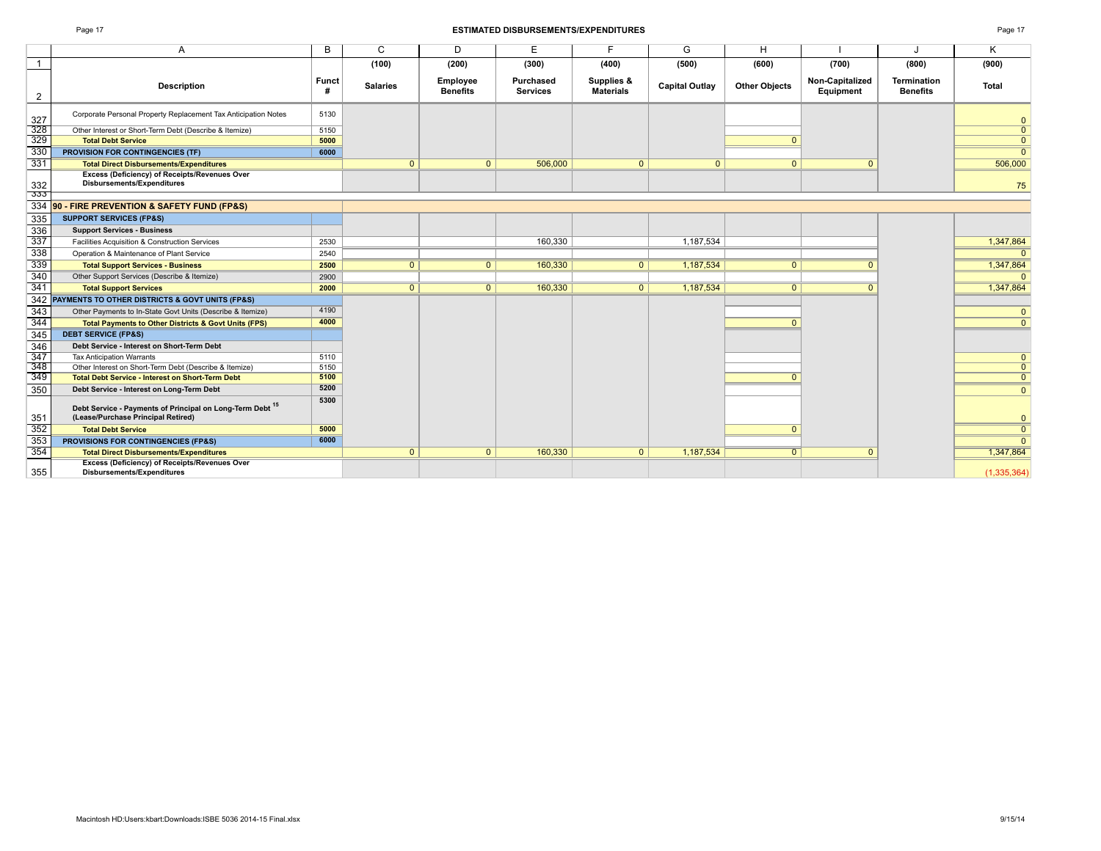|                                                                                                 |                   | (100)           | (200)                       | (300)                        | (400)                          | (500)                 | (600)                | (700)                        | (800)                                 | (900)                   |
|-------------------------------------------------------------------------------------------------|-------------------|-----------------|-----------------------------|------------------------------|--------------------------------|-----------------------|----------------------|------------------------------|---------------------------------------|-------------------------|
| <b>Description</b>                                                                              | <b>Funct</b><br># | <b>Salaries</b> | Employee<br><b>Benefits</b> | Purchased<br><b>Services</b> | Supplies &<br><b>Materials</b> | <b>Capital Outlay</b> | <b>Other Objects</b> | Non-Capitalized<br>Equipment | <b>Termination</b><br><b>Benefits</b> | <b>Total</b>            |
| Corporate Personal Property Replacement Tax Anticipation Notes                                  | 5130              |                 |                             |                              |                                |                       |                      |                              |                                       | $\overline{0}$          |
| Other Interest or Short-Term Debt (Describe & Itemize)                                          | 5150              |                 |                             |                              |                                |                       |                      |                              |                                       | $\overline{0}$          |
| <b>Total Debt Service</b>                                                                       | 5000              |                 |                             |                              |                                |                       | $\Omega$             |                              |                                       | $\overline{0}$          |
| <b>PROVISION FOR CONTINGENCIES (TF)</b>                                                         | 6000              |                 |                             |                              |                                |                       |                      |                              |                                       | $\Omega$                |
| <b>Total Direct Disbursements/Expenditures</b>                                                  |                   | $\overline{0}$  | $\mathbf{0}$                | 506,000                      | $\overline{0}$                 | $\mathbf{0}$          | $\mathbf{0}$         | $\mathbf{0}$                 |                                       | 506,000                 |
| <b>Excess (Deficiency) of Receipts/Revenues Over</b><br><b>Disbursements/Expenditures</b>       |                   |                 |                             |                              |                                |                       |                      |                              |                                       | 75                      |
| 90 - FIRE PREVENTION & SAFETY FUND (FP&S)                                                       |                   |                 |                             |                              |                                |                       |                      |                              |                                       |                         |
| <b>SUPPORT SERVICES (FP&amp;S)</b>                                                              |                   |                 |                             |                              |                                |                       |                      |                              |                                       |                         |
| <b>Support Services - Business</b>                                                              |                   |                 |                             |                              |                                |                       |                      |                              |                                       |                         |
| Facilities Acquisition & Construction Services                                                  | 2530              |                 |                             | 160.330                      |                                | 1.187.534             |                      |                              |                                       | 1,347,864               |
| Operation & Maintenance of Plant Service                                                        | 2540              |                 |                             |                              |                                |                       |                      |                              |                                       | $\Omega$                |
| <b>Total Support Services - Business</b>                                                        | 2500              | $\overline{0}$  | 0                           | 160,330                      | $\overline{0}$                 | 1,187,534             | $\overline{0}$       |                              |                                       | 1,347,864               |
| Other Support Services (Describe & Itemize)                                                     | 2900              |                 |                             |                              |                                |                       |                      |                              |                                       | n                       |
| <b>Total Support Services</b>                                                                   | 2000              | $\overline{0}$  | 0                           | 160,330                      | 0 <sup>1</sup>                 | 1,187,534             | $\overline{0}$       | $\Omega$                     |                                       | 1,347,864               |
| PAYMENTS TO OTHER DISTRICTS & GOVT UNITS (FP&S)                                                 |                   |                 |                             |                              |                                |                       |                      |                              |                                       |                         |
| Other Payments to In-State Govt Units (Describe & Itemize)                                      | 4190              |                 |                             |                              |                                |                       |                      |                              |                                       | $\mathbf{0}$            |
| <b>Total Payments to Other Districts &amp; Govt Units (FPS)</b>                                 | 4000              |                 |                             |                              |                                |                       | $\Omega$             |                              |                                       | $\overline{0}$          |
| <b>DEBT SERVICE (FP&amp;S)</b>                                                                  |                   |                 |                             |                              |                                |                       |                      |                              |                                       |                         |
| Debt Service - Interest on Short-Term Debt                                                      |                   |                 |                             |                              |                                |                       |                      |                              |                                       |                         |
| <b>Tax Anticipation Warrants</b>                                                                | 5110              |                 |                             |                              |                                |                       |                      |                              |                                       | $\mathbf{0}$            |
| Other Interest on Short-Term Debt (Describe & Itemize)                                          | 5150              |                 |                             |                              |                                |                       |                      |                              |                                       | $\overline{0}$          |
| <b>Total Debt Service - Interest on Short-Term Debt</b>                                         | 5100              |                 |                             |                              |                                |                       | n                    |                              |                                       | $\overline{0}$          |
| Debt Service - Interest on Long-Term Debt                                                       | 5200              |                 |                             |                              |                                |                       |                      |                              |                                       | $\mathbf{0}$            |
| Debt Service - Payments of Principal on Long-Term Debt 15<br>(Lease/Purchase Principal Retired) | 5300              |                 |                             |                              |                                |                       |                      |                              |                                       | $\mathbf{0}$            |
| <b>Total Debt Service</b>                                                                       | 5000              |                 |                             |                              |                                |                       | n                    |                              |                                       | $\overline{\mathbf{0}}$ |
| PROVISIONS FOR CONTINGENCIES (FP&S)                                                             | 6000              |                 |                             |                              |                                |                       |                      |                              |                                       | $\Omega$                |
| <b>Total Direct Disbursements/Expenditures</b>                                                  |                   | $\mathbf{0}$    | $\Omega$                    | 160,330                      | $\overline{0}$                 | 1,187,534             | $\Omega$             | $\mathbf{0}$                 |                                       | 1,347,864               |
| <b>Excess (Deficiency) of Receipts/Revenues Over</b><br><b>Disbursements/Expenditures</b>       |                   |                 |                             |                              |                                |                       |                      |                              |                                       | (1,335,364)             |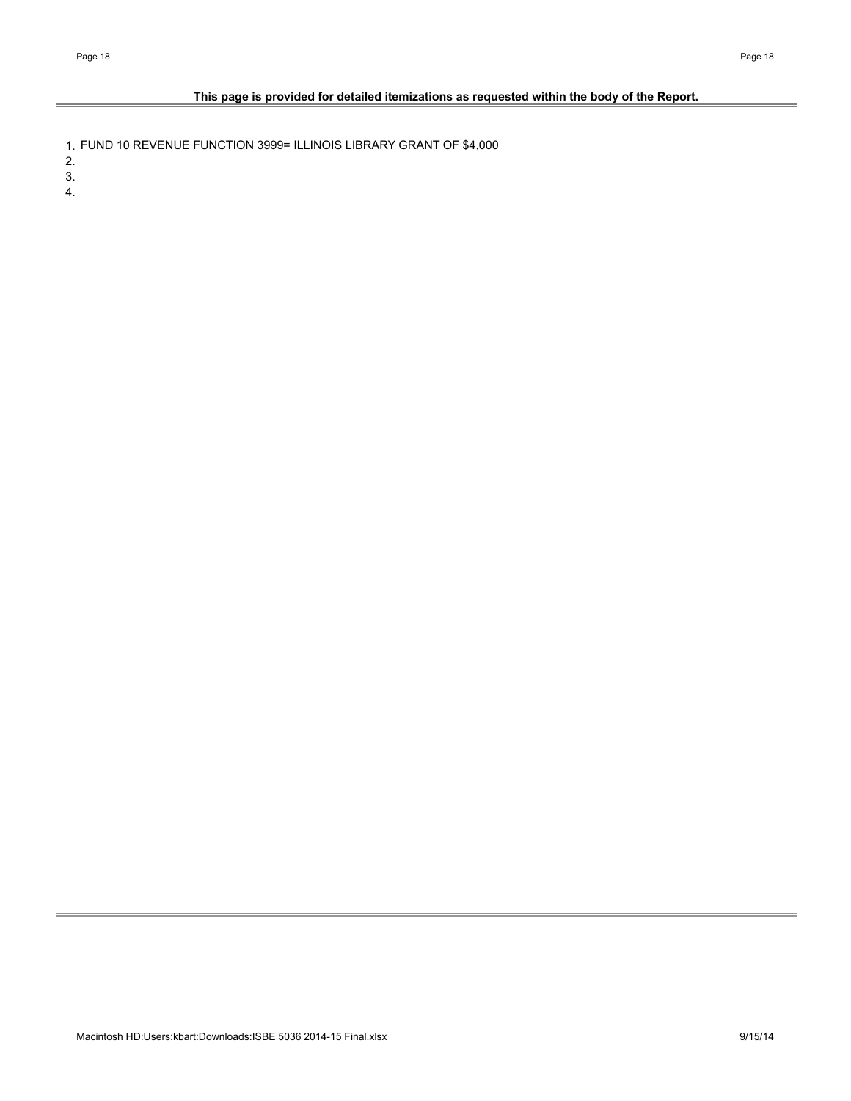## **This page is provided for detailed itemizations as requested within the body of the Report.**

1. FUND 10 REVENUE FUNCTION 3999= ILLINOIS LIBRARY GRANT OF \$4,000

2.

3.

4.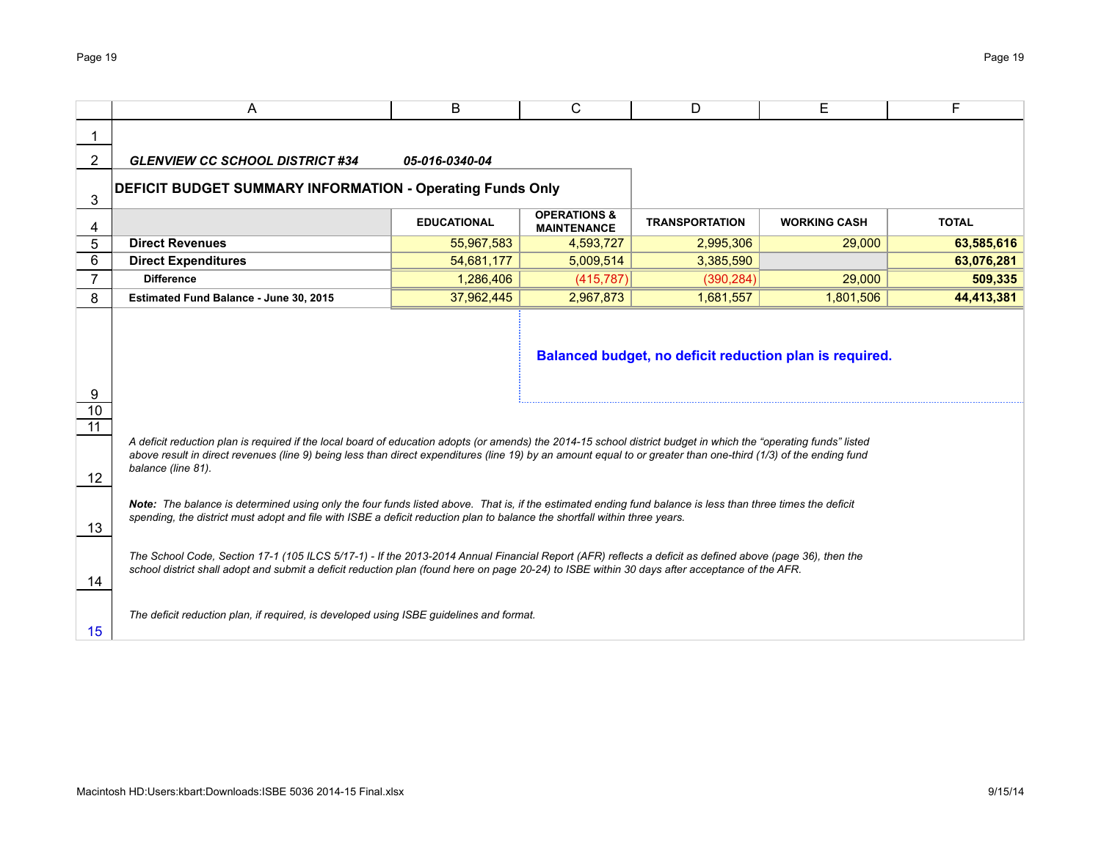## **DEFICIT BUDGET SUMMARY INFORMATION - Operating Funds Only**

|                                        | <b>EDUCATIONAL</b> | <b>OPERATIONS &amp;</b><br><b>MAINTENANCE</b> | <b>TRANSPORTATION</b> | <b>WORKING CASH</b> | <b>TOTAL</b> |
|----------------------------------------|--------------------|-----------------------------------------------|-----------------------|---------------------|--------------|
| <b>Direct Revenues</b>                 | 55.967.583         | 4.593.727                                     | 2,995,306             | 29,000              | 63,585,616   |
| <b>Direct Expenditures</b>             | 54.681.177         | 5.009.514                                     | 3,385,590             |                     | 63,076,281   |
| <b>Difference</b>                      | .286.406           | (415.787)                                     | (390, 284)            | 29,000              | 509.335      |
| Estimated Fund Balance - June 30, 2015 | 37.962.445         | 2,967,873                                     | 1.681.557             | 1,801,506           | 44,413,381   |

**Balanced budget, no deficit reduction plan is required.**

*A deficit reduction plan is required if the local board of education adopts (or amends) the 2014-15 school district budget in which the "operating funds" listed above result in direct revenues (line 9) being less than direct expenditures (line 19) by an amount equal to or greater than one-third (1/3) of the ending fund balance (line 81).*

*Note: The balance is determined using only the four funds listed above. That is, if the estimated ending fund balance is less than three times the deficit spending, the district must adopt and file with ISBE a deficit reduction plan to balance the shortfall within three years.*

*The School Code, Section 17-1 (105 ILCS 5/17-1) - If the 2013-2014 Annual Financial Report (AFR) reflects a deficit as defined above (page 36), then the school district shall adopt and submit a deficit reduction plan (found here on page 20-24) to ISBE within 30 days after acceptance of the AFR.*

*The deficit reduction plan, if required, is developed using ISBE guidelines and format.*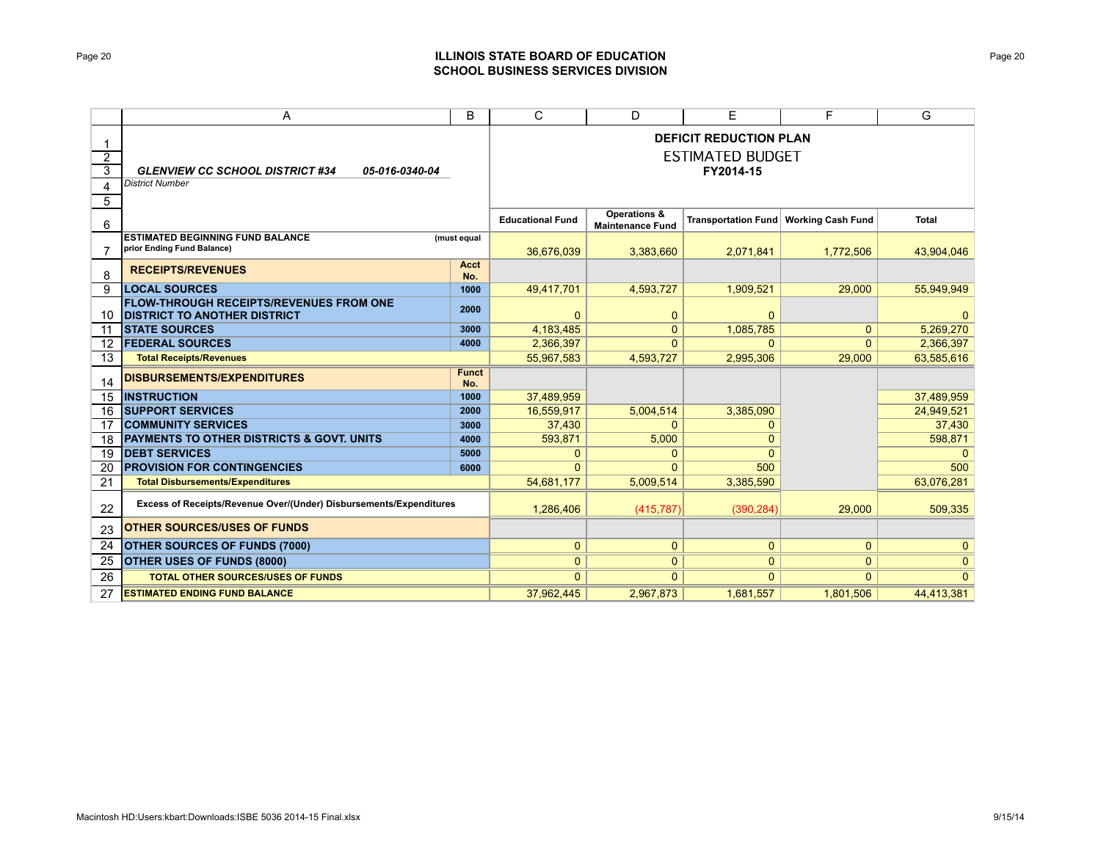## ESTIMATED BUDGET **DEFICIT REDUCTION PLAN FY2014-15**

### *GLENVIEW CC SCHOOL DISTRICT #34 05-016-0340-04*

|                                                                                       |                     | <b>Educational Fund</b> | Operations &<br><b>Maintenance Fund</b> | <b>Transportation Fund</b> | <b>Working Cash Fund</b> | <b>Total</b>   |
|---------------------------------------------------------------------------------------|---------------------|-------------------------|-----------------------------------------|----------------------------|--------------------------|----------------|
| <b>ESTIMATED BEGINNING FUND BALANCE</b><br>prior Ending Fund Balance)                 | (must equal         |                         |                                         |                            |                          |                |
|                                                                                       |                     | 36,676,039              | 3,383,660                               | 2.071.841                  | 1.772.506                | 43,904,046     |
| <b>RECEIPTS/REVENUES</b>                                                              | Acct<br>No.         |                         |                                         |                            |                          |                |
| <b>LOCAL SOURCES</b>                                                                  | 1000                | 49,417,701              | 4,593,727                               | 1,909,521                  | 29,000                   | 55,949,949     |
| <b>FLOW-THROUGH RECEIPTS/REVENUES FROM ONE</b><br><b>DISTRICT TO ANOTHER DISTRICT</b> | 2000                |                         | $\mathbf{0}$                            | $\Omega$                   |                          |                |
| <b>STATE SOURCES</b>                                                                  | 3000                | 4,183,485               | $\mathbf{0}$                            | 1,085,785                  | $\Omega$                 | 5,269,270      |
| <b>FEDERAL SOURCES</b>                                                                | 4000                | 2,366,397               | $\Omega$                                | $\Omega$                   | $\Omega$                 | 2,366,397      |
| <b>Total Receipts/Revenues</b>                                                        |                     | 55,967,583              | 4,593,727                               | 2,995,306                  | 29.000                   | 63,585,616     |
| <b>DISBURSEMENTS/EXPENDITURES</b>                                                     | <b>Funct</b><br>No. |                         |                                         |                            |                          |                |
| <b>INSTRUCTION</b>                                                                    | 1000                | 37,489,959              |                                         |                            |                          | 37,489,959     |
| <b>SUPPORT SERVICES</b>                                                               | 2000                | 16,559,917              | 5,004,514                               | 3,385,090                  |                          | 24,949,521     |
| <b>COMMUNITY SERVICES</b>                                                             | 3000                | 37,430                  | 0                                       |                            |                          | 37,430         |
| <b>PAYMENTS TO OTHER DISTRICTS &amp; GOVT, UNITS</b>                                  | 4000                | 593.871                 | 5,000                                   |                            |                          | 598,871        |
| <b>DEBT SERVICES</b>                                                                  | 5000                | 0                       | 0                                       |                            |                          | 0              |
| <b>PROVISION FOR CONTINGENCIES</b>                                                    | 6000                | $\Omega$                | $\Omega$                                | 500                        |                          | 500            |
| <b>Total Disbursements/Expenditures</b>                                               |                     | 54,681,177              | 5,009,514                               | 3,385,590                  |                          | 63,076,281     |
| Excess of Receipts/Revenue Over/(Under) Disbursements/Expenditures                    |                     | 1.286.406               | (415, 787)                              | (390.284)                  | 29.000                   | 509.335        |
| <b>OTHER SOURCES/USES OF FUNDS</b>                                                    |                     |                         |                                         |                            |                          |                |
| <b>OTHER SOURCES OF FUNDS (7000)</b>                                                  |                     | $\mathbf{0}$            | $\mathbf{0}$                            | $\mathbf{0}$               | $\mathbf{0}$             | $\overline{0}$ |
| <b>OTHER USES OF FUNDS (8000)</b>                                                     |                     | $\mathbf{0}$            | 0                                       | $\overline{0}$             | $\mathbf{0}$             | $\overline{0}$ |
| <b>TOTAL OTHER SOURCES/USES OF FUNDS</b>                                              |                     | $\Omega$                | $\Omega$                                | $\Omega$                   | $\Omega$                 | $\Omega$       |
| <b>ESTIMATED ENDING FUND BALANCE</b>                                                  |                     | 37.962.445              | 2,967,873                               | 1,681,557                  | 1,801,506                | 44.413.381     |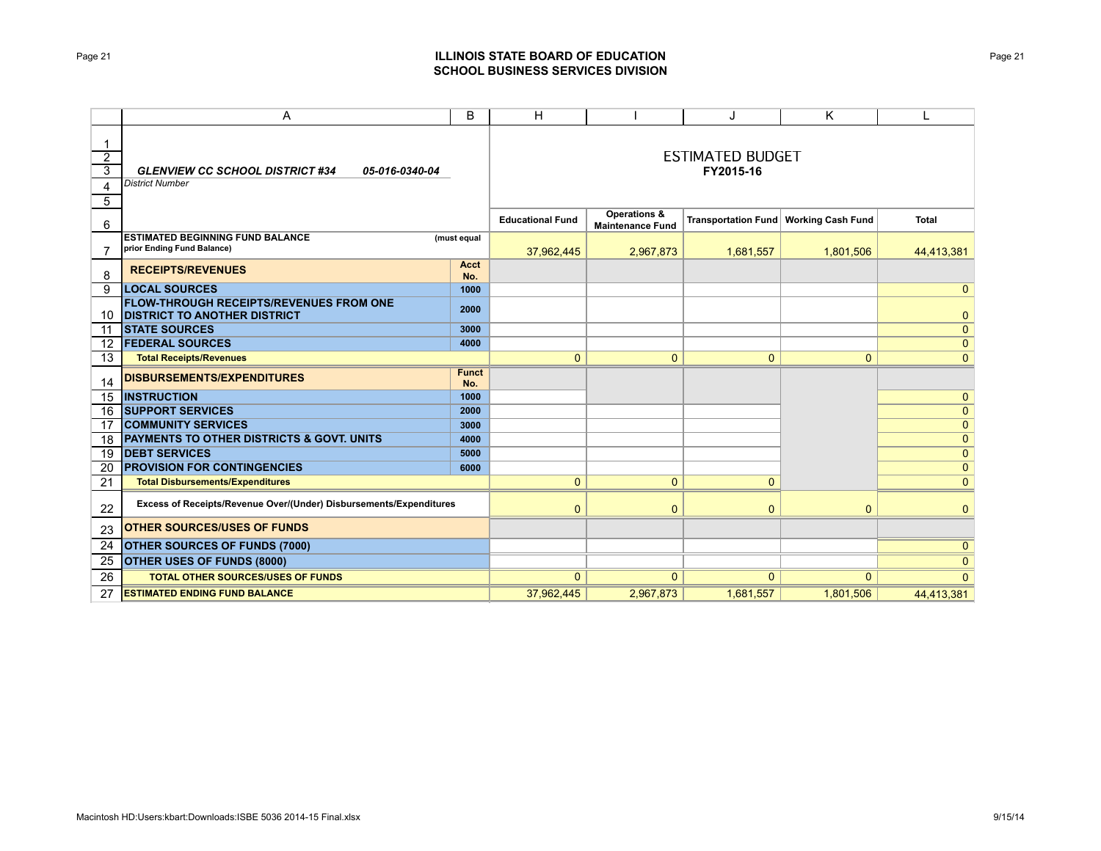## ESTIMATED BUDGET **FY2015-16**

|                                                                                       |              | <b>Educational Fund</b> | <b>Operations &amp;</b><br><b>Maintenance Fund</b> |              | Transportation Fund   Working Cash Fund | Total        |
|---------------------------------------------------------------------------------------|--------------|-------------------------|----------------------------------------------------|--------------|-----------------------------------------|--------------|
| <b>ESTIMATED BEGINNING FUND BALANCE</b>                                               | (must equal  |                         |                                                    |              |                                         |              |
| prior Ending Fund Balance)                                                            |              | 37,962,445              | 2,967,873                                          | 1,681,557    | 1,801,506                               | 44,413,381   |
| <b>RECEIPTS/REVENUES</b>                                                              | Acct         |                         |                                                    |              |                                         |              |
|                                                                                       | No.          |                         |                                                    |              |                                         |              |
| <b>LOCAL SOURCES</b>                                                                  | 1000         |                         |                                                    |              |                                         | $\mathbf{0}$ |
| <b>FLOW-THROUGH RECEIPTS/REVENUES FROM ONE</b><br><b>DISTRICT TO ANOTHER DISTRICT</b> | 2000         |                         |                                                    |              |                                         | $\mathbf{0}$ |
| <b>STATE SOURCES</b>                                                                  | 3000         |                         |                                                    |              |                                         | $\mathbf{0}$ |
| <b>FEDERAL SOURCES</b>                                                                | 4000         |                         |                                                    |              |                                         | $\mathbf{0}$ |
| <b>Total Receipts/Revenues</b>                                                        |              | $\Omega$                | $\mathbf{0}$                                       | $\mathbf{0}$ | $\Omega$                                | $\mathbf{0}$ |
| <b>DISBURSEMENTS/EXPENDITURES</b>                                                     | <b>Funct</b> |                         |                                                    |              |                                         |              |
|                                                                                       | No.          |                         |                                                    |              |                                         |              |
| <b>INSTRUCTION</b>                                                                    | 1000         |                         |                                                    |              |                                         | $\mathbf{0}$ |
| <b>SUPPORT SERVICES</b>                                                               | 2000         |                         |                                                    |              |                                         | $\mathbf{0}$ |
| <b>COMMUNITY SERVICES</b>                                                             | 3000         |                         |                                                    |              |                                         | $\mathbf{0}$ |
| <b>PAYMENTS TO OTHER DISTRICTS &amp; GOVT, UNITS</b>                                  | 4000         |                         |                                                    |              |                                         | $\mathbf 0$  |
| <b>DEBT SERVICES</b>                                                                  | 5000         |                         |                                                    |              |                                         | $\mathbf{0}$ |
| <b>PROVISION FOR CONTINGENCIES</b>                                                    | 6000         |                         |                                                    |              |                                         | $\mathbf{0}$ |
| <b>Total Disbursements/Expenditures</b>                                               |              | 0                       | $\mathbf{0}$                                       | $\mathbf{0}$ |                                         | $\mathbf{0}$ |
| Excess of Receipts/Revenue Over/(Under) Disbursements/Expenditures                    |              | 0                       | 0                                                  | $\mathbf{0}$ | $\Omega$                                | $\mathbf{0}$ |
| <b>OTHER SOURCES/USES OF FUNDS</b>                                                    |              |                         |                                                    |              |                                         |              |
| <b>OTHER SOURCES OF FUNDS (7000)</b>                                                  |              |                         |                                                    |              |                                         | $\mathbf{0}$ |
| <b>OTHER USES OF FUNDS (8000)</b>                                                     |              |                         |                                                    |              |                                         | $\mathbf{0}$ |
| <b>TOTAL OTHER SOURCES/USES OF FUNDS</b>                                              |              | $\Omega$                | $\Omega$                                           | $\Omega$     | $\Omega$                                | $\Omega$     |
| <b>ESTIMATED ENDING FUND BALANCE</b>                                                  |              | 37,962,445              | 2,967,873                                          | 1,681,557    | 1.801.506                               | 44.413.381   |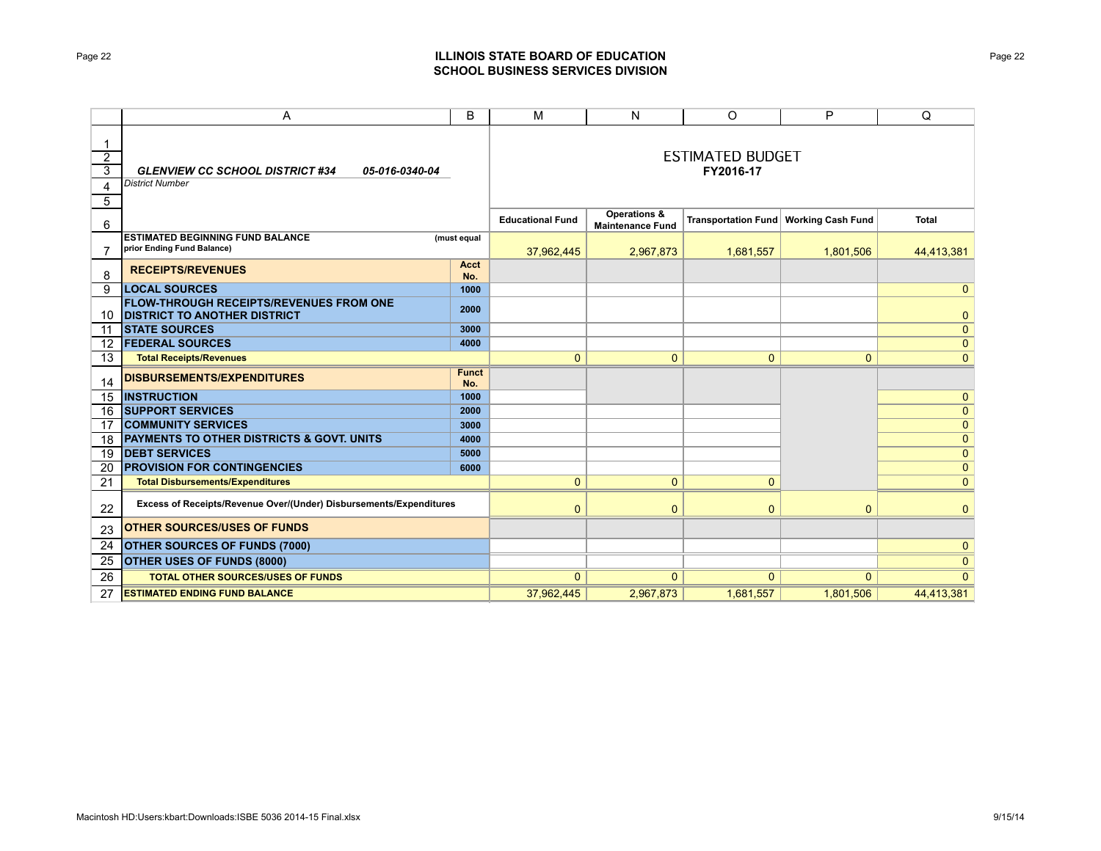### **FY2016-17** ESTIMATED BUDGET

|                                                                                       |                     | <b>Educational Fund</b> | <b>Operations &amp;</b><br><b>Maintenance Fund</b> |              | Transportation Fund   Working Cash Fund | <b>Total</b>   |
|---------------------------------------------------------------------------------------|---------------------|-------------------------|----------------------------------------------------|--------------|-----------------------------------------|----------------|
| <b>ESTIMATED BEGINNING FUND BALANCE</b><br>prior Ending Fund Balance)                 | (must equal         | 37,962,445              | 2,967,873                                          | 1,681,557    | 1,801,506                               | 44,413,381     |
| <b>RECEIPTS/REVENUES</b>                                                              | Acct<br>No.         |                         |                                                    |              |                                         |                |
| <b>LOCAL SOURCES</b>                                                                  | 1000                |                         |                                                    |              |                                         | $\mathbf{0}$   |
| <b>FLOW-THROUGH RECEIPTS/REVENUES FROM ONE</b><br><b>DISTRICT TO ANOTHER DISTRICT</b> | 2000                |                         |                                                    |              |                                         | $\mathbf{0}$   |
| <b>STATE SOURCES</b>                                                                  | 3000                |                         |                                                    |              |                                         | $\mathbf{0}$   |
| <b>FEDERAL SOURCES</b>                                                                | 4000                |                         |                                                    |              |                                         | $\mathbf{0}$   |
| <b>Total Receipts/Revenues</b>                                                        |                     | $\Omega$                | 0                                                  | $\mathbf 0$  | 0                                       | $\mathbf{0}$   |
| <b>DISBURSEMENTS/EXPENDITURES</b>                                                     | <b>Funct</b><br>No. |                         |                                                    |              |                                         |                |
| <b>INSTRUCTION</b>                                                                    | 1000                |                         |                                                    |              |                                         | $\mathbf{0}$   |
| <b>SUPPORT SERVICES</b>                                                               | 2000                |                         |                                                    |              |                                         | $\mathbf{0}$   |
| <b>COMMUNITY SERVICES</b>                                                             | 3000                |                         |                                                    |              |                                         | $\mathbf{0}$   |
| <b>PAYMENTS TO OTHER DISTRICTS &amp; GOVT, UNITS</b>                                  | 4000                |                         |                                                    |              |                                         | $\overline{0}$ |
| <b>DEBT SERVICES</b>                                                                  | 5000                |                         |                                                    |              |                                         | $\mathbf{0}$   |
| <b>PROVISION FOR CONTINGENCIES</b>                                                    | 6000                |                         |                                                    |              |                                         | $\mathbf{0}$   |
| <b>Total Disbursements/Expenditures</b>                                               |                     | $\mathbf{0}$            | $\mathbf{0}$                                       | $\mathbf{0}$ |                                         | $\overline{0}$ |
| Excess of Receipts/Revenue Over/(Under) Disbursements/Expenditures                    |                     | $\Omega$                | $\mathbf{0}$                                       | $\Omega$     | $\Omega$                                | $\overline{0}$ |
| <b>OTHER SOURCES/USES OF FUNDS</b>                                                    |                     |                         |                                                    |              |                                         |                |
| <b>OTHER SOURCES OF FUNDS (7000)</b>                                                  |                     |                         |                                                    |              |                                         | $\mathbf{0}$   |
| OTHER USES OF FUNDS (8000)                                                            |                     |                         |                                                    |              |                                         | $\overline{0}$ |
| <b>TOTAL OTHER SOURCES/USES OF FUNDS</b>                                              |                     | $\Omega$                | $\mathbf{0}$                                       | $\Omega$     | $\Omega$                                | $\Omega$       |
| <b>ESTIMATED ENDING FUND BALANCE</b>                                                  |                     | 37.962.445              | 2.967.873                                          | 1,681,557    | 1.801.506                               | 44.413.381     |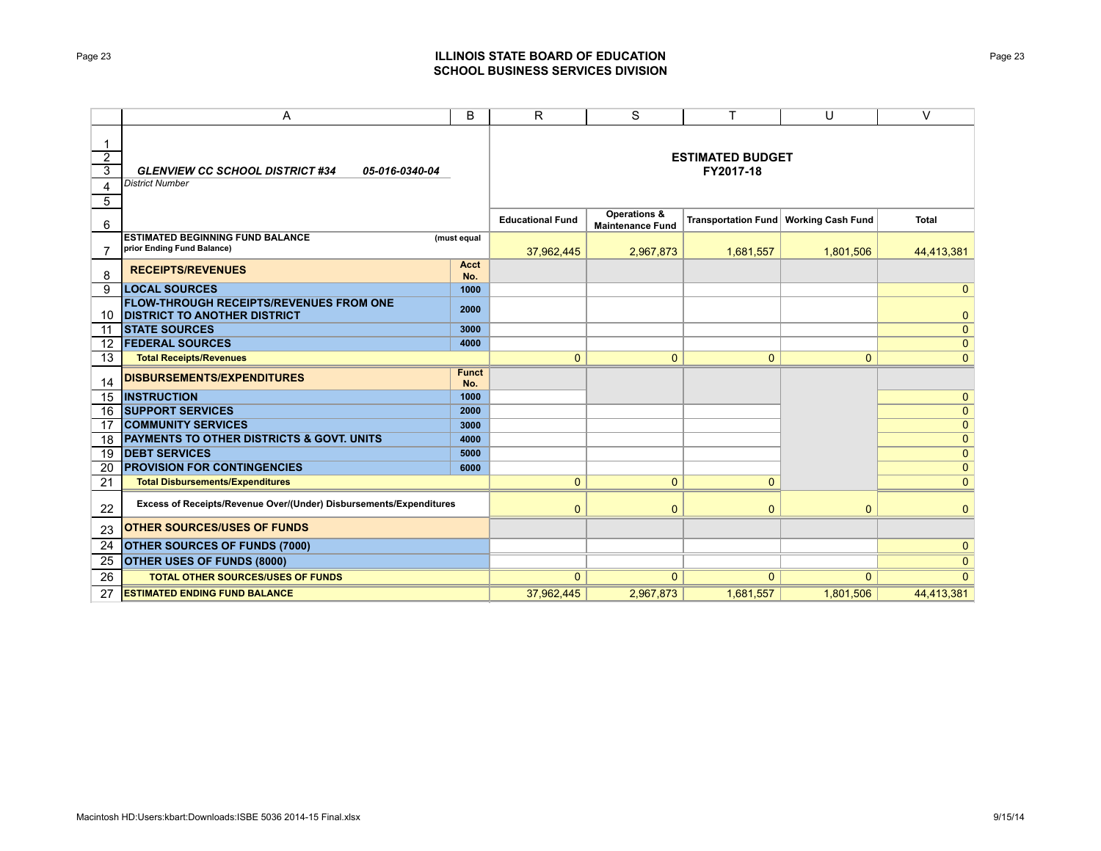#### **ESTIMATED BUDGET FY2017-18**

|                                                                                       |                     | <b>Educational Fund</b> | Operations &<br><b>Maintenance Fund</b> | Transportation Fund   Working Cash Fund |                | <b>Total</b>   |
|---------------------------------------------------------------------------------------|---------------------|-------------------------|-----------------------------------------|-----------------------------------------|----------------|----------------|
| <b>ESTIMATED BEGINNING FUND BALANCE</b><br>prior Ending Fund Balance)                 | (must equal         | 37,962,445              | 2,967,873                               | 1,681,557                               | 1,801,506      | 44,413,381     |
| <b>RECEIPTS/REVENUES</b>                                                              | Acct<br>No.         |                         |                                         |                                         |                |                |
| <b>LOCAL SOURCES</b>                                                                  | 1000                |                         |                                         |                                         |                | $\overline{0}$ |
| <b>FLOW-THROUGH RECEIPTS/REVENUES FROM ONE</b><br><b>DISTRICT TO ANOTHER DISTRICT</b> | 2000                |                         |                                         |                                         |                | 0              |
| <b>STATE SOURCES</b>                                                                  | 3000                |                         |                                         |                                         |                | $\mathbf{0}$   |
| <b>FEDERAL SOURCES</b>                                                                | 4000                |                         |                                         |                                         |                | $\mathbf{0}$   |
| <b>Total Receipts/Revenues</b>                                                        |                     | $\mathbf{0}$            | $\mathbf 0$                             | $\mathbf{0}$                            | $\overline{0}$ | $\overline{0}$ |
| <b>DISBURSEMENTS/EXPENDITURES</b>                                                     | <b>Funct</b><br>No. |                         |                                         |                                         |                |                |
| <b>INSTRUCTION</b>                                                                    | 1000                |                         |                                         |                                         |                | $\overline{0}$ |
| <b>SUPPORT SERVICES</b>                                                               | 2000                |                         |                                         |                                         |                | $\overline{0}$ |
| <b>COMMUNITY SERVICES</b>                                                             | 3000                |                         |                                         |                                         |                | $\mathbf{0}$   |
| <b>PAYMENTS TO OTHER DISTRICTS &amp; GOVT. UNITS</b>                                  | 4000                |                         |                                         |                                         |                | $\overline{0}$ |
| <b>DEBT SERVICES</b>                                                                  | 5000                |                         |                                         |                                         |                | $\overline{0}$ |
| <b>PROVISION FOR CONTINGENCIES</b>                                                    | 6000                |                         |                                         |                                         |                | $\mathbf{0}$   |
| <b>Total Disbursements/Expenditures</b>                                               |                     | $\mathbf{0}$            | $\mathbf{0}$                            | $\mathbf{0}$                            |                | $\overline{0}$ |
| Excess of Receipts/Revenue Over/(Under) Disbursements/Expenditures                    |                     | $\mathbf{0}$            | $\mathbf{0}$                            | $\mathbf{0}$                            | $\mathbf{0}$   | $\Omega$       |
| <b>OTHER SOURCES/USES OF FUNDS</b>                                                    |                     |                         |                                         |                                         |                |                |
| <b>OTHER SOURCES OF FUNDS (7000)</b>                                                  |                     |                         |                                         |                                         |                | $\mathbf{0}$   |
| OTHER USES OF FUNDS (8000)                                                            |                     |                         |                                         |                                         |                | $\overline{0}$ |
| <b>TOTAL OTHER SOURCES/USES OF FUNDS</b>                                              |                     | $\Omega$                | $\mathbf{0}$                            | $\Omega$                                | $\Omega$       | $\overline{0}$ |
| <b>ESTIMATED ENDING FUND BALANCE</b>                                                  |                     | 37.962.445              | 2.967.873                               | 1.681.557                               | 1.801.506      | 44.413.381     |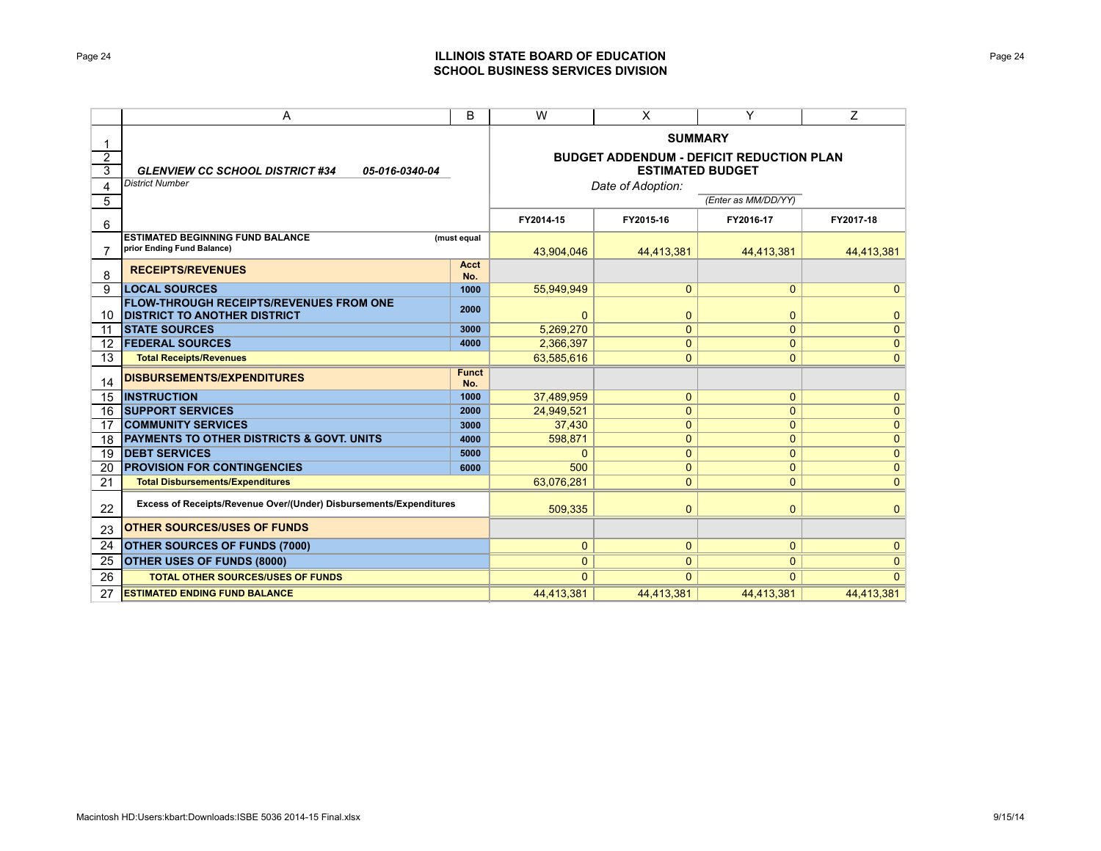*District Number*

#### **SUMMARY**

#### **BUDGET ADDENDUM - DEFICIT REDUCTION PLAN ESTIMATED BUDGET**

*Date of Adoption:*

*(Enter as MM/DD/YY)*

|                                                                                       |                     | FY2014-15    | FY2015-16    | FY2016-17      | FY2017-18      |
|---------------------------------------------------------------------------------------|---------------------|--------------|--------------|----------------|----------------|
| <b>ESTIMATED BEGINNING FUND BALANCE</b><br>prior Ending Fund Balance)                 | (must equal         | 43.904.046   | 44.413.381   | 44.413.381     | 44,413,381     |
| <b>RECEIPTS/REVENUES</b>                                                              | Acct<br>No.         |              |              |                |                |
| <b>LOCAL SOURCES</b>                                                                  | 1000                | 55.949.949   | $\mathbf{0}$ | $\mathbf{0}$   | $\overline{0}$ |
| <b>FLOW-THROUGH RECEIPTS/REVENUES FROM ONE</b><br><b>DISTRICT TO ANOTHER DISTRICT</b> | 2000                | $\mathbf{0}$ | 0            | $\mathbf{0}$   | $\mathbf{0}$   |
| <b>ISTATE SOURCES</b>                                                                 | 3000                | 5.269.270    | 0            | $\mathbf{0}$   | $\overline{0}$ |
| <b>FEDERAL SOURCES</b>                                                                | 4000                | 2,366,397    | 0            | $\mathbf{0}$   | $\mathbf{0}$   |
| <b>Total Receipts/Revenues</b>                                                        |                     | 63.585.616   | $\mathbf{0}$ | $\overline{0}$ | $\overline{0}$ |
| <b>DISBURSEMENTS/EXPENDITURES</b>                                                     | <b>Funct</b><br>No. |              |              |                |                |
| <b>INSTRUCTION</b>                                                                    | 1000                | 37,489,959   | 0            | $\mathbf{0}$   | $\mathbf{0}$   |
| <b>SUPPORT SERVICES</b>                                                               | 2000                | 24.949.521   | $\mathbf{0}$ | 0              | $\overline{0}$ |
| <b>COMMUNITY SERVICES</b>                                                             | 3000                | 37,430       | 0            | $\mathbf{0}$   | $\overline{0}$ |
| <b>PAYMENTS TO OTHER DISTRICTS &amp; GOVT, UNITS</b>                                  | 4000                | 598.871      | $\mathbf{0}$ | 0              | $\overline{0}$ |
| <b>DEBT SERVICES</b>                                                                  | 5000                | 0            | $\mathbf{0}$ | $\mathbf{0}$   | $\mathbf{0}$   |
| <b>PROVISION FOR CONTINGENCIES</b>                                                    | 6000                | 500          | 0            | $\mathbf{0}$   | $\overline{0}$ |
| <b>Total Disbursements/Expenditures</b>                                               |                     | 63,076,281   | 0            | $\mathbf{0}$   | $\mathbf{0}$   |
| Excess of Receipts/Revenue Over/(Under) Disbursements/Expenditures                    |                     | 509.335      | $\mathbf{0}$ | $\mathbf{0}$   | $\mathbf{0}$   |
| <b>OTHER SOURCES/USES OF FUNDS</b>                                                    |                     |              |              |                |                |
| <b>OTHER SOURCES OF FUNDS (7000)</b>                                                  |                     | 0            | $\mathbf{0}$ | $\mathbf{0}$   | 0              |
| <b>OTHER USES OF FUNDS (8000)</b>                                                     |                     | $\mathbf{0}$ | $\mathbf{0}$ | $\mathbf{0}$   | $\overline{0}$ |
| <b>TOTAL OTHER SOURCES/USES OF FUNDS</b>                                              |                     | $\Omega$     | $\Omega$     | $\Omega$       | $\Omega$       |
| <b>ESTIMATED ENDING FUND BALANCE</b>                                                  |                     | 44.413.381   | 44.413.381   | 44.413.381     | 44.413.381     |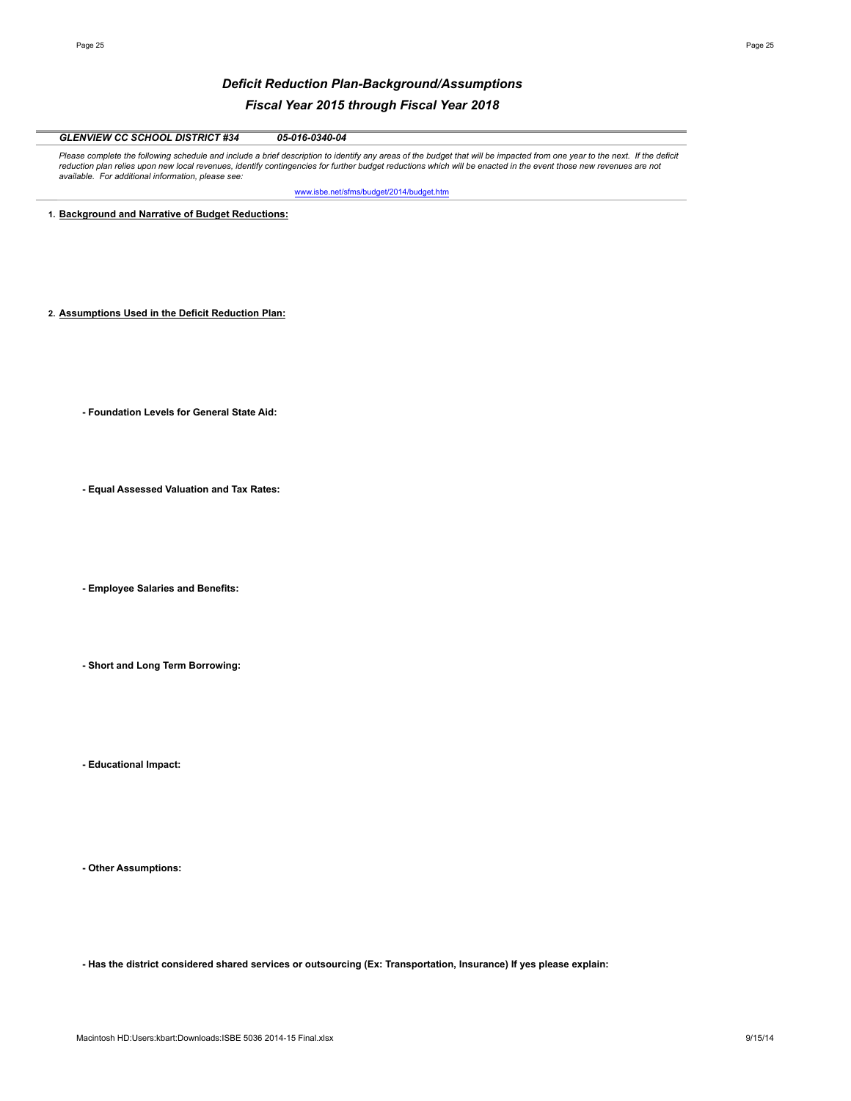## *Deficit Reduction Plan-Background/Assumptions Fiscal Year 2015 through Fiscal Year 2018*

| <b>GLENVIEW CC SCHOOL DISTRICT #34</b><br>05-016-0340-04                                                                                                                                                                                                                                                                                                                                              |
|-------------------------------------------------------------------------------------------------------------------------------------------------------------------------------------------------------------------------------------------------------------------------------------------------------------------------------------------------------------------------------------------------------|
| Please complete the following schedule and include a brief description to identify any areas of the budget that will be impacted from one year to the next. If the deficit<br>reduction plan relies upon new local revenues, identify contingencies for further budget reductions which will be enacted in the event those new revenues are not<br>available. For additional information, please see: |
| www.isbe.net/sfms/budget/2014/budget.htm                                                                                                                                                                                                                                                                                                                                                              |
| 1. Background and Narrative of Budget Reductions:                                                                                                                                                                                                                                                                                                                                                     |
|                                                                                                                                                                                                                                                                                                                                                                                                       |
|                                                                                                                                                                                                                                                                                                                                                                                                       |
|                                                                                                                                                                                                                                                                                                                                                                                                       |
|                                                                                                                                                                                                                                                                                                                                                                                                       |
|                                                                                                                                                                                                                                                                                                                                                                                                       |
| 2. Assumptions Used in the Deficit Reduction Plan:                                                                                                                                                                                                                                                                                                                                                    |
|                                                                                                                                                                                                                                                                                                                                                                                                       |
|                                                                                                                                                                                                                                                                                                                                                                                                       |
|                                                                                                                                                                                                                                                                                                                                                                                                       |
|                                                                                                                                                                                                                                                                                                                                                                                                       |
| - Foundation Levels for General State Aid:                                                                                                                                                                                                                                                                                                                                                            |
|                                                                                                                                                                                                                                                                                                                                                                                                       |
|                                                                                                                                                                                                                                                                                                                                                                                                       |
|                                                                                                                                                                                                                                                                                                                                                                                                       |
| - Equal Assessed Valuation and Tax Rates:                                                                                                                                                                                                                                                                                                                                                             |
|                                                                                                                                                                                                                                                                                                                                                                                                       |
|                                                                                                                                                                                                                                                                                                                                                                                                       |
|                                                                                                                                                                                                                                                                                                                                                                                                       |
|                                                                                                                                                                                                                                                                                                                                                                                                       |
|                                                                                                                                                                                                                                                                                                                                                                                                       |
| - Employee Salaries and Benefits:                                                                                                                                                                                                                                                                                                                                                                     |
|                                                                                                                                                                                                                                                                                                                                                                                                       |
|                                                                                                                                                                                                                                                                                                                                                                                                       |
|                                                                                                                                                                                                                                                                                                                                                                                                       |
| - Short and Long Term Borrowing:                                                                                                                                                                                                                                                                                                                                                                      |
|                                                                                                                                                                                                                                                                                                                                                                                                       |
|                                                                                                                                                                                                                                                                                                                                                                                                       |
|                                                                                                                                                                                                                                                                                                                                                                                                       |
|                                                                                                                                                                                                                                                                                                                                                                                                       |

**- Educational Impact:**

**- Other Assumptions:**

**- Has the district considered shared services or outsourcing (Ex: Transportation, Insurance) If yes please explain:**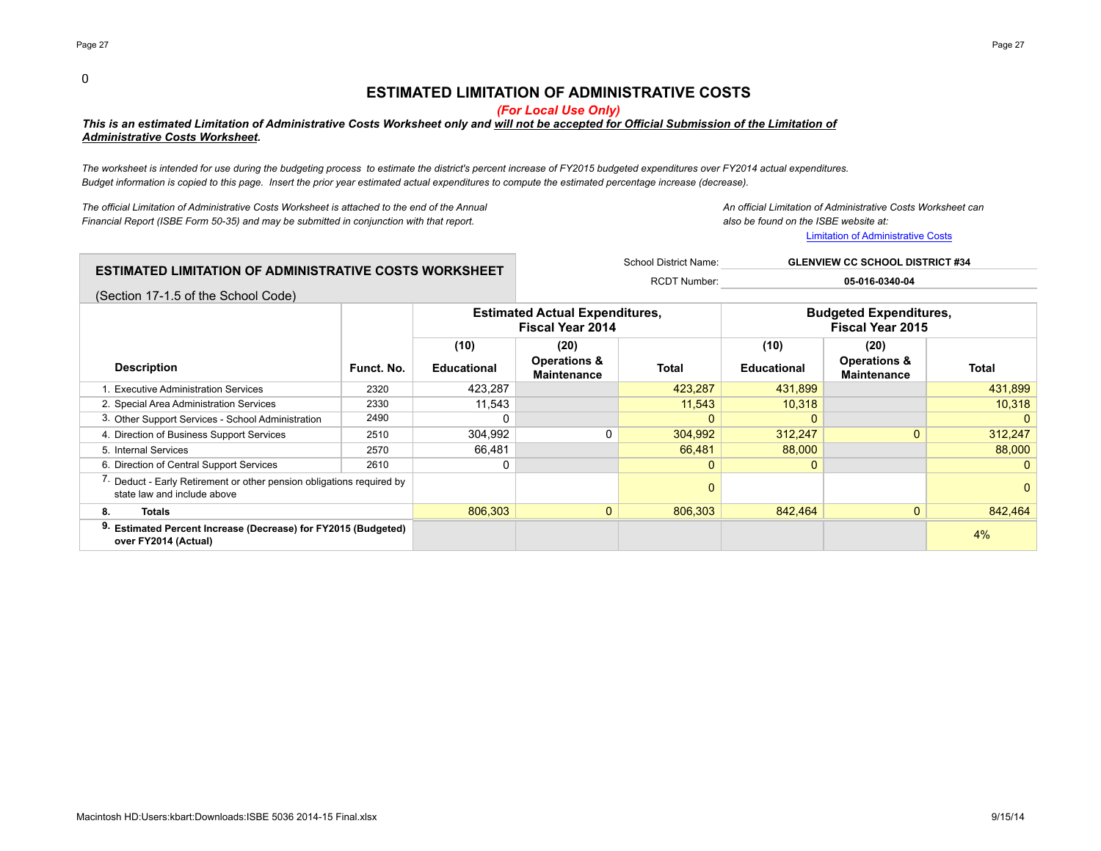#### 0

## **ESTIMATED LIMITATION OF ADMINISTRATIVE COSTS**

*(For Local Use Only)*

### *This is an estimated Limitation of Administrative Costs Worksheet only and will not be accepted for Official Submission of the Limitation of Administrative Costs Worksheet.*

*The worksheet is intended for use during the budgeting process to estimate the district's percent increase of FY2015 budgeted expenditures over FY2014 actual expenditures. Budget information is copied to this page. Insert the prior year estimated actual expenditures to compute the estimated percentage increase (decrease).*

*The official Limitation of Administrative Costs Worksheet is attached to the end of the Annual An official Limitation of Administrative Costs Worksheet can Financial Report (ISBE Form 50-35) and may be submitted in conjunction with that report. also be found on the ISBE website at:*

Limitation of Administrative Costs

|                                                                  | School District Name: | <b>GLENVIEW CC SCHOOL DISTRICT #34</b> |
|------------------------------------------------------------------|-----------------------|----------------------------------------|
| $\,$ ESTIMATED LIMITATION OF ADMINISTRATIVE COSTS WORKSHEET $\,$ | <b>RCDT Number:</b>   | 05-016-0340-04                         |
| (Section 17-1.5 of the School Code)                              |                       |                                        |

|                                                                                                                 |            | <b>Estimated Actual Expenditures.</b><br><b>Fiscal Year 2014</b> |                                               |              | <b>Budgeted Expenditures,</b><br><b>Fiscal Year 2015</b> |                                               |                |
|-----------------------------------------------------------------------------------------------------------------|------------|------------------------------------------------------------------|-----------------------------------------------|--------------|----------------------------------------------------------|-----------------------------------------------|----------------|
|                                                                                                                 |            | (10)                                                             | (20)                                          |              | (10)                                                     | (20)                                          |                |
| <b>Description</b>                                                                                              | Funct. No. | <b>Educational</b>                                               | <b>Operations &amp;</b><br><b>Maintenance</b> | <b>Total</b> | <b>Educational</b>                                       | <b>Operations &amp;</b><br><b>Maintenance</b> | Total          |
| . Executive Administration Services                                                                             | 2320       | 423,287                                                          |                                               | 423,287      | 431,899                                                  |                                               | 431,899        |
| 2. Special Area Administration Services                                                                         | 2330       | 11.543                                                           |                                               | 11,543       | 10,318                                                   |                                               | 10,318         |
| 3. Other Support Services - School Administration                                                               | 2490       |                                                                  |                                               |              |                                                          |                                               | $\overline{0}$ |
| 4. Direction of Business Support Services                                                                       | 2510       | 304,992                                                          |                                               | 304,992      | 312,247                                                  | $\Omega$                                      | 312,247        |
| 5. Internal Services                                                                                            | 2570       | 66.481                                                           |                                               | 66.481       | 88,000                                                   |                                               | 88,000         |
| 6. Direction of Central Support Services                                                                        | 2610       | 0                                                                |                                               |              |                                                          |                                               | 0 <sup>1</sup> |
| <sup>7.</sup> Deduct - Early Retirement or other pension obligations required by<br>state law and include above |            |                                                                  |                                               |              |                                                          |                                               | 0              |
| 8.<br><b>Totals</b>                                                                                             |            | 806.303                                                          | $\mathbf{0}$                                  | 806,303      | 842,464                                                  | $\Omega$                                      | 842,464        |
| 9. Estimated Percent Increase (Decrease) for FY2015 (Budgeted)<br>over FY2014 (Actual)                          |            |                                                                  |                                               |              |                                                          |                                               | 4%             |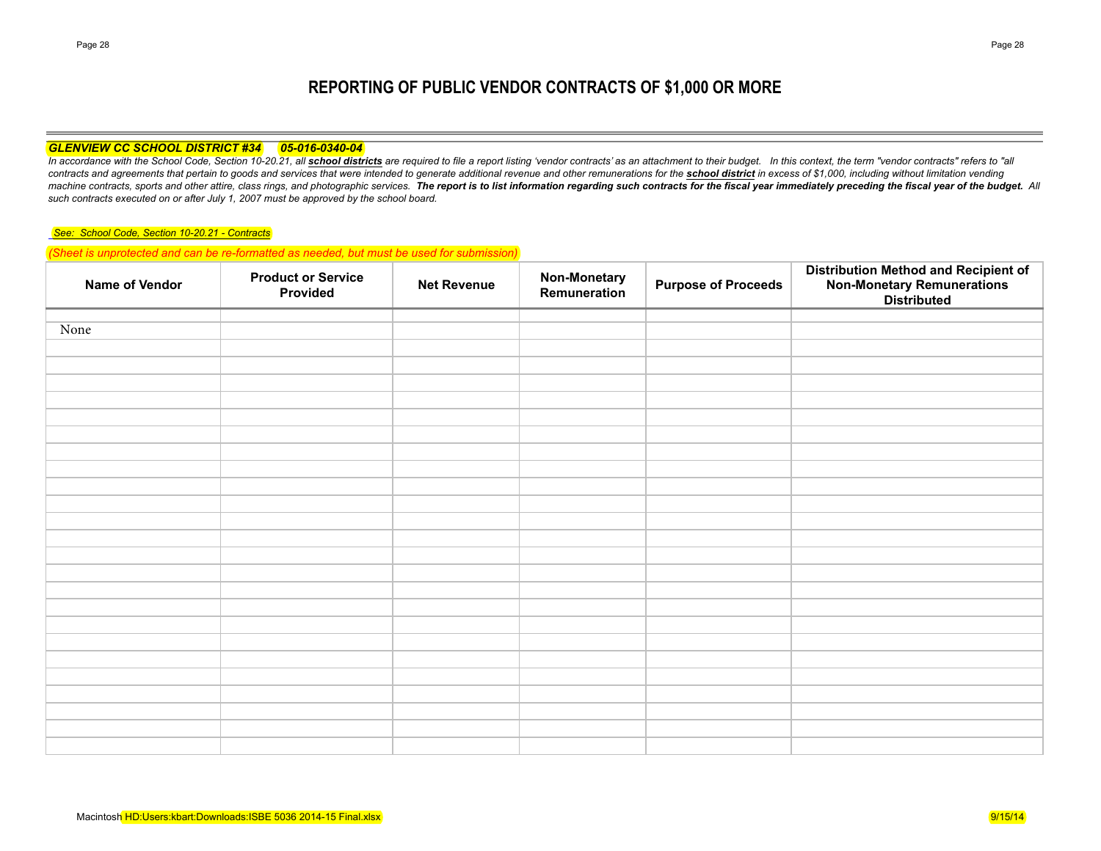# **REPORTING OF PUBLIC VENDOR CONTRACTS OF \$1,000 OR MORE**

#### *GLENVIEW CC SCHOOL DISTRICT #34 05-016-0340-04*

In accordance with the School Code, Section 10-20.21, all school districts are required to file a report listing 'vendor contracts' as an attachment to their budget. In this context, the term "vendor contracts" refers to " contracts and agreements that pertain to goods and services that were intended to generate additional revenue and other remunerations for the school district in excess of \$1,000, including without limitation vending machine contracts, sports and other attire, class rings, and photographic services. The report is to list information regarding such contracts for the fiscal year immediately preceding the fiscal year of the budget. All *such contracts executed on or after July 1, 2007 must be approved by the school board.*

#### *See: School Code, Section 10-20.21 - Contracts*

*(Sheet is unprotected and can be re-formatted as needed, but must be used for submission)*

| Name of Vendor | <b>Product or Service</b><br>Provided | <b>Net Revenue</b> | <b>Non-Monetary</b><br>Remuneration | <b>Purpose of Proceeds</b> | <b>Distribution Method and Recipient of</b><br>Non-Monetary Remunerations<br>Distributed |
|----------------|---------------------------------------|--------------------|-------------------------------------|----------------------------|------------------------------------------------------------------------------------------|
|                |                                       |                    |                                     |                            |                                                                                          |
| None           |                                       |                    |                                     |                            |                                                                                          |
|                |                                       |                    |                                     |                            |                                                                                          |
|                |                                       |                    |                                     |                            |                                                                                          |
|                |                                       |                    |                                     |                            |                                                                                          |
|                |                                       |                    |                                     |                            |                                                                                          |
|                |                                       |                    |                                     |                            |                                                                                          |
|                |                                       |                    |                                     |                            |                                                                                          |
|                |                                       |                    |                                     |                            |                                                                                          |
|                |                                       |                    |                                     |                            |                                                                                          |
|                |                                       |                    |                                     |                            |                                                                                          |
|                |                                       |                    |                                     |                            |                                                                                          |
|                |                                       |                    |                                     |                            |                                                                                          |
|                |                                       |                    |                                     |                            |                                                                                          |
|                |                                       |                    |                                     |                            |                                                                                          |
|                |                                       |                    |                                     |                            |                                                                                          |
|                |                                       |                    |                                     |                            |                                                                                          |
|                |                                       |                    |                                     |                            |                                                                                          |
|                |                                       |                    |                                     |                            |                                                                                          |
|                |                                       |                    |                                     |                            |                                                                                          |
|                |                                       |                    |                                     |                            |                                                                                          |
|                |                                       |                    |                                     |                            |                                                                                          |
|                |                                       |                    |                                     |                            |                                                                                          |
|                |                                       |                    |                                     |                            |                                                                                          |
|                |                                       |                    |                                     |                            |                                                                                          |
|                |                                       |                    |                                     |                            |                                                                                          |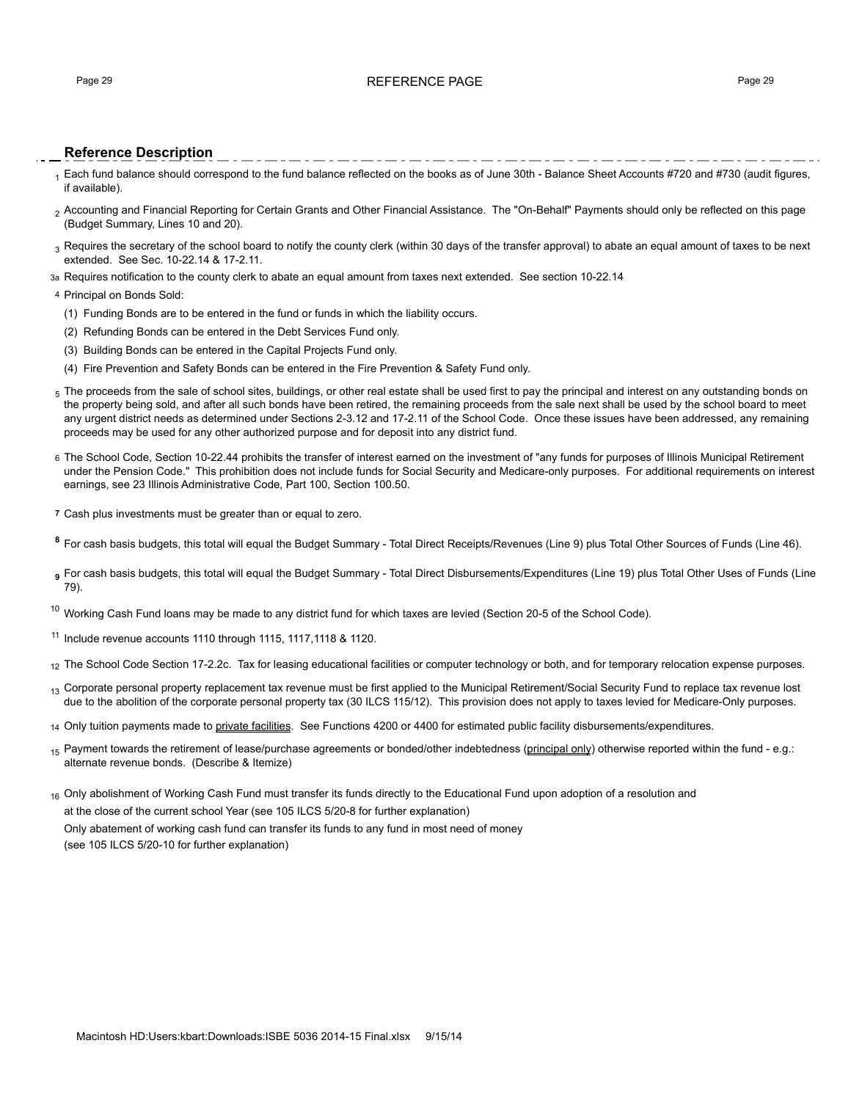## Page 29 RFFFRFNCF PAGF Page 29

## **Reference Description**

1 Each fund balance should correspond to the fund balance reflected on the books as of June 30th - Balance Sheet Accounts #720 and #730 (audit figures, if available).

- 2 Accounting and Financial Reporting for Certain Grants and Other Financial Assistance. The "On-Behalf" Payments should only be reflected on this page (Budget Summary, Lines 10 and 20).
- $_3$  Requires the secretary of the school board to notify the county clerk (within 30 days of the transfer approval) to abate an equal amount of taxes to be next extended. See Sec. 10-22.14 & 17-2.11.
- 3a Requires notification to the county clerk to abate an equal amount from taxes next extended. See section 10-22.14

#### 4 Principal on Bonds Sold:

- (1) Funding Bonds are to be entered in the fund or funds in which the liability occurs.
- (2) Refunding Bonds can be entered in the Debt Services Fund only.
- (3) Building Bonds can be entered in the Capital Projects Fund only.
- (4) Fire Prevention and Safety Bonds can be entered in the Fire Prevention & Safety Fund only.
- $_5$  The proceeds from the sale of school sites, buildings, or other real estate shall be used first to pay the principal and interest on any outstanding bonds on the property being sold, and after all such bonds have been retired, the remaining proceeds from the sale next shall be used by the school board to meet any urgent district needs as determined under Sections 2-3.12 and 17-2.11 of the School Code. Once these issues have been addressed, any remaining proceeds may be used for any other authorized purpose and for deposit into any district fund.
- 6 The School Code, Section 10-22.44 prohibits the transfer of interest earned on the investment of "any funds for purposes of Illinois Municipal Retirement under the Pension Code." This prohibition does not include funds for Social Security and Medicare-only purposes. For additional requirements on interest earnings, see 23 Illinois Administrative Code, Part 100, Section 100.50.
- **7** Cash plus investments must be greater than or equal to zero.
- **<sup>8</sup>** For cash basis budgets, this total will equal the Budget Summary Total Direct Receipts/Revenues (Line 9) plus Total Other Sources of Funds (Line 46).
- **<sup>9</sup>** For cash basis budgets, this total will equal the Budget Summary Total Direct Disbursements/Expenditures (Line 19) plus Total Other Uses of Funds (Line 79).
- $10$  Working Cash Fund loans may be made to any district fund for which taxes are levied (Section 20-5 of the School Code).
- $11$  Include revenue accounts 1110 through 1115, 1117, 1118 & 1120.
- 12 The School Code Section 17-2.2c. Tax for leasing educational facilities or computer technology or both, and for temporary relocation expense purposes.
- <sub>13</sub> Corporate personal property replacement tax revenue must be first applied to the Municipal Retirement/Social Security Fund to replace tax revenue lost due to the abolition of the corporate personal property tax (30 ILCS 115/12). This provision does not apply to taxes levied for Medicare-Only purposes.
- 14 Only tuition payments made to private facilities. See Functions 4200 or 4400 for estimated public facility disbursements/expenditures.
- 15 Payment towards the retirement of lease/purchase agreements or bonded/other indebtedness (principal only) otherwise reported within the fund e.g.: alternate revenue bonds. (Describe & Itemize)
- <sub>16</sub> Only abolishment of Working Cash Fund must transfer its funds directly to the Educational Fund upon adoption of a resolution and

at the close of the current school Year (see 105 ILCS 5/20-8 for further explanation)

Only abatement of working cash fund can transfer its funds to any fund in most need of money (see 105 ILCS 5/20-10 for further explanation)